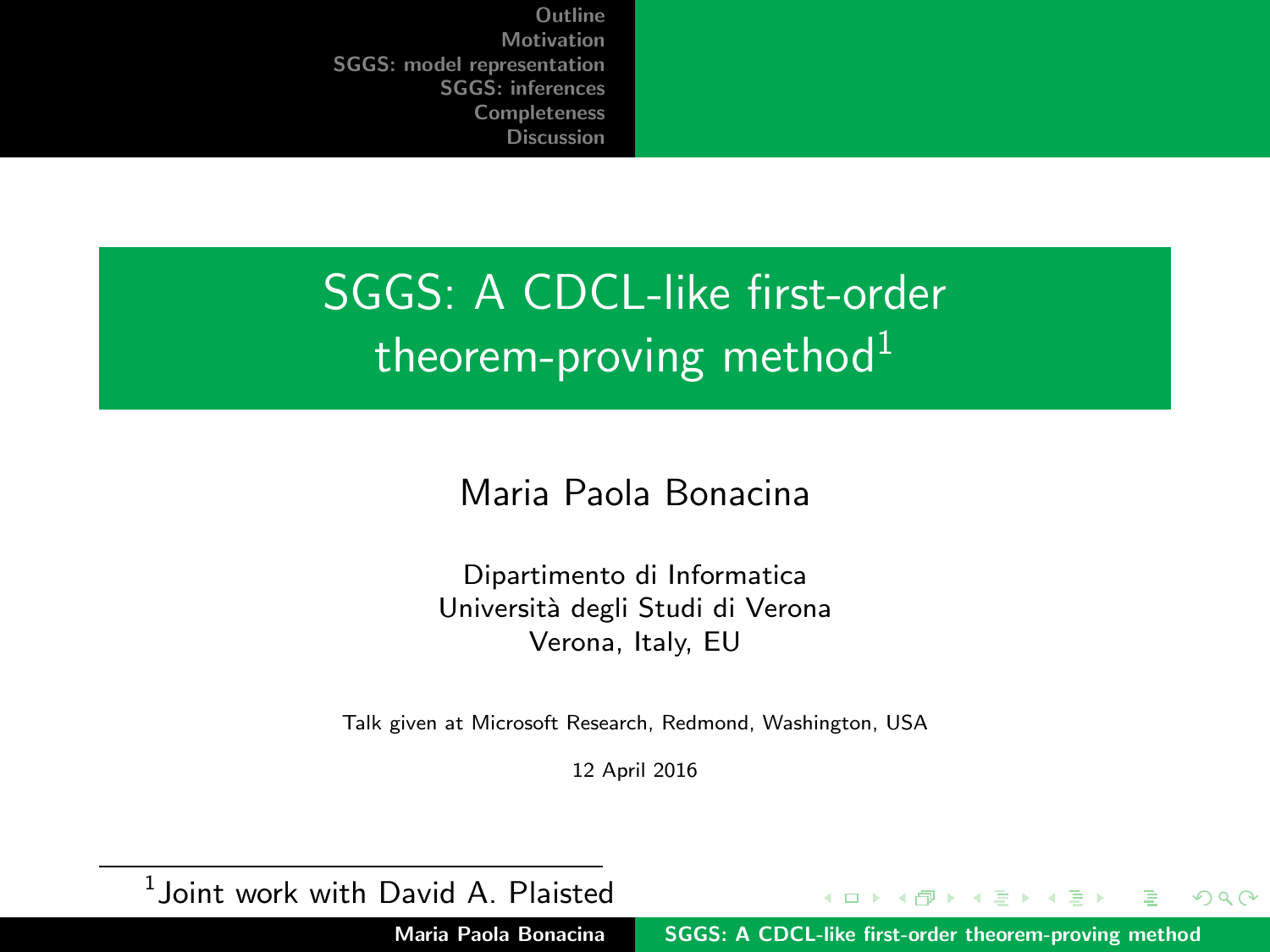# <span id="page-0-0"></span>SGGS: A CDCL-like first-order theorem-proving method $1$

Maria Paola Bonacina

Dipartimento di Informatica Università degli Studi di Verona Verona, Italy, EU

Talk given at Microsoft Research, Redmond, Washington, USA

12 April 2016

 $<sup>1</sup>$ Joint work with David A. Plaisted</sup>

イロト イ押 トラミトラミ Maria Paola Bonacina [SGGS: A CDCL-like first-order theorem-proving method](#page-63-0)

 $2Q$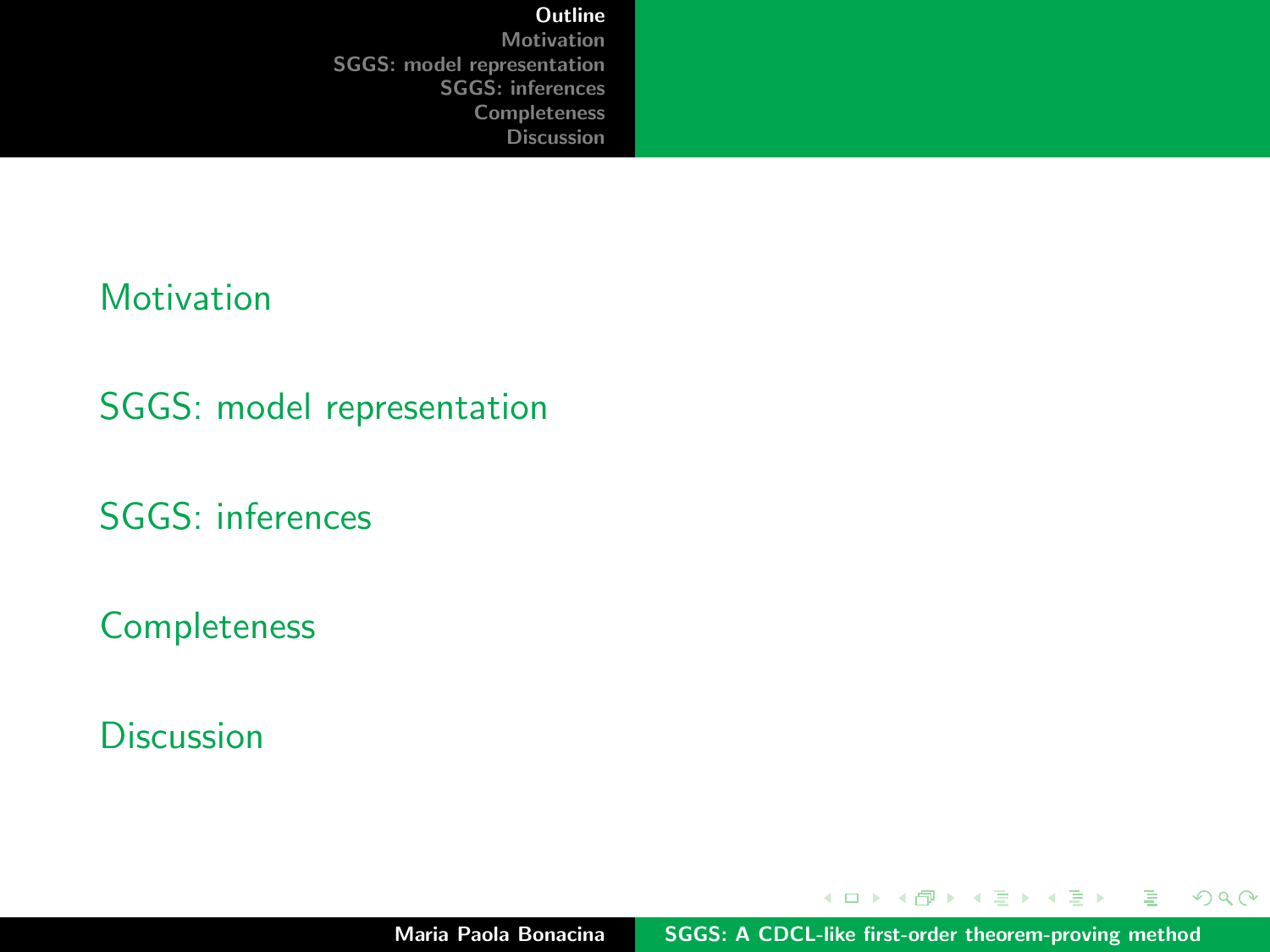#### <span id="page-1-0"></span>**[Motivation](#page-2-0)**

[SGGS: model representation](#page-6-0)

[SGGS: inferences](#page-26-0)

[Completeness](#page-52-0)

**[Discussion](#page-61-0)** 

 $\left\{ \begin{array}{ccc} 1 & 0 & 0 \\ 0 & 1 & 0 \end{array} \right.$ 

重

 $299$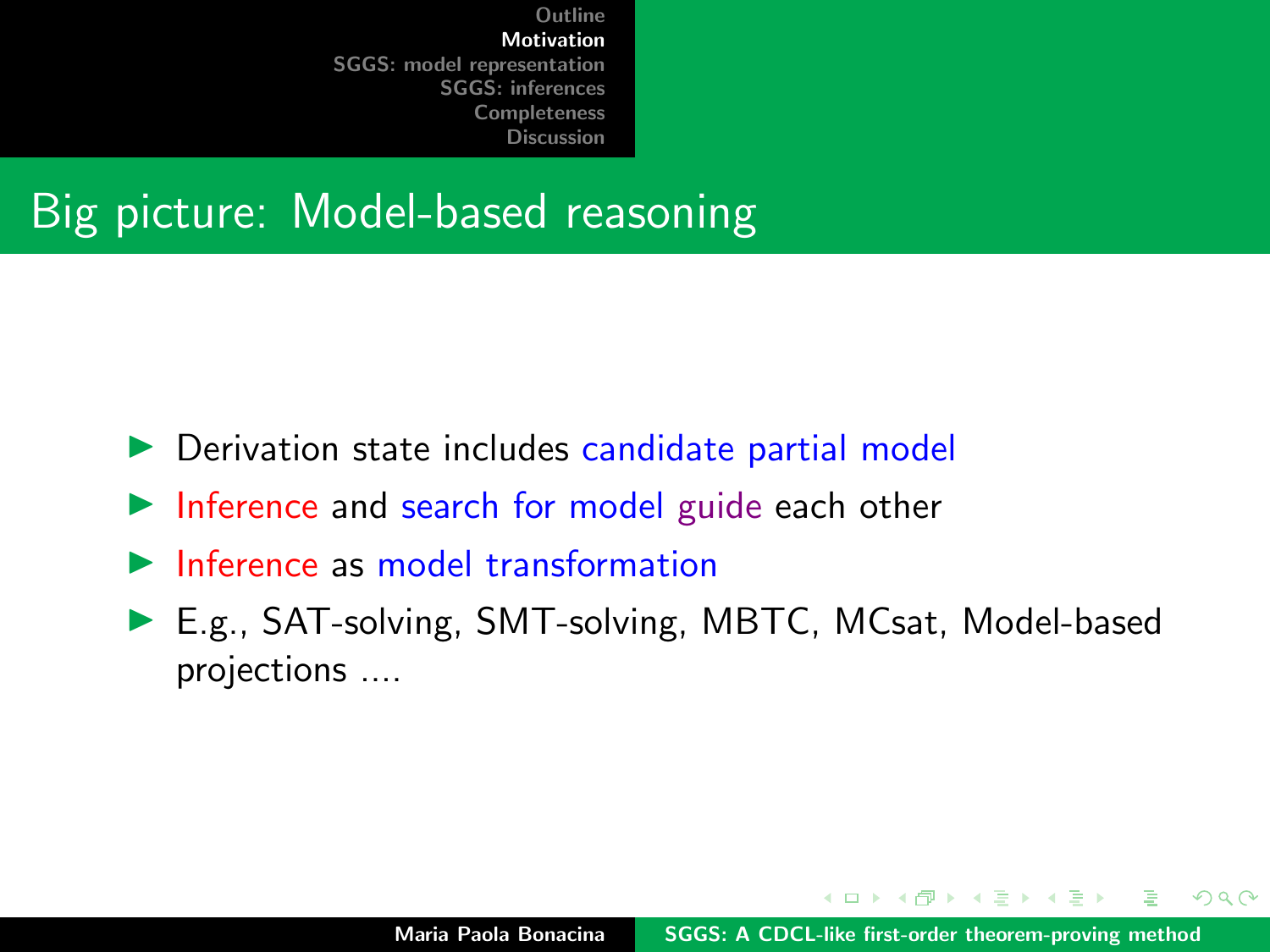#### <span id="page-2-0"></span>Big picture: Model-based reasoning

- $\triangleright$  Derivation state includes candidate partial model
- $\blacktriangleright$  Inference and search for model guide each other
- $\blacktriangleright$  Inference as model transformation
- ▶ E.g., SAT-solving, SMT-solving, MBTC, MCsat, Model-based projections ....

イロメ マ桐 トマ ヨ トマ ヨメ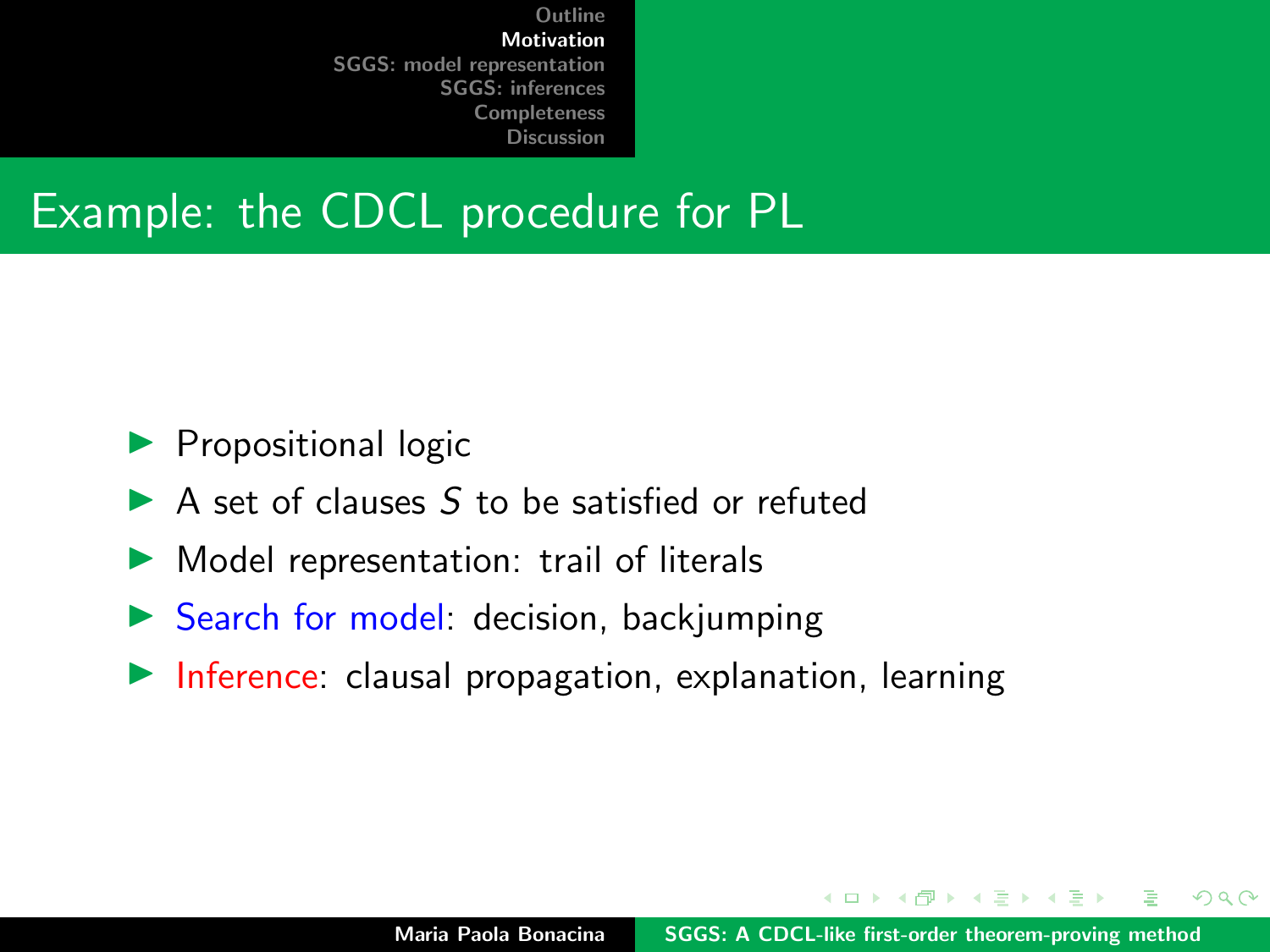#### Example: the CDCL procedure for PL

- $\blacktriangleright$  Propositional logic
- $\triangleright$  A set of clauses S to be satisfied or refuted
- $\triangleright$  Model representation: trail of literals
- $\triangleright$  Search for model: decision, backjumping
- $\blacktriangleright$  Inference: clausal propagation, explanation, learning

 $\mathcal{A}$  and  $\mathcal{A}$  . The set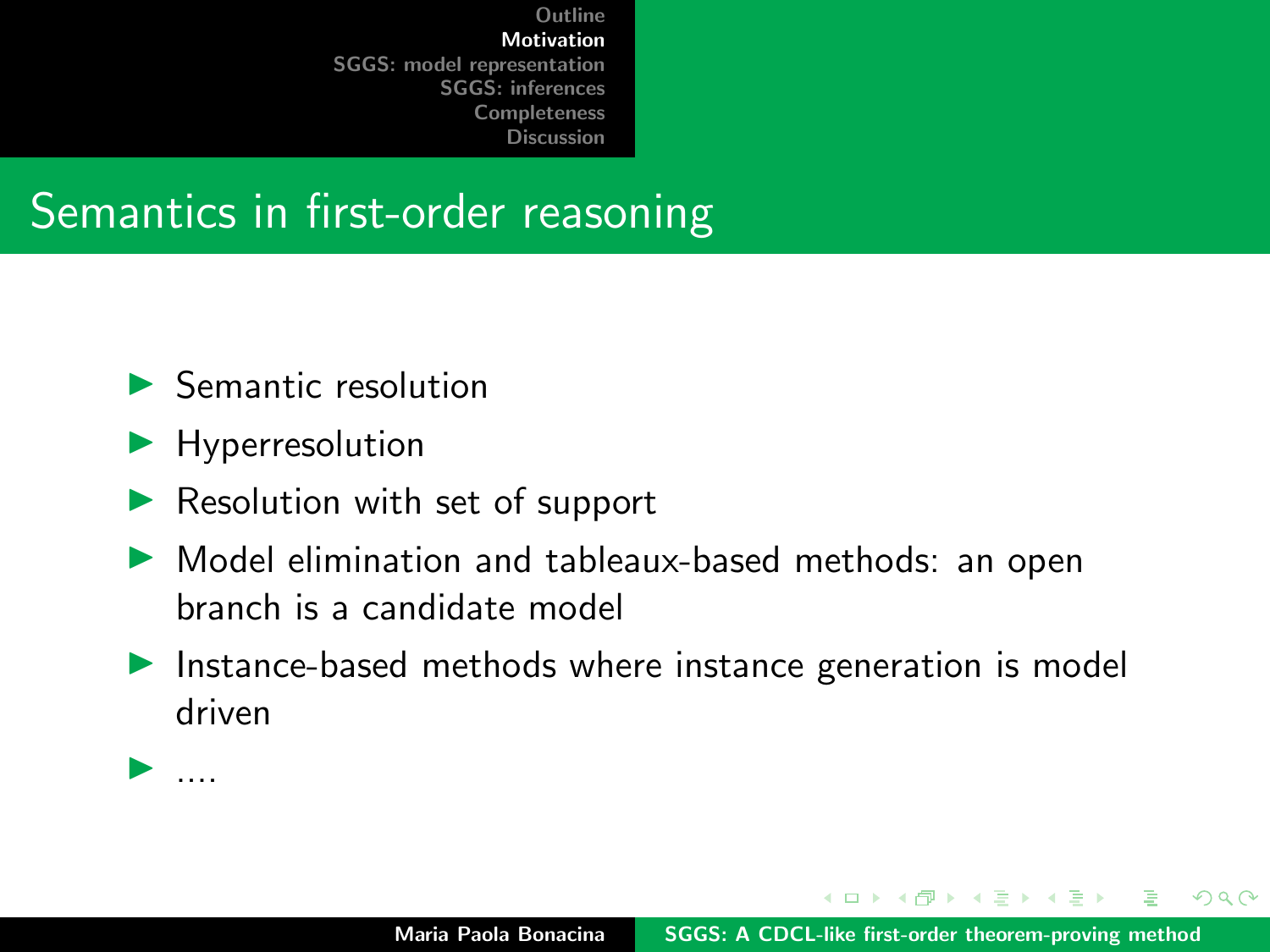#### Semantics in first-order reasoning

- $\blacktriangleright$  Semantic resolution
- $\blacktriangleright$  Hyperresolution
- $\blacktriangleright$  Resolution with set of support
- $\triangleright$  Model elimination and tableaux-based methods: an open branch is a candidate model
- $\blacktriangleright$  Instance-based methods where instance generation is model driven

イロト イタト イミト イミト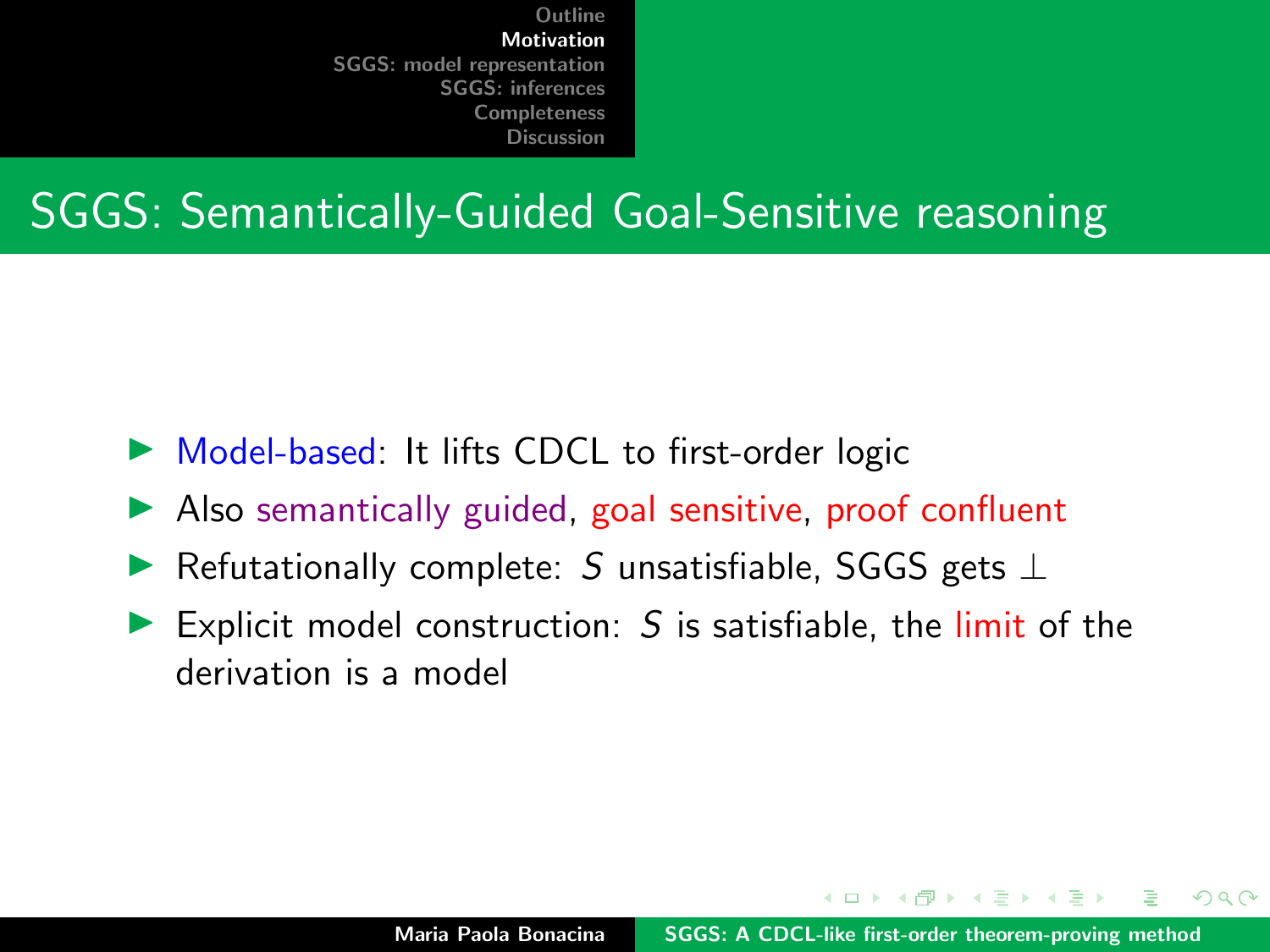### SGGS: Semantically-Guided Goal-Sensitive reasoning

- $\triangleright$  Model-based: It lifts CDCL to first-order logic
- $\blacktriangleright$  Also semantically guided, goal sensitive, proof confluent
- $\blacktriangleright$  Refutationally complete: S unsatisfiable, SGGS gets  $\bot$
- Explicit model construction:  $S$  is satisfiable, the limit of the derivation is a model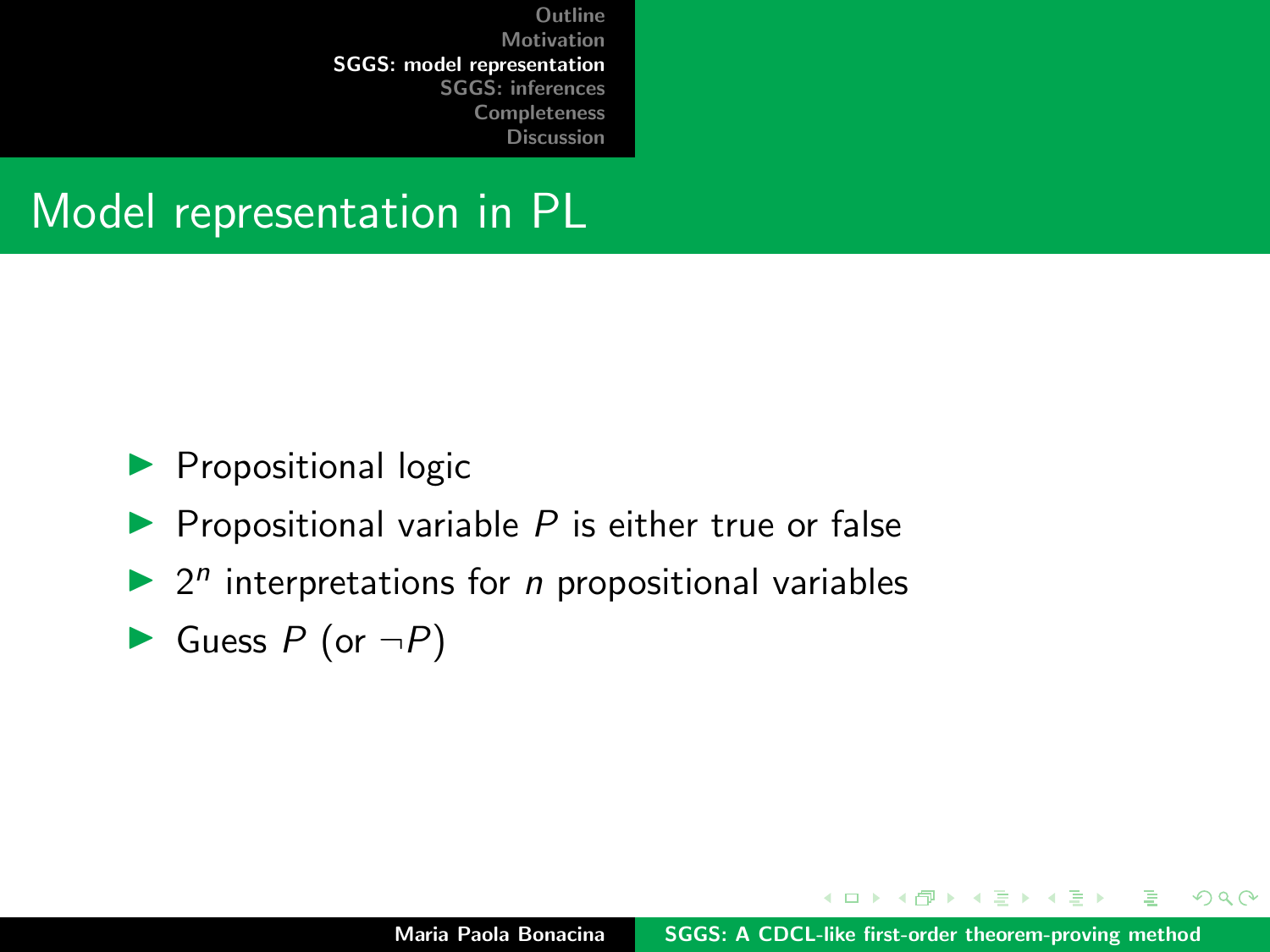#### <span id="page-6-0"></span>Model representation in PL

- $\blacktriangleright$  Propositional logic
- $\blacktriangleright$  Propositional variable P is either true or false
- $\blacktriangleright$  2<sup>n</sup> interpretations for *n* propositional variables
- $\blacktriangleright$  Guess P (or  $\neg P$ )

イロメ イ押 トラ ミトラ ミント

 $2Q$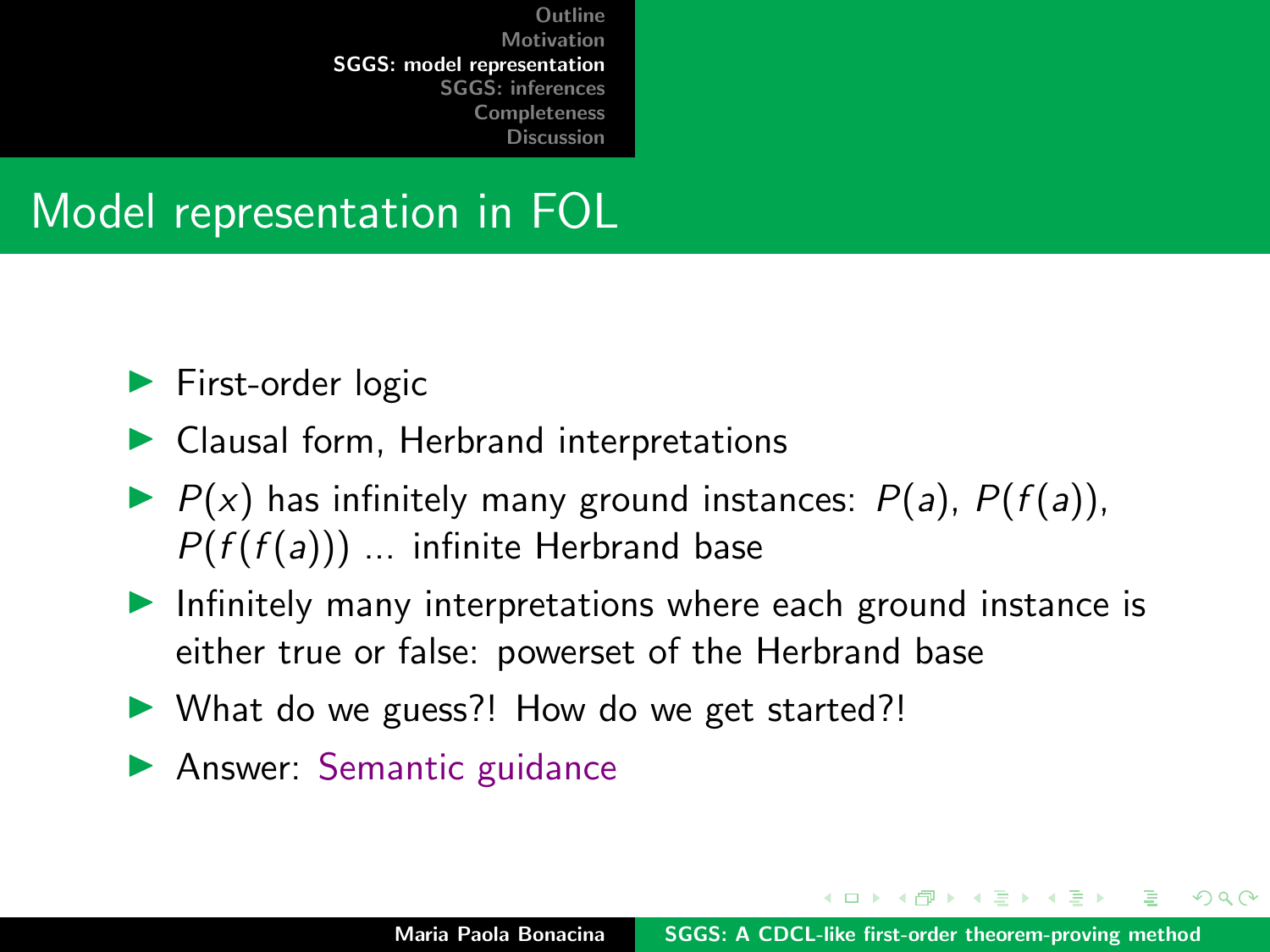## Model representation in FOL

- $\blacktriangleright$  First-order logic
- $\blacktriangleright$  Clausal form, Herbrand interpretations
- $\blacktriangleright$   $P(x)$  has infinitely many ground instances:  $P(a)$ ,  $P(f(a))$ ,  $P(f(f(a)))$  ... infinite Herbrand base
- $\blacktriangleright$  Infinitely many interpretations where each ground instance is either true or false: powerset of the Herbrand base
- $\triangleright$  What do we guess?! How do we get started?!
- **Answer: Semantic guidance**

イロメ マ桐 トマ ヨ トマ ヨメ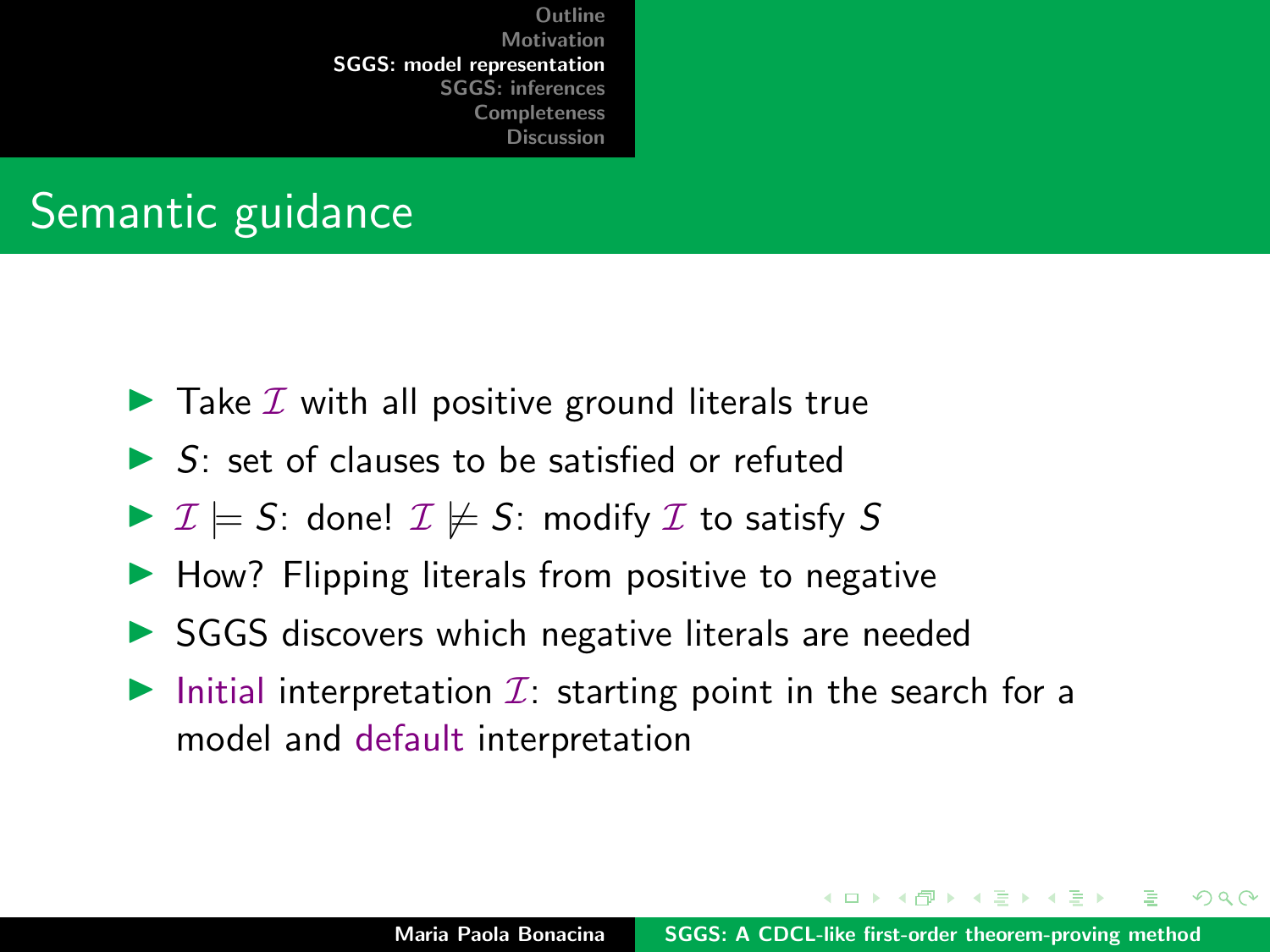## Semantic guidance

- $\blacktriangleright$  Take  $\mathcal I$  with all positive ground literals true
- $\triangleright$  S: set of clauses to be satisfied or refuted
- $\triangleright$   $\mathcal{I} \models S$ : done!  $\mathcal{I} \not\models S$ : modify  $\mathcal{I}$  to satisfy S
- $\blacktriangleright$  How? Flipping literals from positive to negative
- $\triangleright$  SGGS discovers which negative literals are needed
- Initial interpretation  $\mathcal{I}$ : starting point in the search for a model and default interpretation

イロメ マ桐 トマ ヨ トマ ヨメ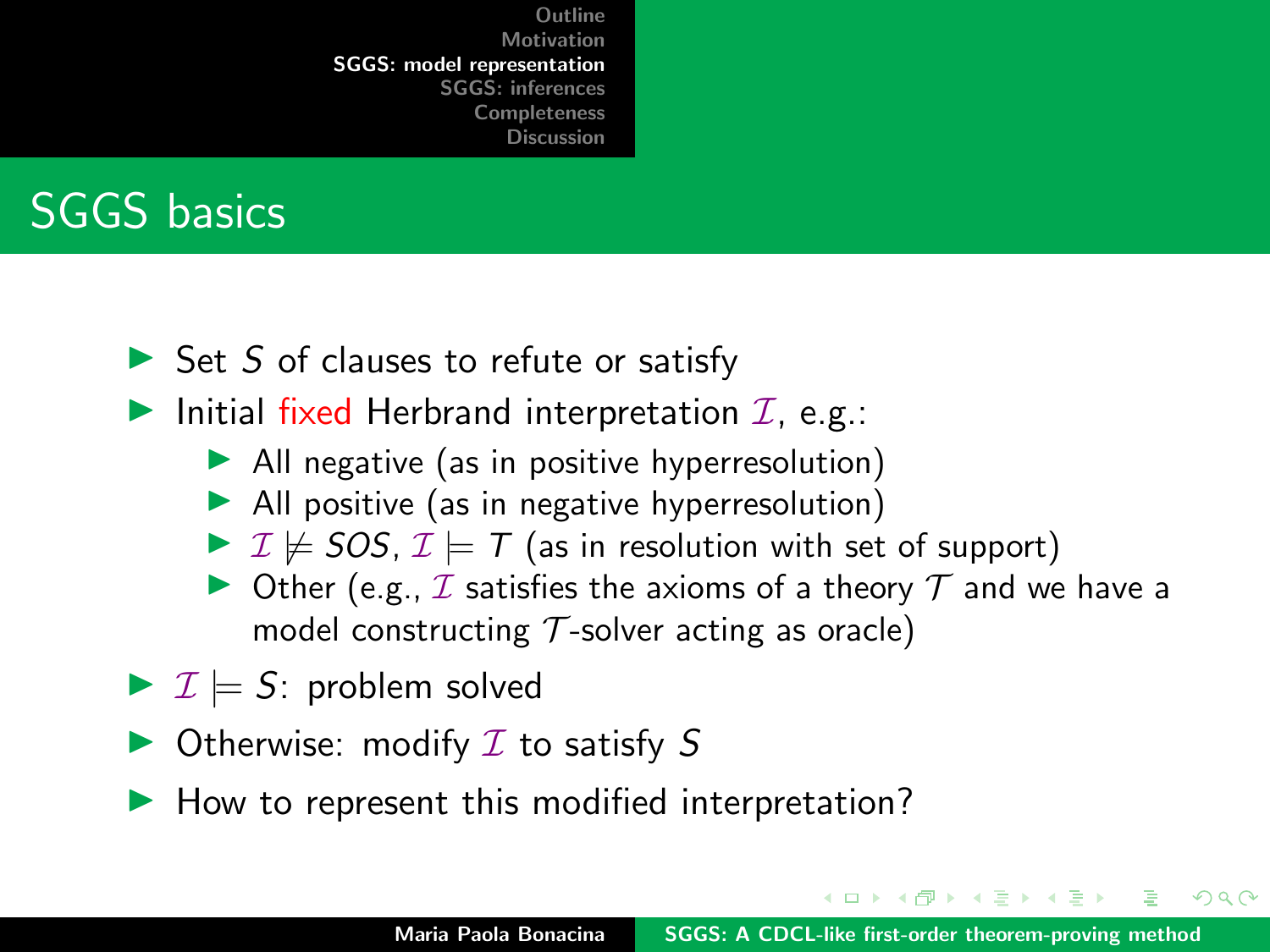

- $\triangleright$  Set S of clauses to refute or satisfy
- Initial fixed Herbrand interpretation  $\mathcal{I}$ , e.g.:
	- $\blacktriangleright$  All negative (as in positive hyperresolution)
	- $\blacktriangleright$  All positive (as in negative hyperresolution)
	- $\triangleright$   $\mathcal{I} \not\models$  SOS,  $\mathcal{I} \models$  T (as in resolution with set of support)
	- $\triangleright$  Other (e.g.,  $I$  satisfies the axioms of a theory  $T$  and we have a model constructing  $\mathcal T$ -solver acting as oracle)
- $\triangleright$   $\mathcal{I} \models$  S: problem solved
- $\triangleright$  Otherwise: modify  $I$  to satisfy S
- $\blacktriangleright$  How to represent this modified interpretation?

イロト イ母 トイラト イラトー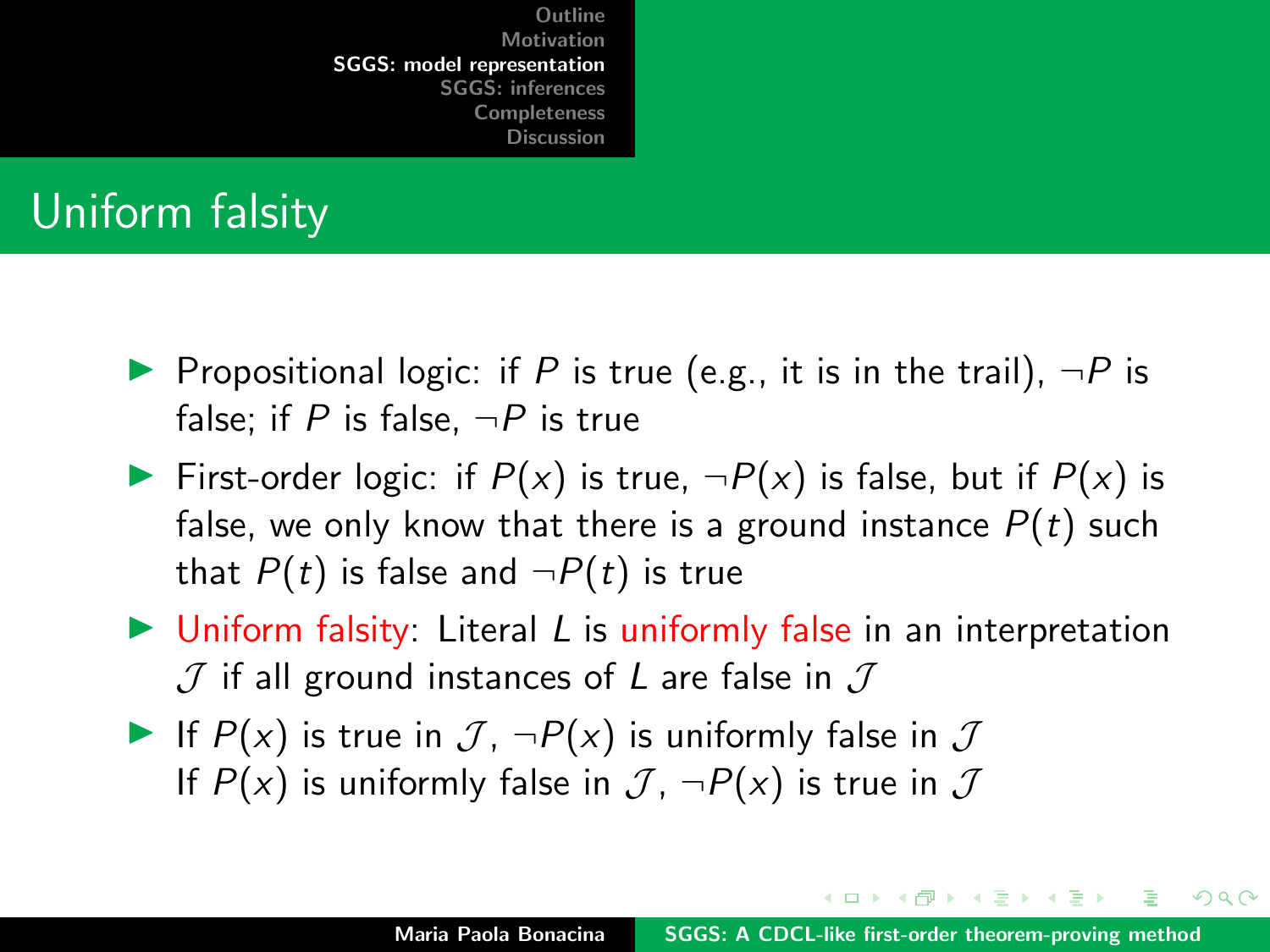## Uniform falsity

- **Propositional logic:** if P is true (e.g., it is in the trail),  $\neg P$  is false; if P is false,  $\neg P$  is true
- First-order logic: if  $P(x)$  is true,  $\neg P(x)$  is false, but if  $P(x)$  is false, we only know that there is a ground instance  $P(t)$  such that  $P(t)$  is false and  $\neg P(t)$  is true
- $\triangleright$  Uniform falsity: Literal L is uniformly false in an interpretation  $J$  if all ground instances of L are false in  $J$
- If  $P(x)$  is true in  $\mathcal{J}$ ,  $\neg P(x)$  is uniformly false in  $\mathcal J$ If  $P(x)$  is uniformly false in  $\mathcal{J}$ ,  $\neg P(x)$  is true in  $\mathcal{J}$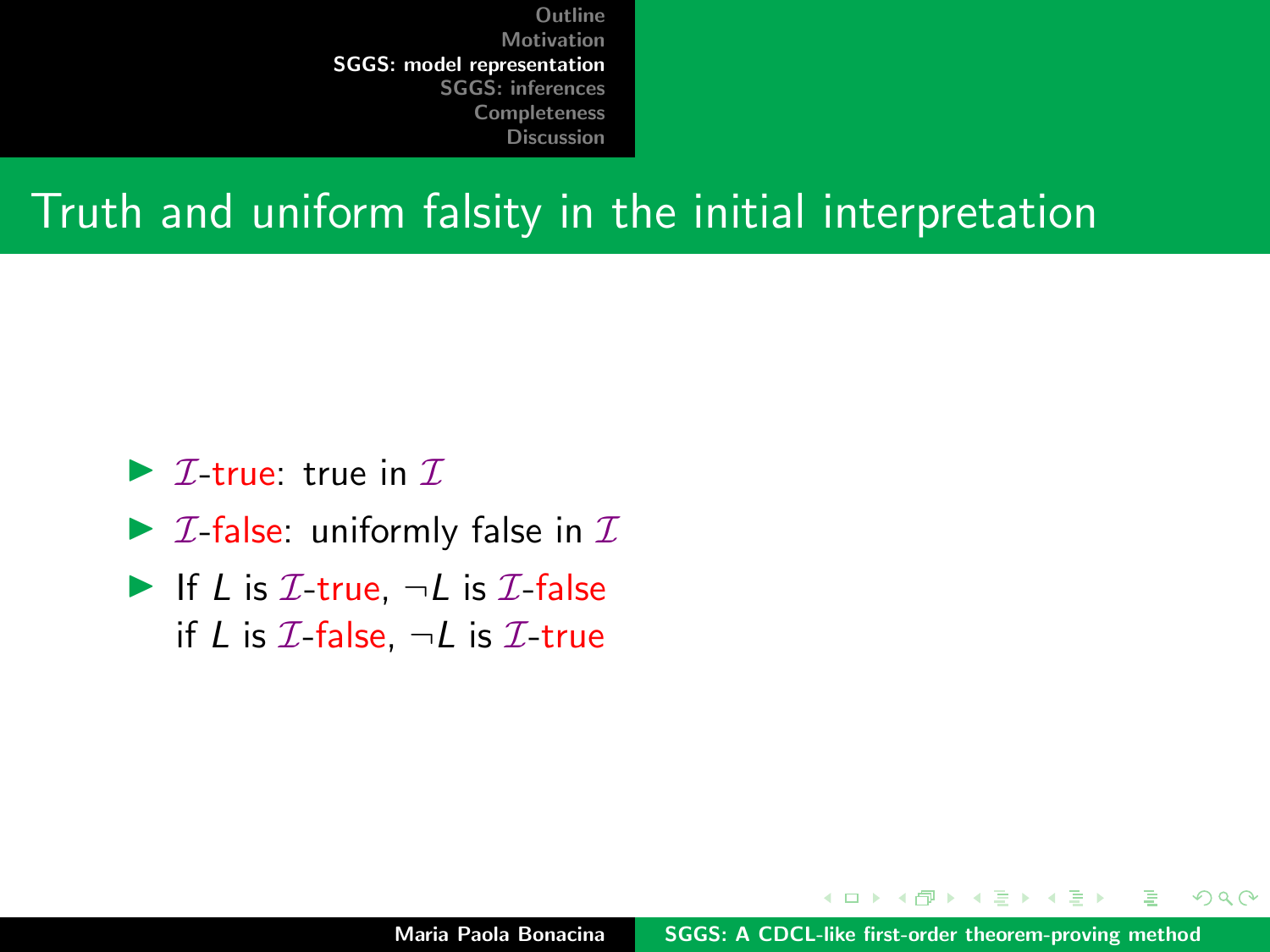#### Truth and uniform falsity in the initial interpretation

- $\triangleright$  *T*-true: true in *T*.
- $\triangleright$  *I*-false: uniformly false in *I*
- If L is  $\mathcal{I}\text{-true}$ ,  $\neg L$  is  $\mathcal{I}\text{-false}$ if L is  $\mathcal{I}\text{-false}$ ,  $\neg L$  is  $\mathcal{I}\text{-true}$

 $\mathcal{A}$   $\overline{\mathcal{B}}$   $\mathcal{B}$   $\mathcal{A}$   $\mathcal{B}$   $\mathcal{B}$ 

 $2Q$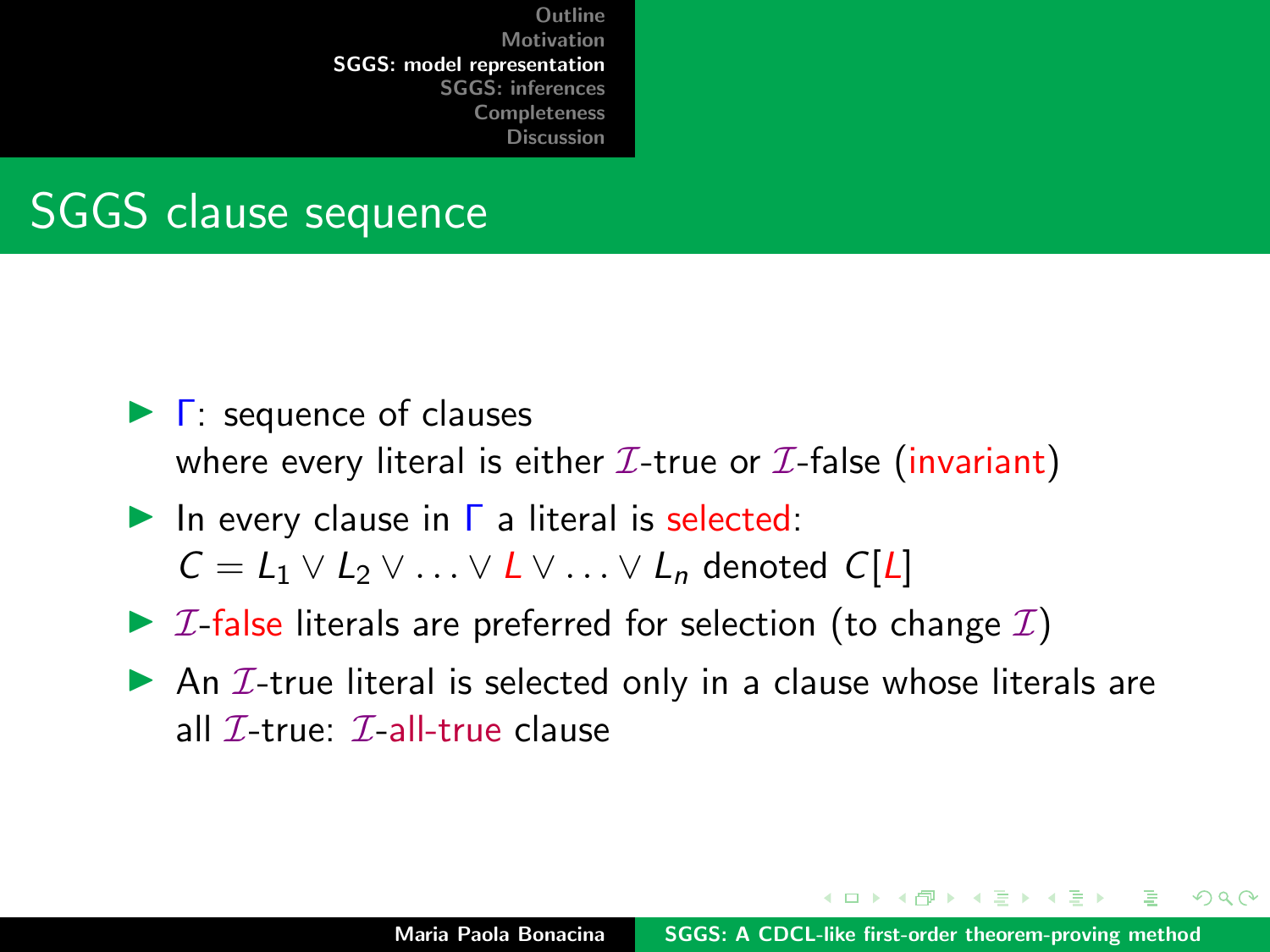

- $\blacktriangleright$   $\Gamma$ : sequence of clauses where every literal is either  $\mathcal{I}\text{-true}$  or  $\mathcal{I}\text{-false}$  (invariant)
- In every clause in  $\Gamma$  a literal is selected:  $C = L_1 \vee L_2 \vee \ldots \vee L \vee \ldots \vee L_n$  denoted  $C[L]$
- $\triangleright$  *I*-false literals are preferred for selection (to change *I*)
- An  $I$ -true literal is selected only in a clause whose literals are all  $\mathcal{I}$ -true:  $\mathcal{I}$ -all-true clause

- 4 何 ト 4 戸 ト 4 戸 ト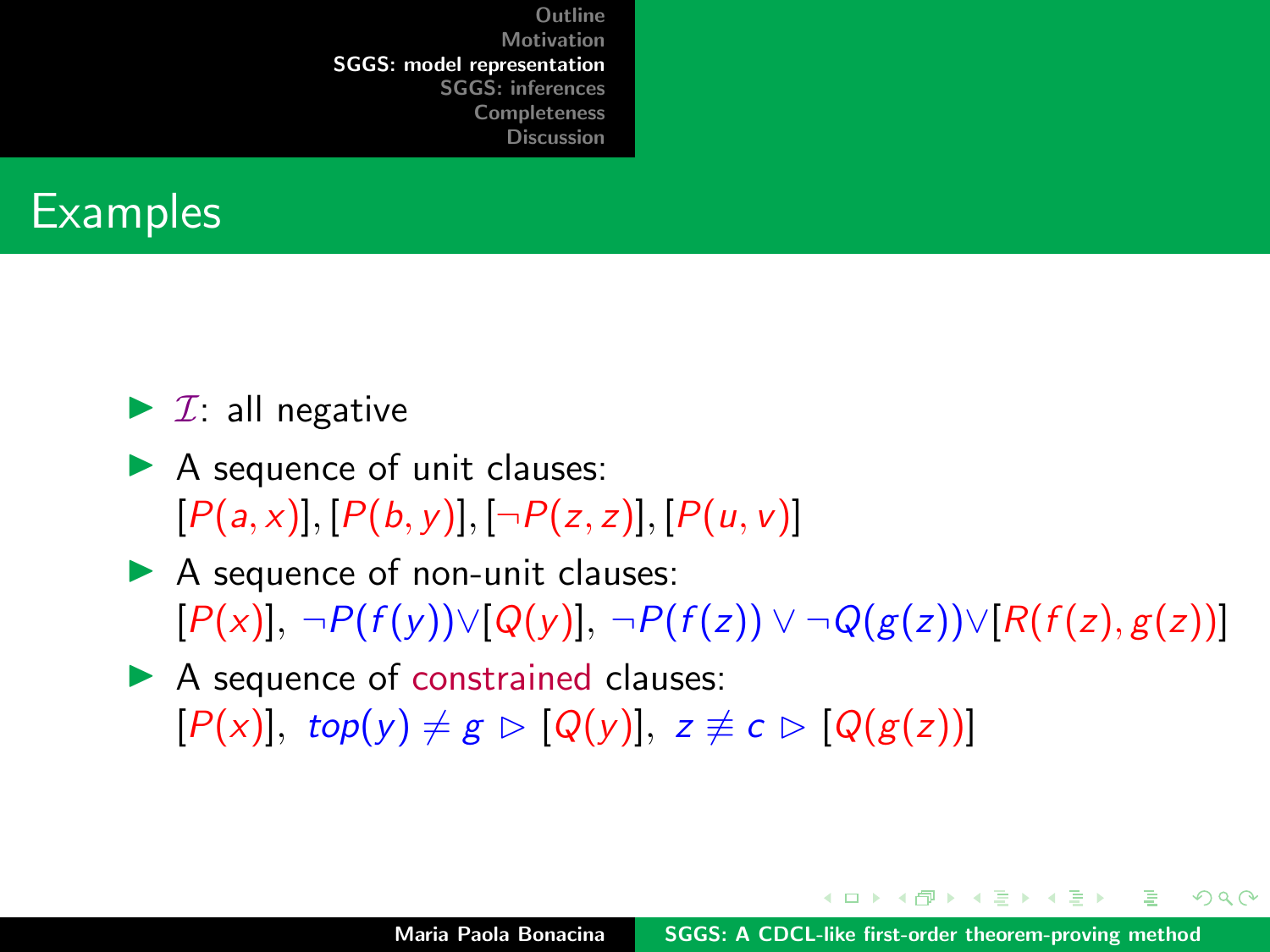

#### $\blacktriangleright$  *I*: all negative

- $\blacktriangleright$  A sequence of unit clauses:  $[P(a, x)], [P(b, y)], [\neg P(z, z)], [P(u, v)]$
- $\blacktriangleright$  A sequence of non-unit clauses:  $[P(x)], \neg P(f(y)) \vee [Q(y)], \neg P(f(z)) \vee \neg Q(g(z)) \vee [R(f(z), g(z))]$
- $\blacktriangleright$  A sequence of constrained clauses:  $[P(x)]$ , top(y)  $\neq g \triangleright [Q(y)]$ ,  $z \not\equiv c \triangleright [Q(g(z))]$

 $\mathcal{A}$   $\overline{\mathcal{B}}$   $\mathcal{B}$   $\mathcal{A}$   $\mathcal{B}$   $\mathcal{B}$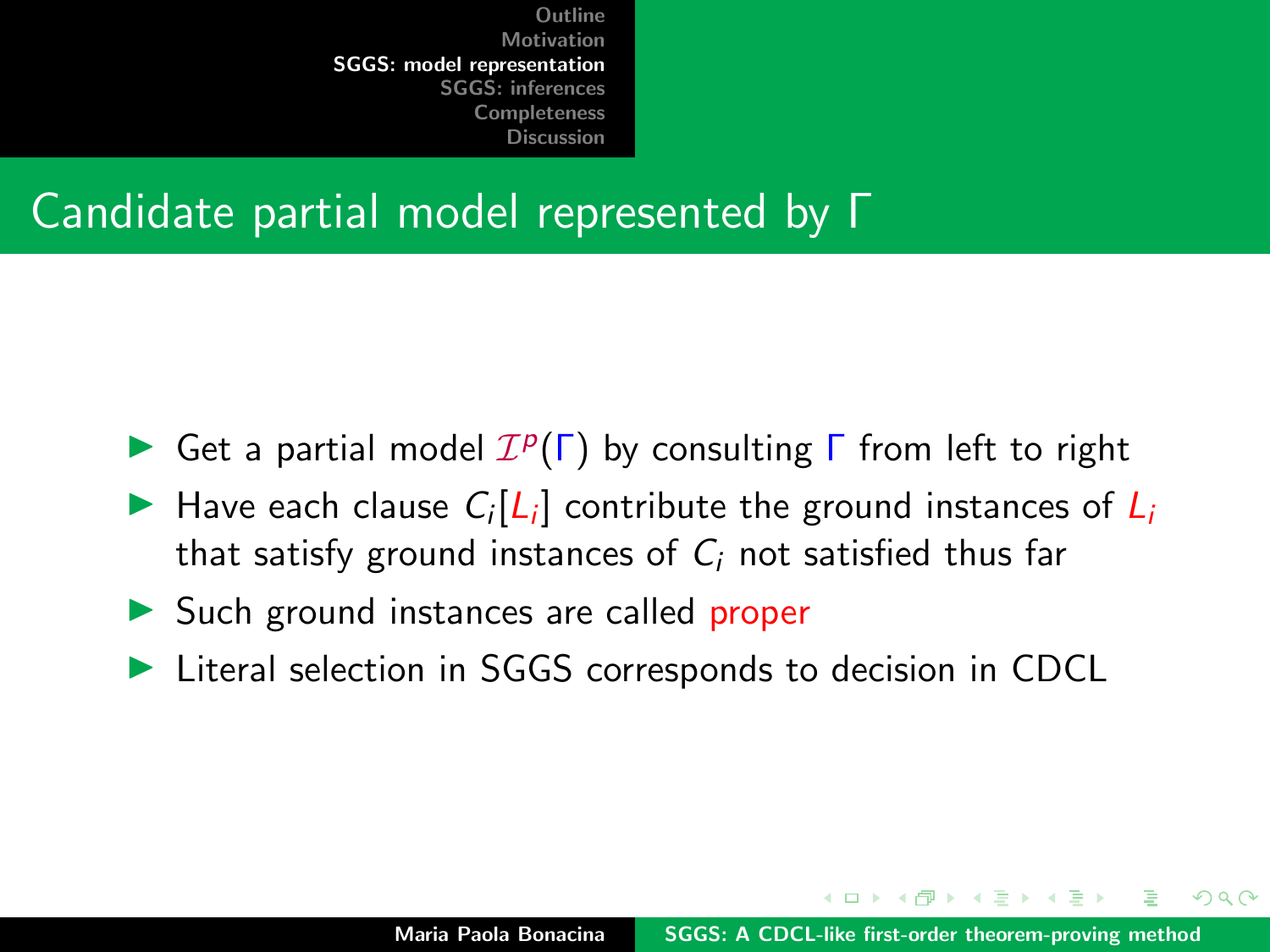### Candidate partial model represented by Γ

- Get a partial model  $\mathcal{I}^p(\Gamma)$  by consulting  $\Gamma$  from left to right
- Have each clause  $C_i[L_i]$  contribute the ground instances of  $L_i$ that satisfy ground instances of  $C_i$  not satisfied thus far
- $\triangleright$  Such ground instances are called proper
- ▶ Literal selection in SGGS corresponds to decision in CDCL

イロメ マ桐 トマ ヨ トマ ヨメ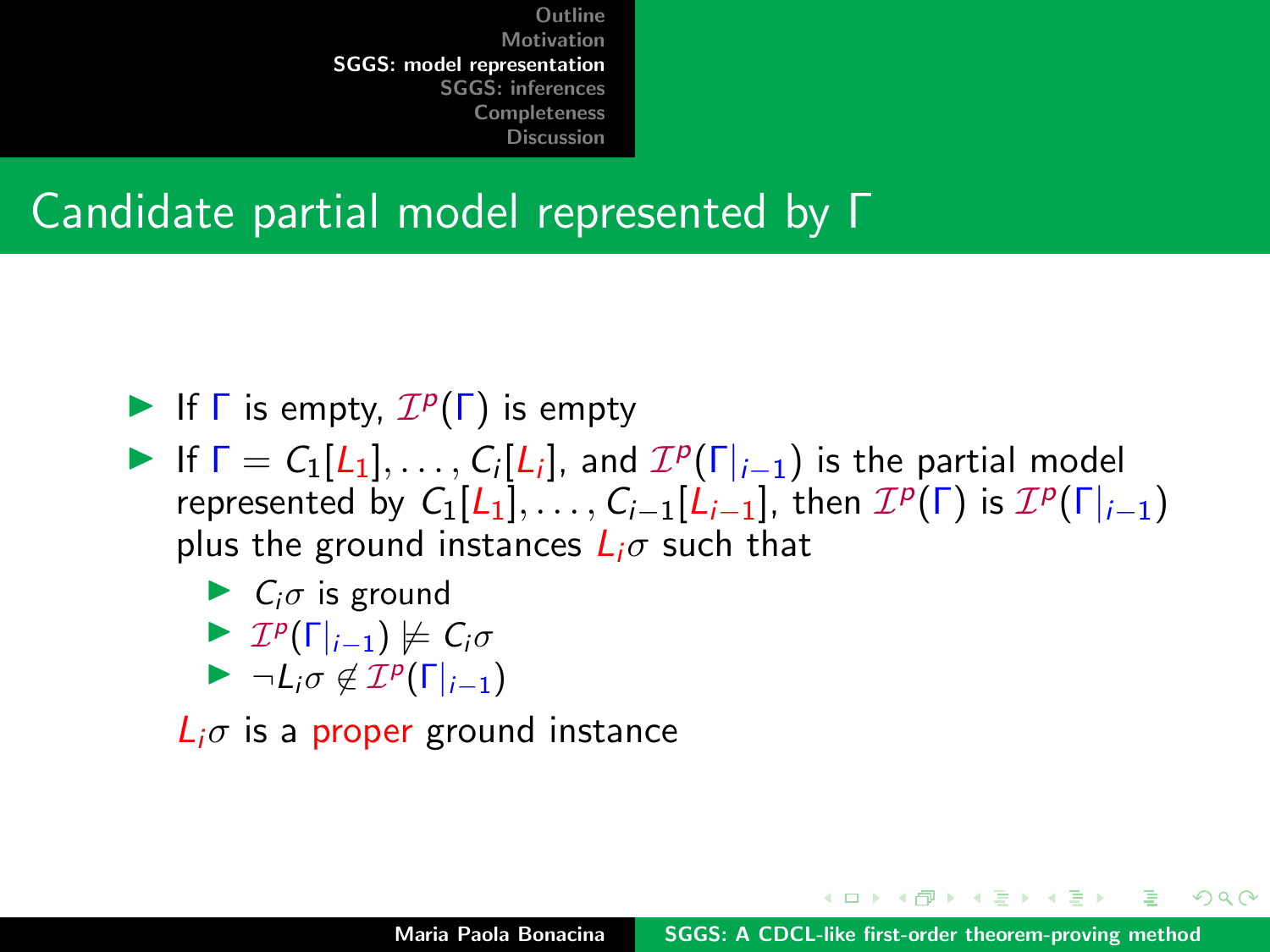#### Candidate partial model represented by Γ

- If  $\Gamma$  is empty,  $\mathcal{I}^p(\Gamma)$  is empty
- If  $\Gamma = C_1[L_1], \ldots, C_i[L_i]$ , and  $\mathcal{I}^p(\Gamma|_{i-1})$  is the partial model represented by  $C_1[L_1], \ldots, C_{i-1}[L_{i-1}],$  then  $\mathcal{I}^p(\Gamma)$  is  $\mathcal{I}^p(\Gamma|_{i-1})$ plus the ground instances  $L_i\sigma$  such that
	- $\blacktriangleright$  C<sub>i</sub> $\sigma$  is ground
	- $\blacktriangleright$   $\mathcal{I}^p(\Gamma|_{i-1}) \not\models C_i \sigma$
	- $\blacktriangleright \neg L_i \sigma \notin \mathcal{I}^p(\Gamma|_{i-1})$

 $\mathcal{L}_{i}\sigma$  is a proper ground instance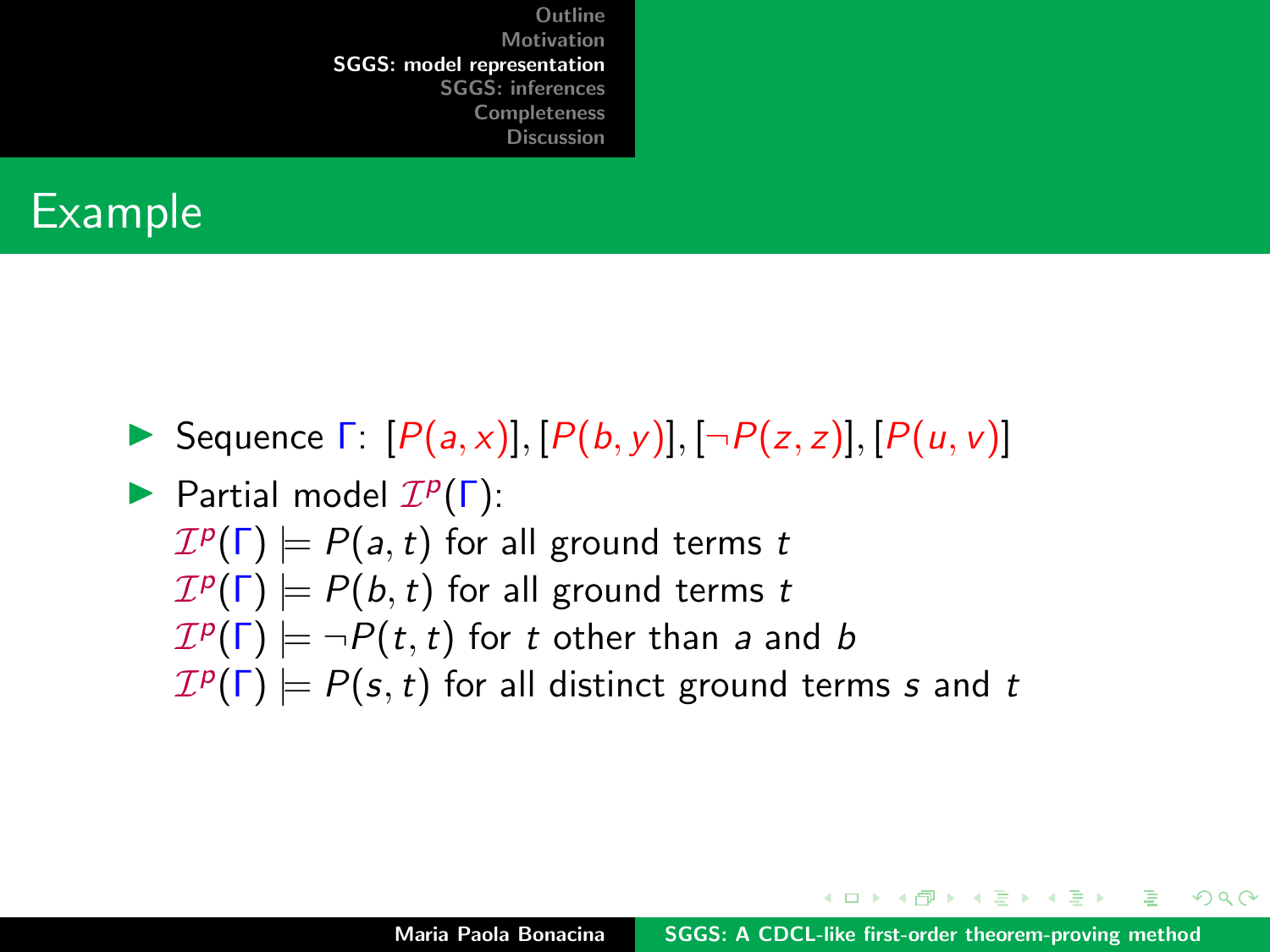### Example

Sequence  $\Gamma: [P(a,x)], [P(b,y)], [\neg P(z,z)], [P(u,v)]$ 

Partial model  $\mathcal{I}^p(\Gamma)$ :  $\mathcal{I}^p(\Gamma) \models P(a,t)$  for all ground terms  $t$  $\mathcal{I}^p(\Gamma) \models P(b,t)$  for all ground terms  $t$  $\mathcal{I}^p(\mathsf{\Gamma}) \models \neg P(t,t)$  for  $t$  other than  $a$  and  $b$  $\mathcal{I}^p(\Gamma) \models P(s,t)$  for all distinct ground terms s and t

イロメ イ押 トラ ミトラ ミント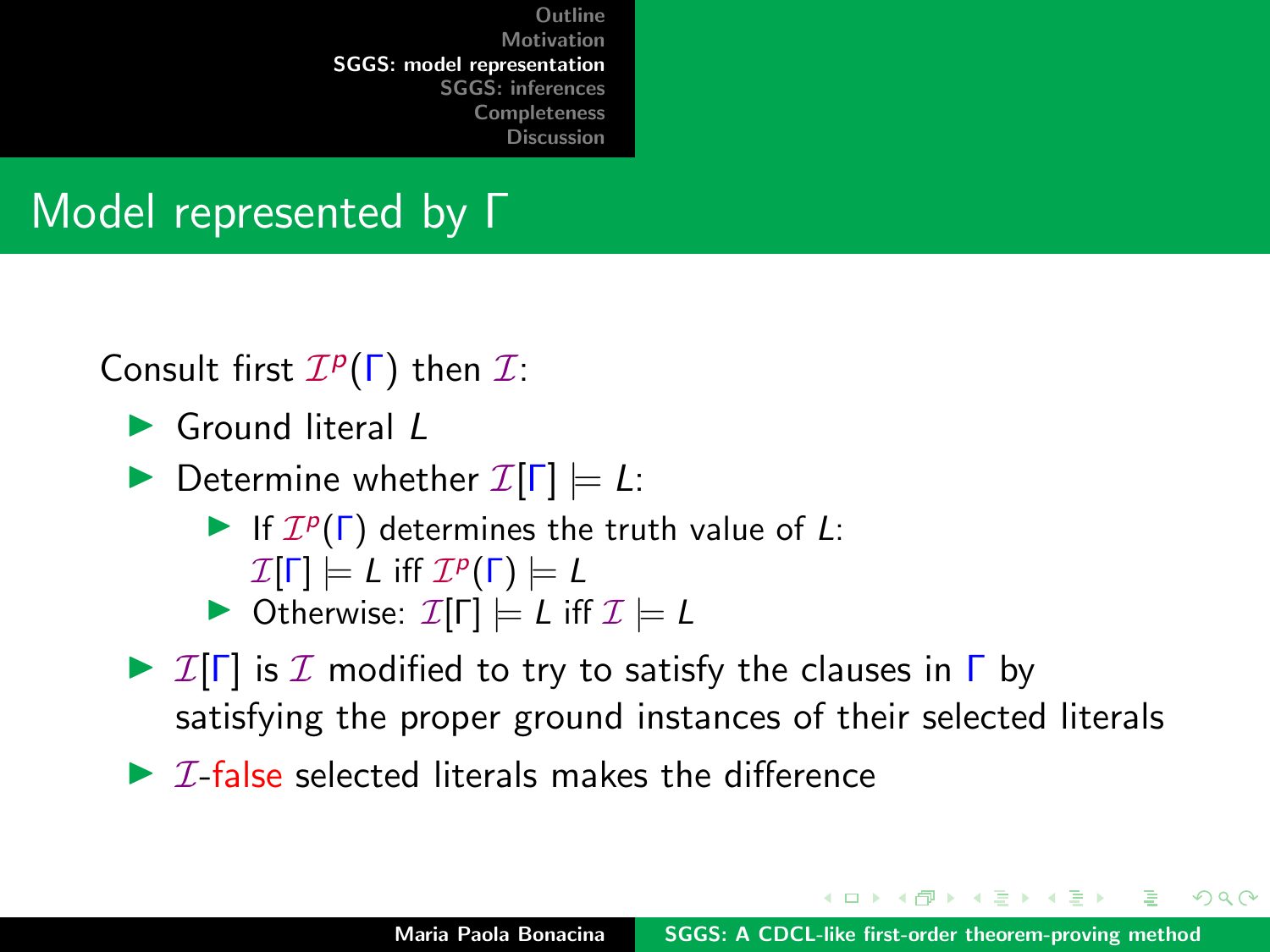## Model represented by Γ

Consult first  $\mathcal{I}^p(\Gamma)$  then  $\mathcal{I}$ :

 $\blacktriangleright$  Ground literal L

**Determine whether**  $\mathcal{I}[\Gamma] \models L$ :

If  $\mathcal{I}^p(\Gamma)$  determines the truth value of L:  $\mathcal{I}[\Gamma] \models \textit{L}$  iff  $\mathcal{I}^p(\Gamma) \models \textit{L}$ 

 $\triangleright$  Otherwise:  $\mathcal{I}[\Gamma] \models L$  iff  $\mathcal{I} \models L$ 

- $\triangleright$  I[ $\Gamma$ ] is I modified to try to satisfy the clauses in  $\Gamma$  by satisfying the proper ground instances of their selected literals
- $\triangleright$  *T*-false selected literals makes the difference

イロメ マ桐 トマ ヨ トマ ヨメ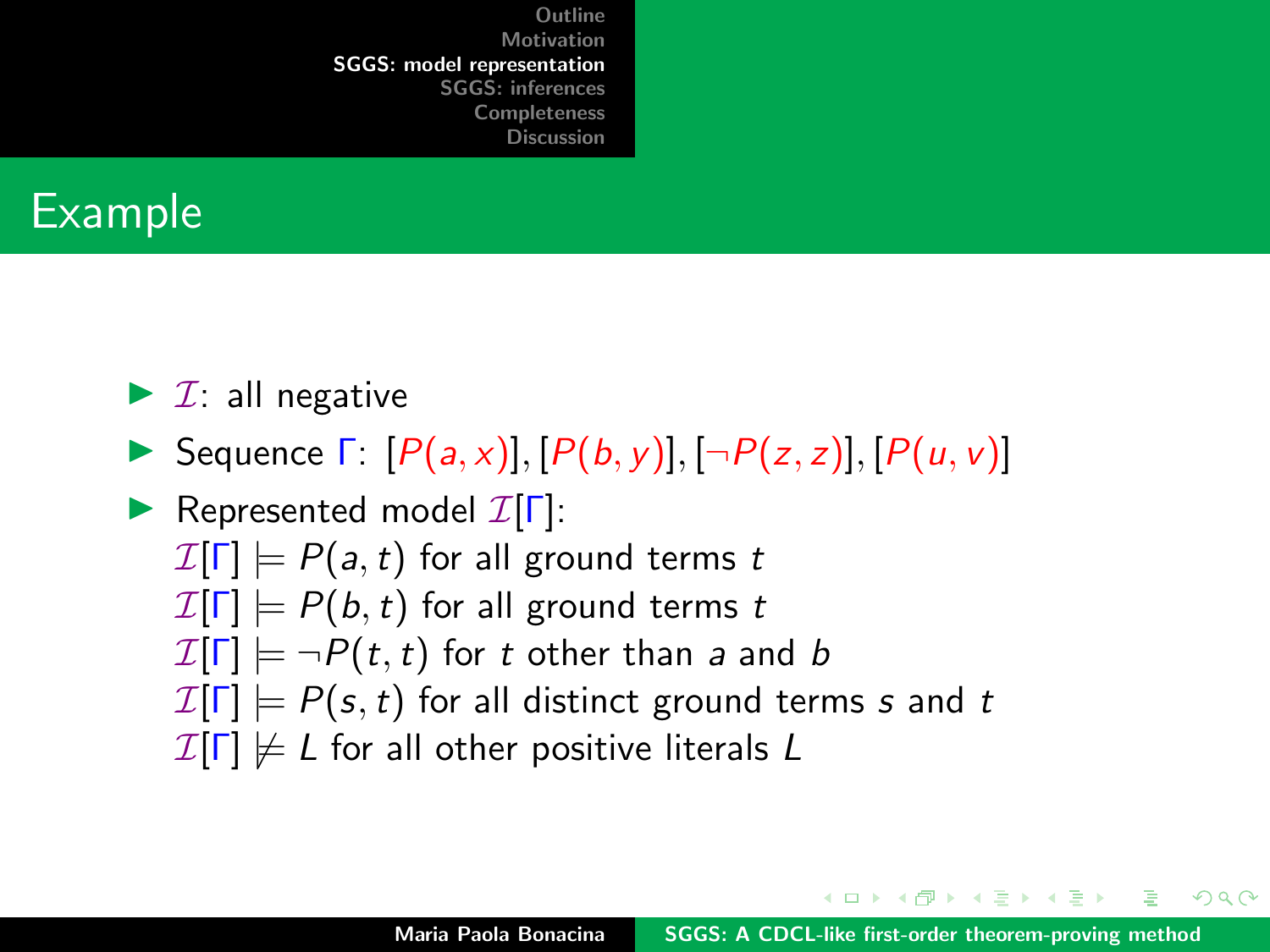

#### $\blacktriangleright$  *I*: all negative

Sequence  $\Gamma: [P(a,x)], [P(b,y)], [\neg P(z,z)], [P(u,v)]$ 

Represented model  $\mathcal{I}[\Gamma]$ :  $\mathcal{I}[\Gamma] \models P(a, t)$  for all ground terms t  $\mathcal{I}[\Gamma] \models P(b, t)$  for all ground terms t  $\mathcal{I}[\Gamma] \models \neg P(t, t)$  for t other than a and b  $\mathcal{I}[\Gamma] \models P(s,t)$  for all distinct ground terms s and t  $\mathcal{I}[\Gamma] \not\models L$  for all other positive literals L

イロメ イ押 トラ ミトラ ミト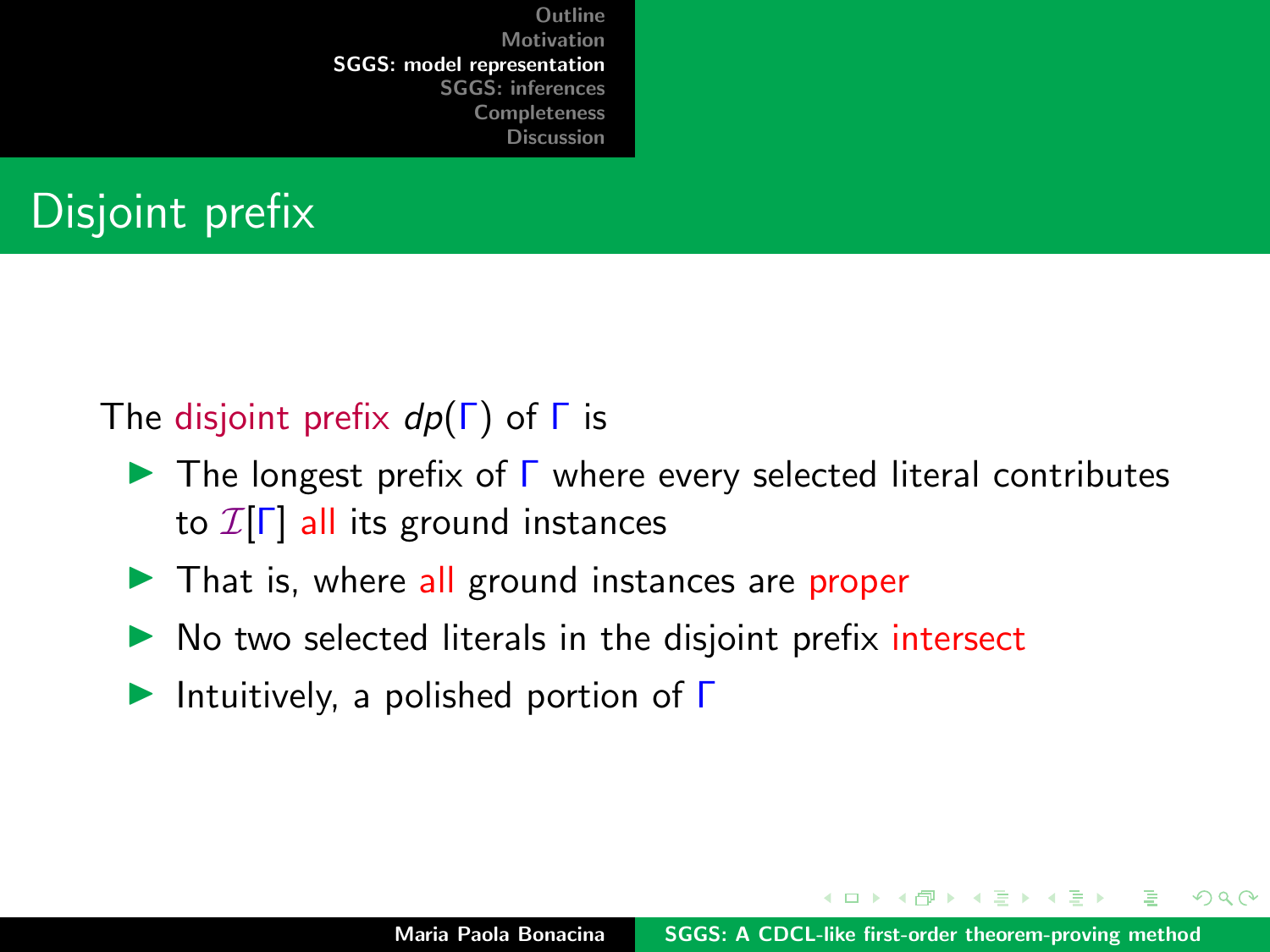## Disjoint prefix

#### The disjoint prefix  $dp(\Gamma)$  of  $\Gamma$  is

- $\blacktriangleright$  The longest prefix of  $\Gamma$  where every selected literal contributes to  $\mathcal{I}[\Gamma]$  all its ground instances
- $\blacktriangleright$  That is, where all ground instances are proper
- $\triangleright$  No two selected literals in the disjoint prefix intersect
- Intuitively, a polished portion of  $\Gamma$

イロメ マ桐 トマ ヨ トマ ヨメ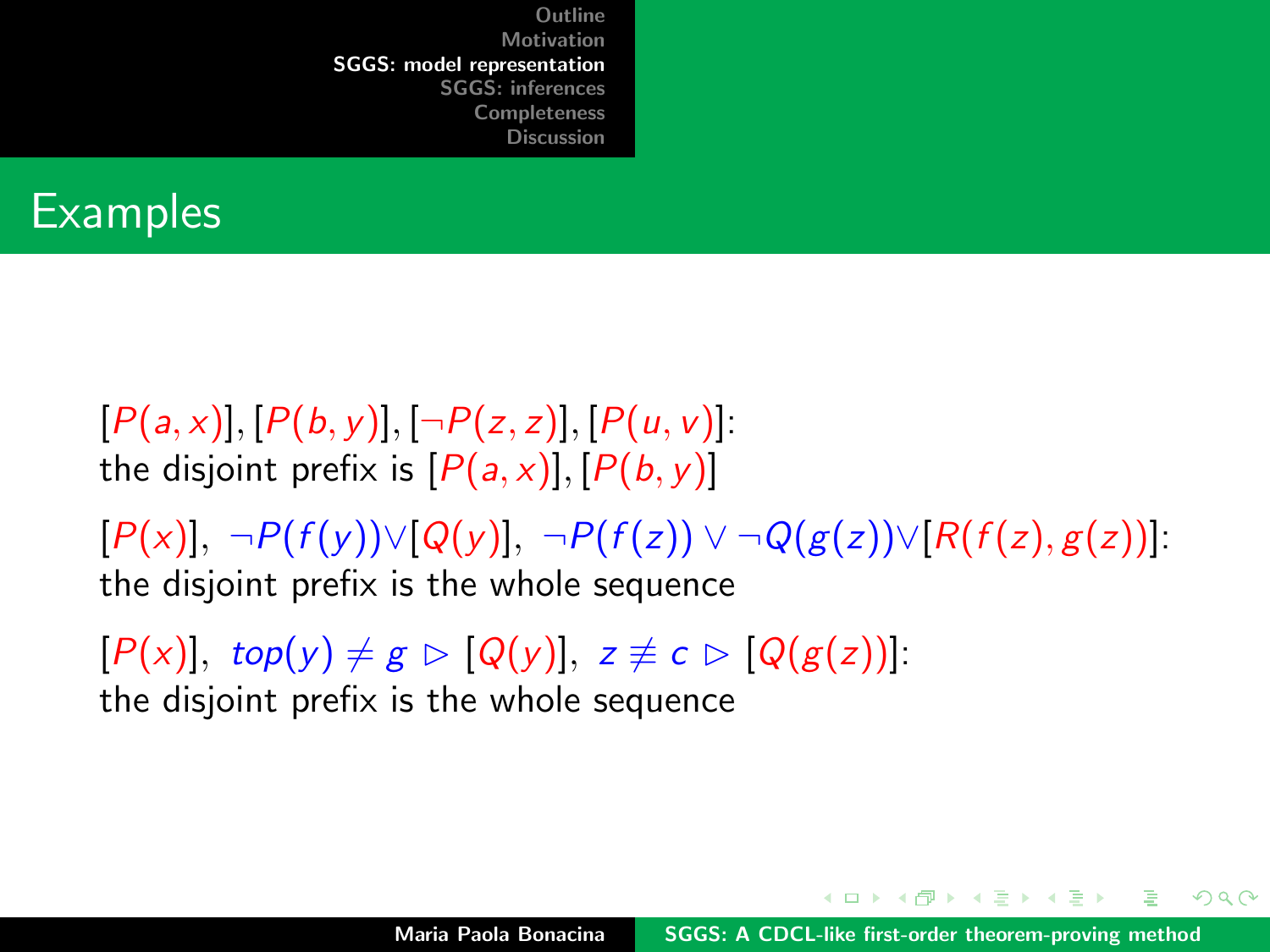

 $[P(a, x)], [P(b, y)], [\neg P(z, z)], [P(u, v)].$ the disjoint prefix is  $[P(a, x)], [P(b, y)]$ 

 $[P(x)], \neg P(f(y)) \vee [Q(y)], \neg P(f(z)) \vee \neg Q(g(z)) \vee [R(f(z), g(z))].$ the disjoint prefix is the whole sequence

 $[P(x)]$ , top(y)  $\neq g \triangleright [Q(y)]$ ,  $z \not\equiv c \triangleright [Q(g(z))]$ : the disjoint prefix is the whole sequence

イロト イタト イミト イミト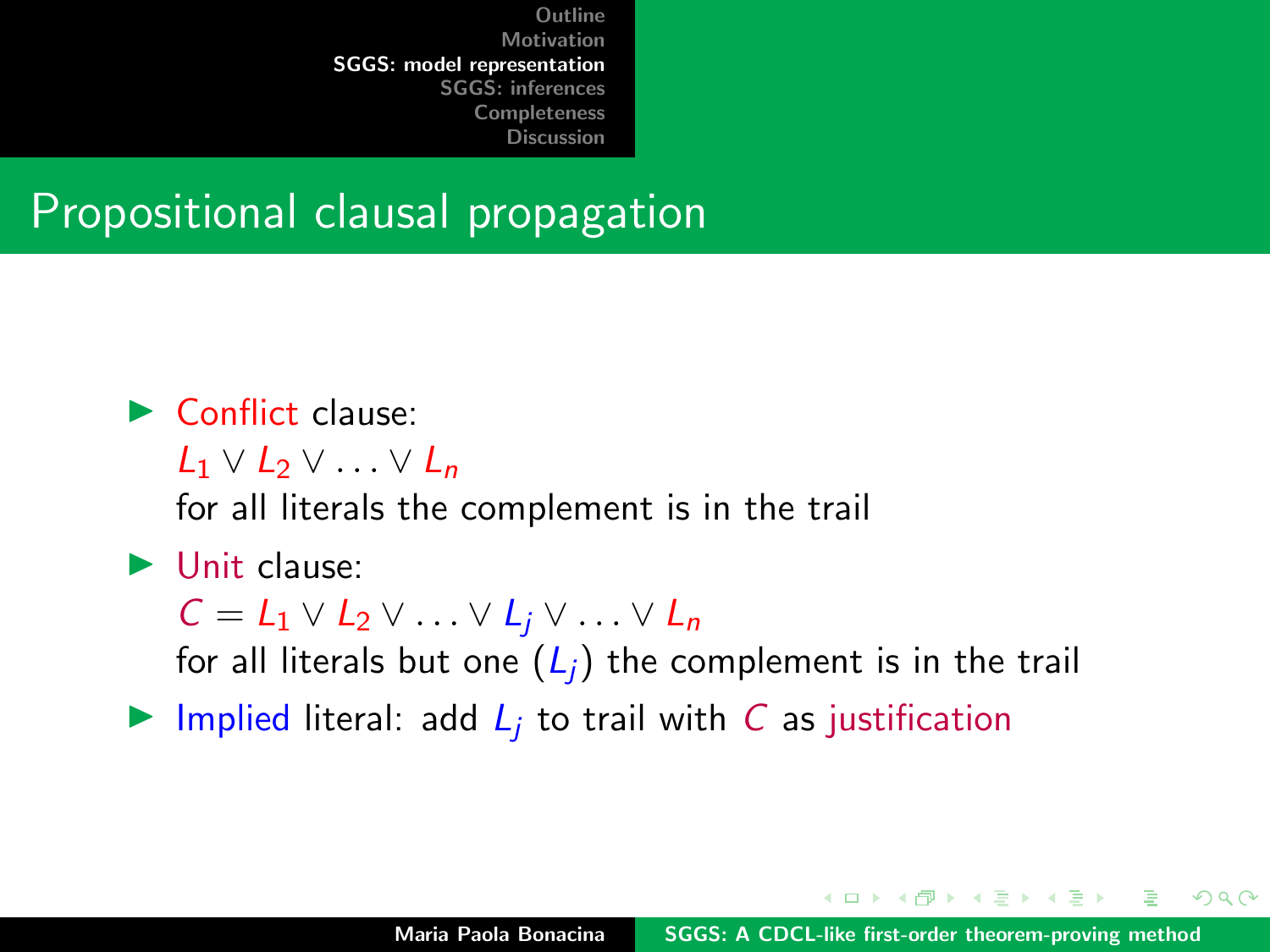#### Propositional clausal propagation

#### $\blacktriangleright$  Conflict clause:

 $L_1 \vee L_2 \vee \ldots \vee L_n$ 

for all literals the complement is in the trail

#### $\blacktriangleright$  Unit clause:

 $C = L_1 \vee L_2 \vee \ldots \vee L_i \vee \ldots \vee L_n$ 

for all literals but one  $(L_i)$  the complement is in the trail

Inplied literal: add  $L_i$  to trail with C as justification

イロメ マ桐 トマ ヨ トマ ヨメ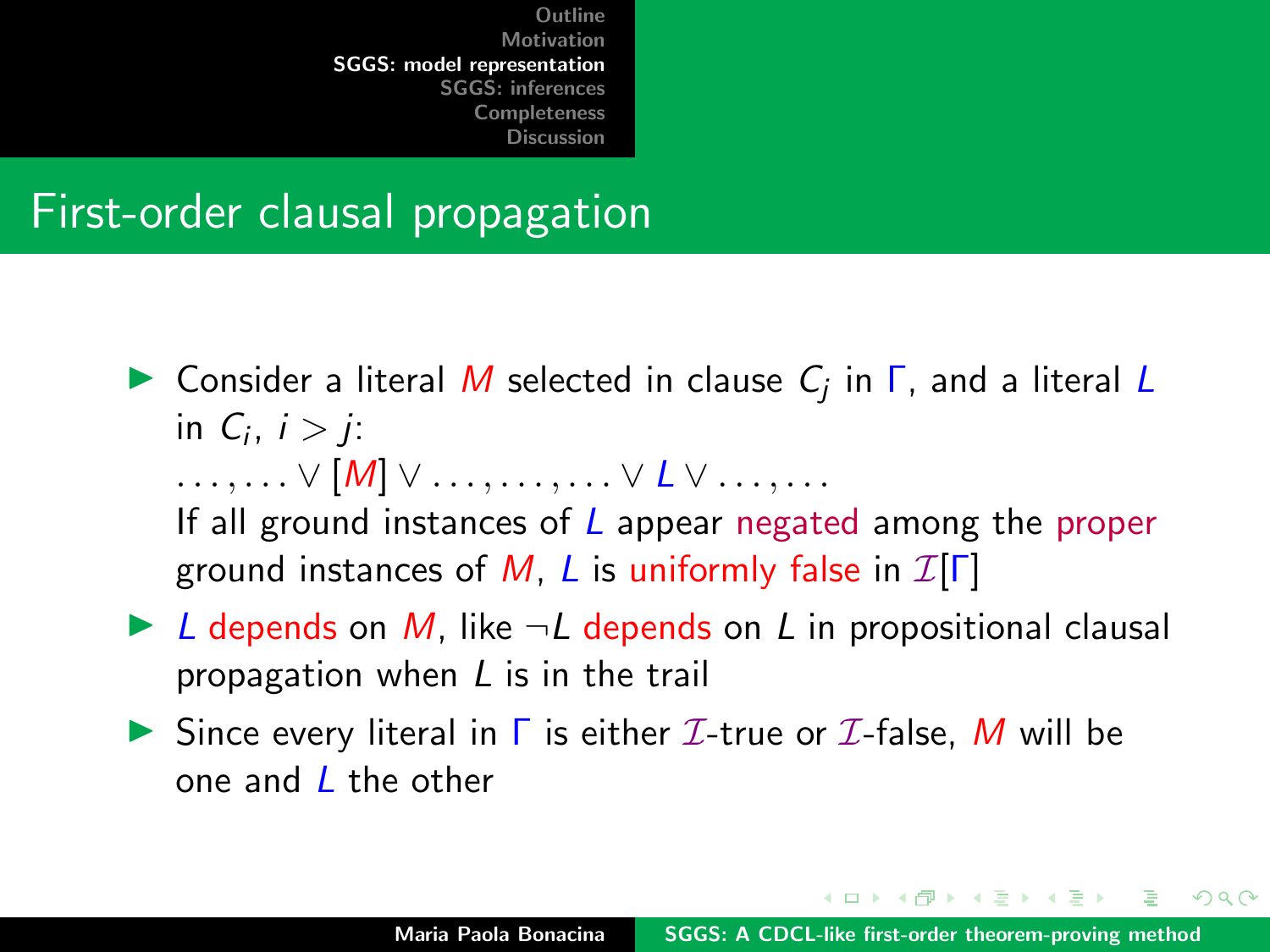#### First-order clausal propagation

- **In** Consider a literal M selected in clause  $C_j$  in  $\Gamma$ , and a literal L in  $C_i$ ,  $i > j$ :  $\ldots, \ldots \vee [M] \vee \ldots, \ldots, \ldots \vee L \vee \ldots, \ldots$ If all ground instances of  $L$  appear negated among the proper ground instances of M, L is uniformly false in  $\mathcal{I}[\Gamma]$
- $\triangleright$  L depends on M, like  $\neg L$  depends on L in propositional clausal propagation when L is in the trail
- Since every literal in  $\Gamma$  is either  $\mathcal{I}\text{-true}$  or  $\mathcal{I}\text{-false}$ , M will be one and  $\ell$  the other

イロト イタト イチト イチトー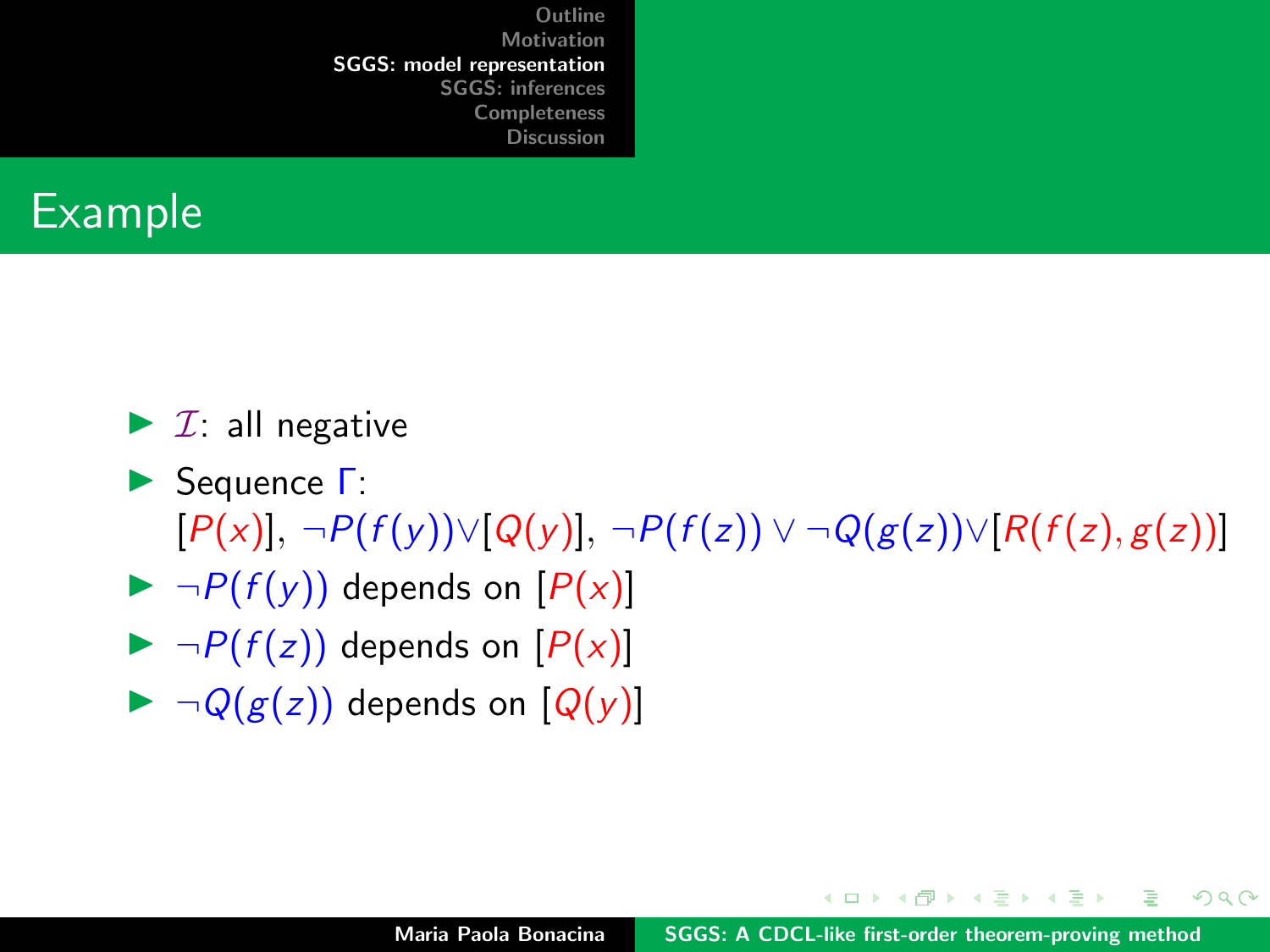

- $\blacktriangleright$  *I*: all negative
- **► Sequence Γ:**  $[P(x)], \neg P(f(y)) \vee [Q(y)], \neg P(f(z)) \vee \neg Q(g(z)) \vee [R(f(z), g(z))]$
- $\blacktriangleright \neg P(f(y))$  depends on  $[P(x)]$
- $\blacktriangleright \neg P(f(z))$  depends on  $[P(x)]$
- $\blacktriangleright \neg Q(g(z))$  depends on  $[Q(y)]$

イロト イタト イミト イミト

 $2Q$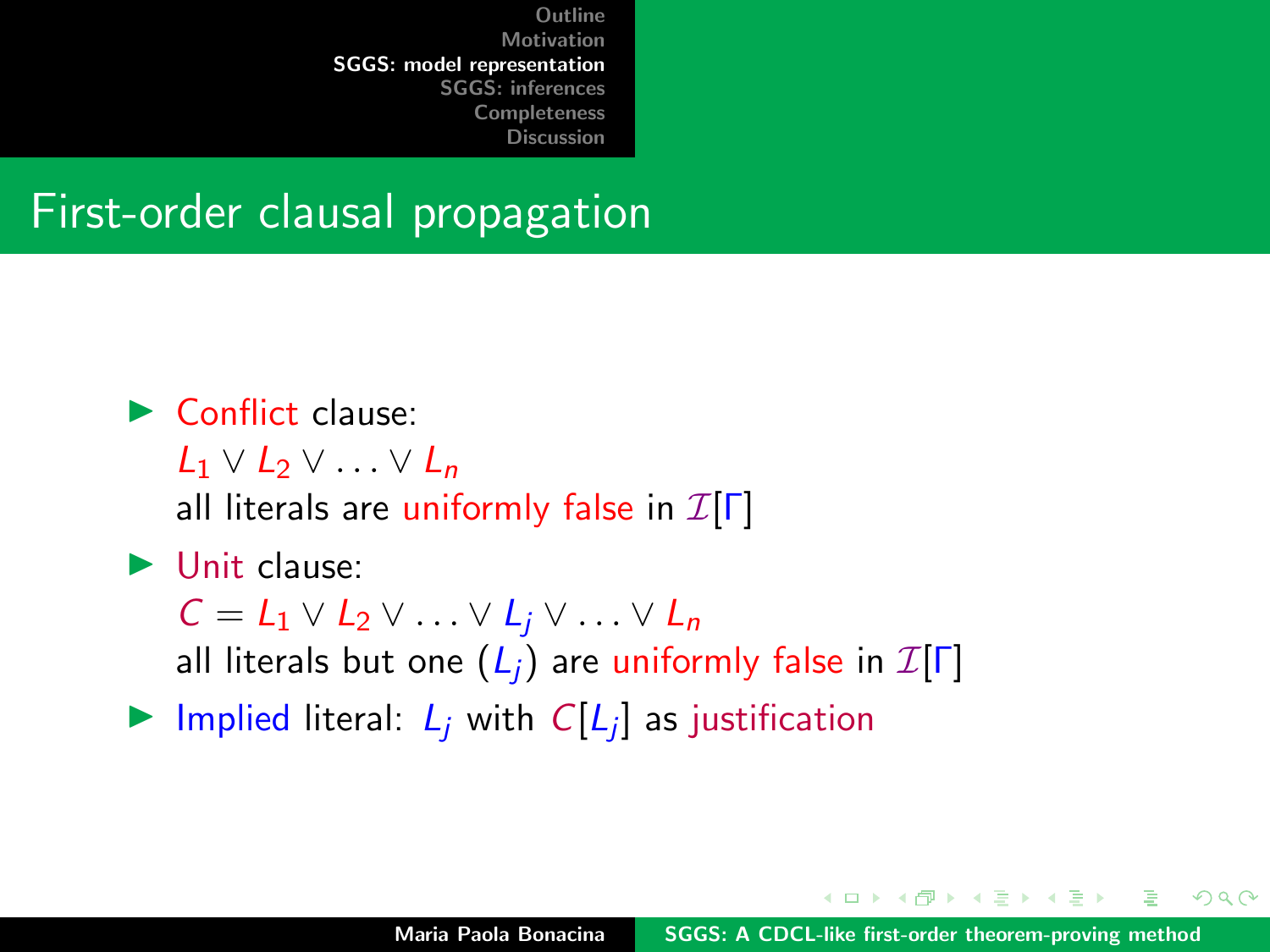#### First-order clausal propagation

#### $\blacktriangleright$  Conflict clause:

- $L_1 \vee L_2 \vee \ldots \vee L_n$
- all literals are uniformly false in  $\mathcal{I}[\Gamma]$

#### $\blacktriangleright$  Unit clause:

 $C = L_1 \vee L_2 \vee \ldots \vee L_i \vee \ldots \vee L_n$ all literals but one  $(L_i)$  are uniformly false in  $\mathcal{I}[\Gamma]$ 

Implied literal:  $L_j$  with  $C[L_j]$  as justification

イロト イ団 トイラトイラ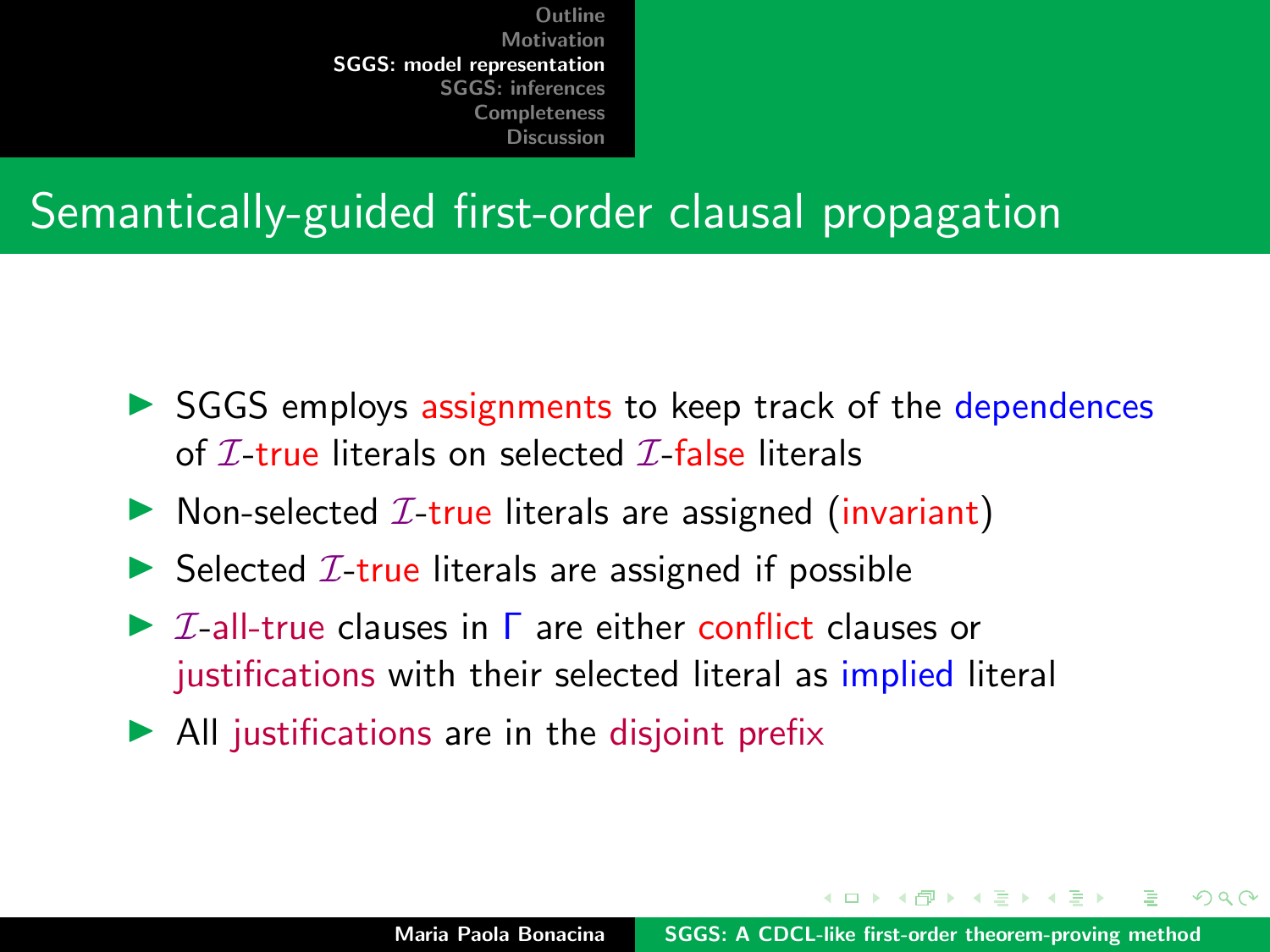### Semantically-guided first-order clausal propagation

- $\triangleright$  SGGS employs assignments to keep track of the dependences of  $\mathcal I$ -true literals on selected  $\mathcal I$ -false literals
- $\triangleright$  Non-selected *I*-true literals are assigned (invariant)
- $\triangleright$  Selected  $\mathcal{I}\text{-true}$  literals are assigned if possible
- $\triangleright$  *T*-all-true clauses in  $\Gamma$  are either conflict clauses or justifications with their selected literal as implied literal
- $\blacktriangleright$  All justifications are in the disjoint prefix

イロメ マ桐 トマ ヨ トマ ヨメ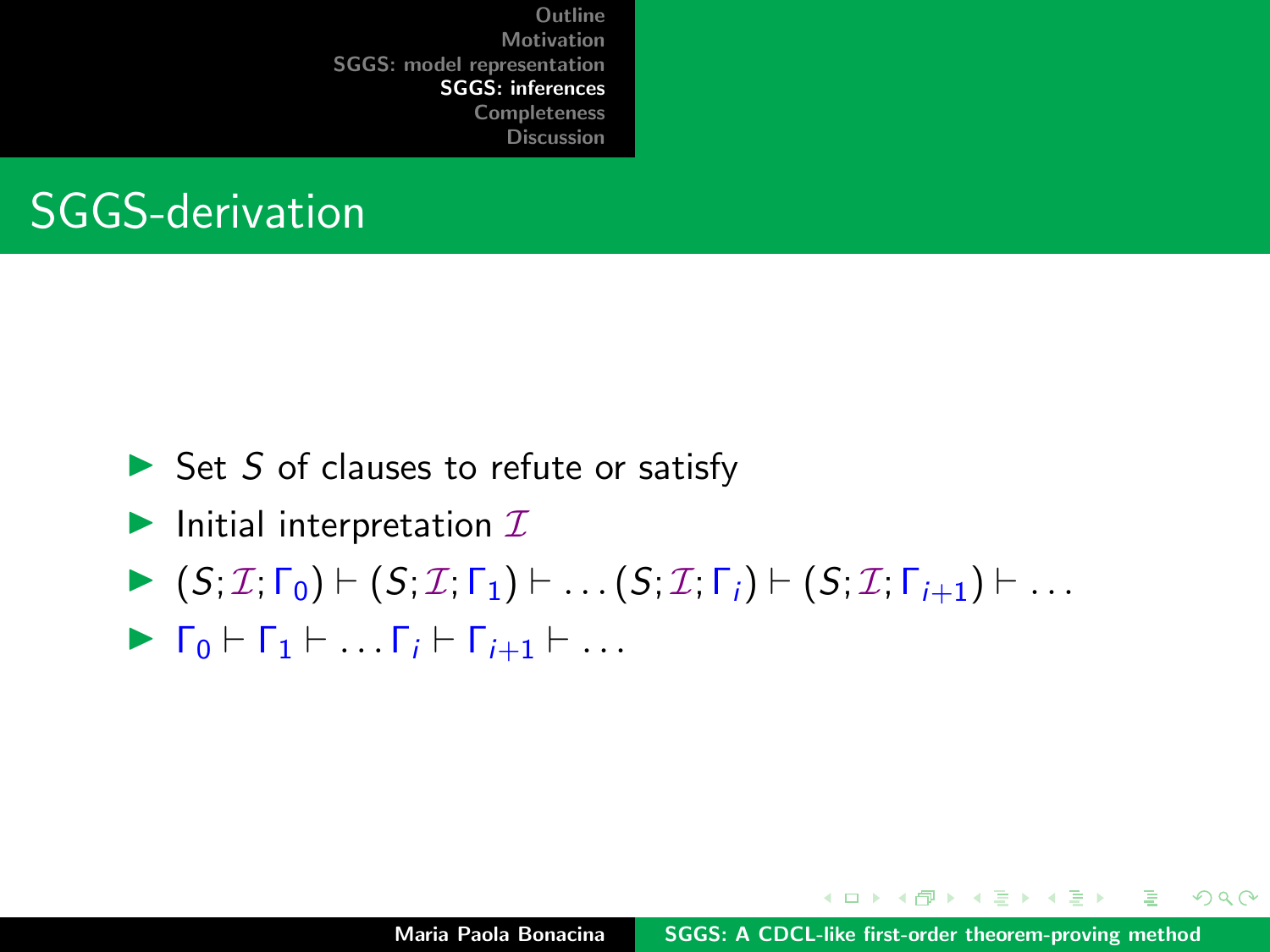<span id="page-26-0"></span>

- $\triangleright$  Set S of clauses to refute or satisfy
- Initial interpretation  $I$
- $\blacktriangleright$   $(S; \mathcal{I}; \Gamma_0) \vdash (S; \mathcal{I}; \Gamma_1) \vdash \ldots (S; \mathcal{I}; \Gamma_i) \vdash (S; \mathcal{I}; \Gamma_{i+1}) \vdash \ldots$
- $\blacktriangleright$   $\Gamma_0 \vdash \Gamma_1 \vdash \ldots \Gamma_i \vdash \Gamma_{i+1} \vdash \ldots$

イロメ イ押 トラ ミトラ ミント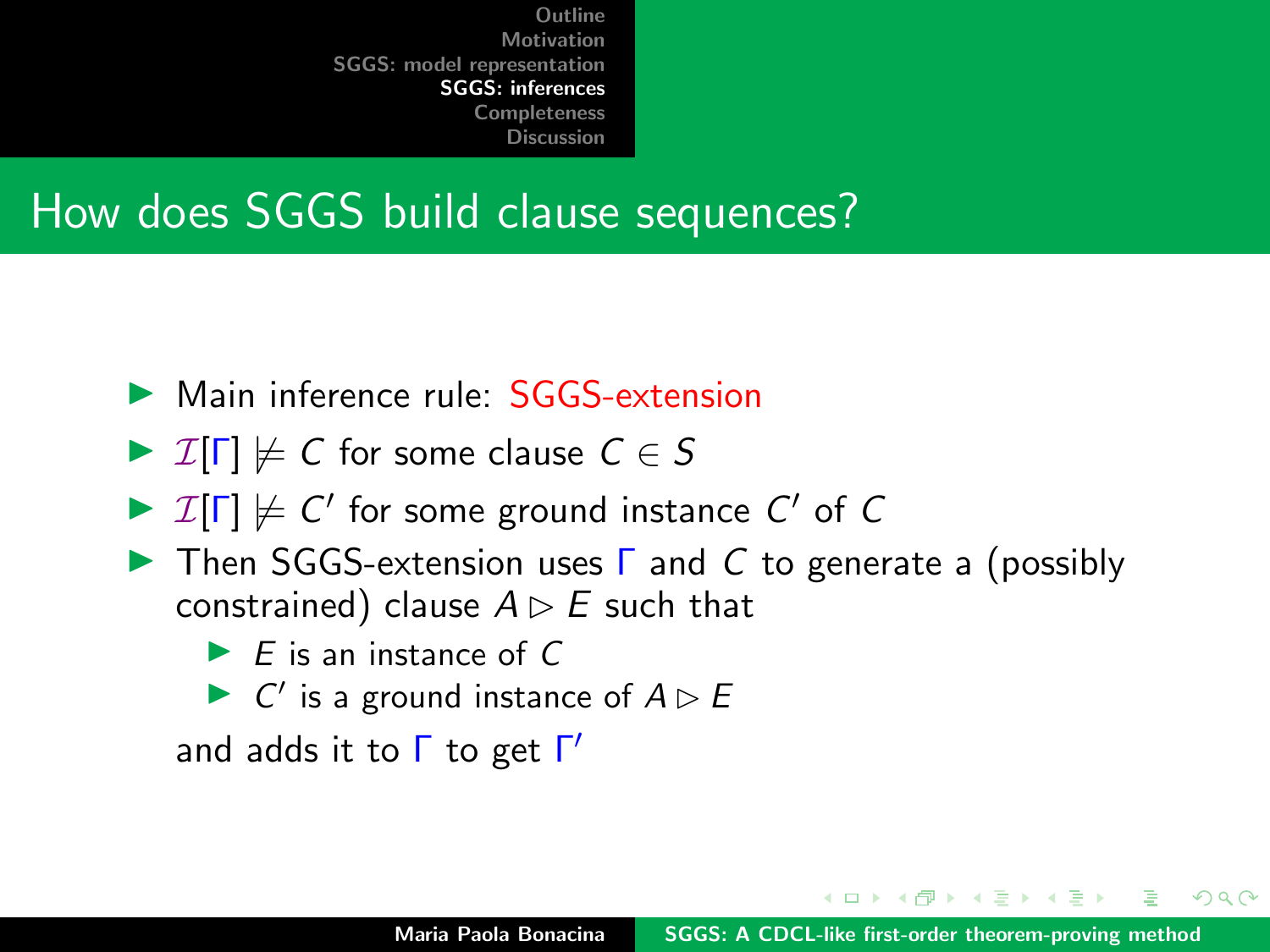#### How does SGGS build clause sequences?

- ▶ Main inference rule: SGGS-extension
- $\triangleright$  I[ $\Gamma$ ]  $\nvdash$  C for some clause  $C \in S$
- $\triangleright$   $\mathcal{I}[\Gamma] \not\models C'$  for some ground instance  $C'$  of C
- $\triangleright$  Then SGGS-extension uses  $\triangleright$  and C to generate a (possibly constrained) clause  $A \triangleright E$  such that
	- $\blacktriangleright$  F is an instance of C
	- $\triangleright$  C' is a ground instance of  $A \triangleright B$

and adds it to  $\Gamma$  to get  $\Gamma'$ 

 $\mathcal{A}$   $\overline{\mathcal{B}}$   $\mathcal{B}$   $\mathcal{A}$   $\mathcal{B}$   $\mathcal{B}$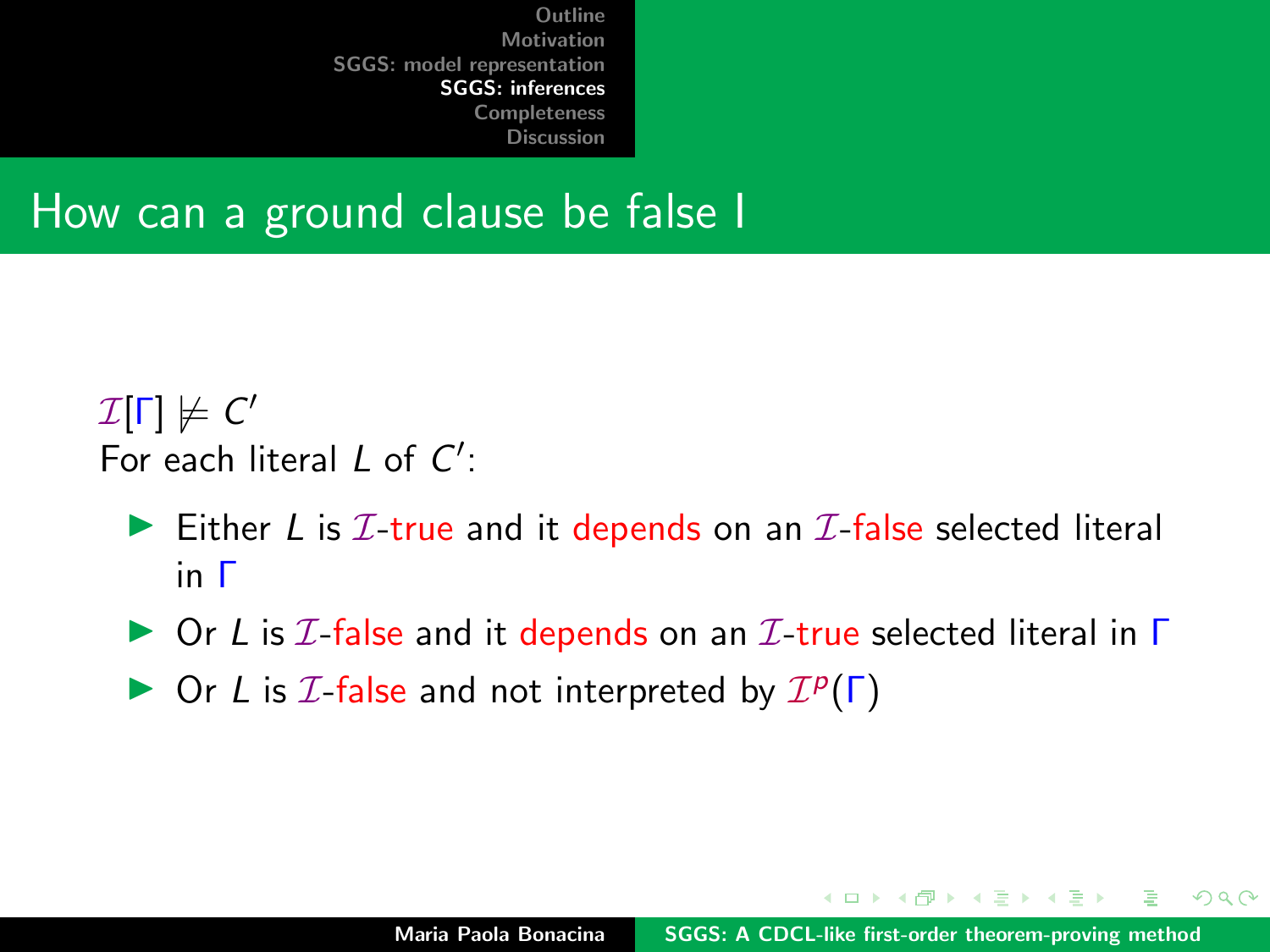#### How can a ground clause be false I

#### $\mathcal{I}[\mathsf{\Gamma}] \not\models \mathsf{C}'$ For each literal  $L$  of  $C'$ :

- Either L is  $I$ -true and it depends on an  $I$ -false selected literal in Γ
- $\triangleright$  Or L is  $I$ -false and it depends on an  $I$ -true selected literal in  $\Gamma$
- $\triangleright$  Or L is  $I$ -false and not interpreted by  $I^p(\Gamma)$

イロト イ押 トラミトラミ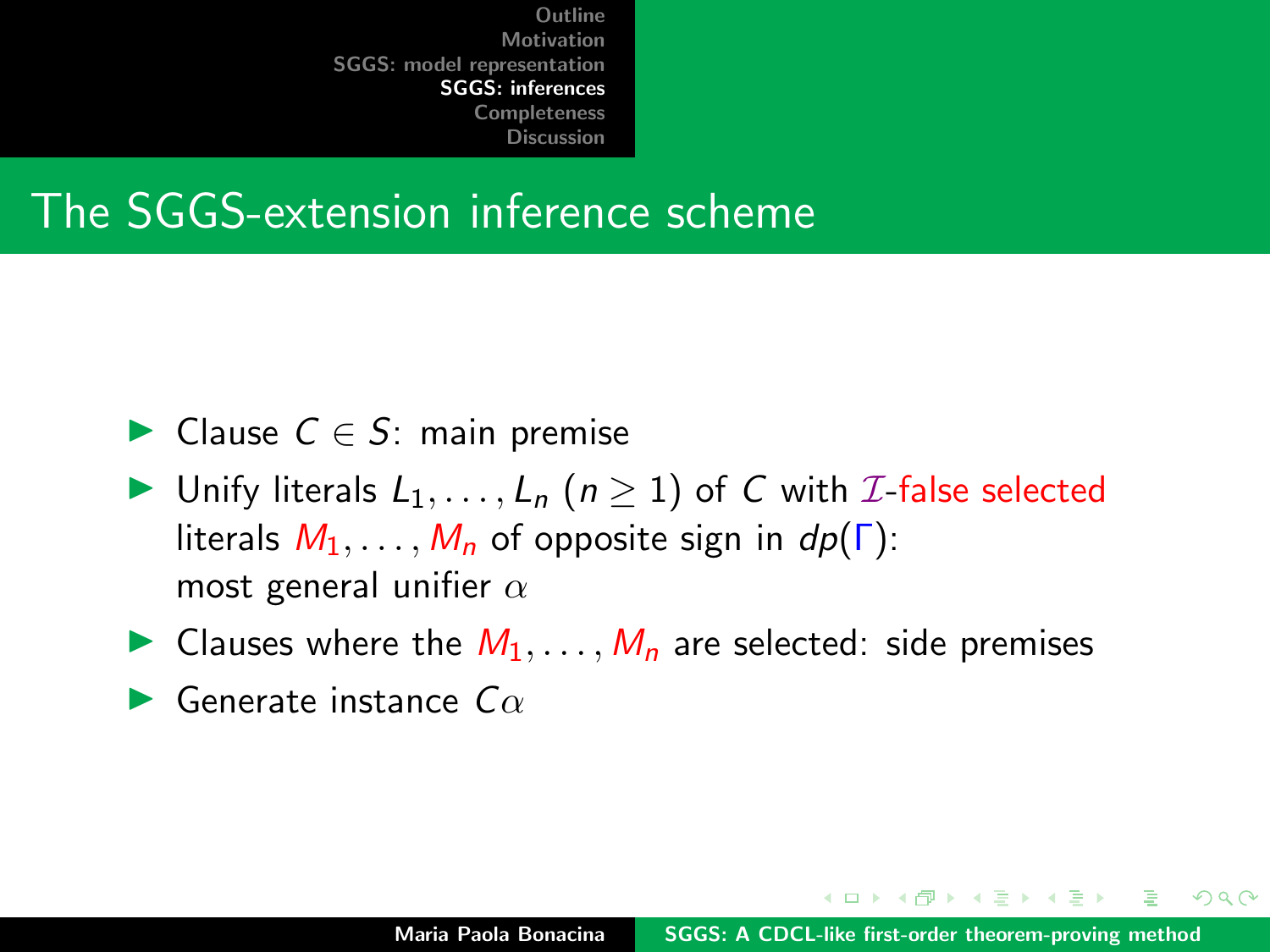#### The SGGS-extension inference scheme

- ► Clause  $C \in S$ : main premise
- ▶ Unify literals  $L_1, \ldots, L_n$  ( $n \geq 1$ ) of C with *I*-false selected literals  $M_1, \ldots, M_n$  of opposite sign in  $dp(\Gamma)$ : most general unifier  $\alpha$
- In Clauses where the  $M_1, \ldots, M_n$  are selected: side premises
- $\blacktriangleright$  Generate instance  $C\alpha$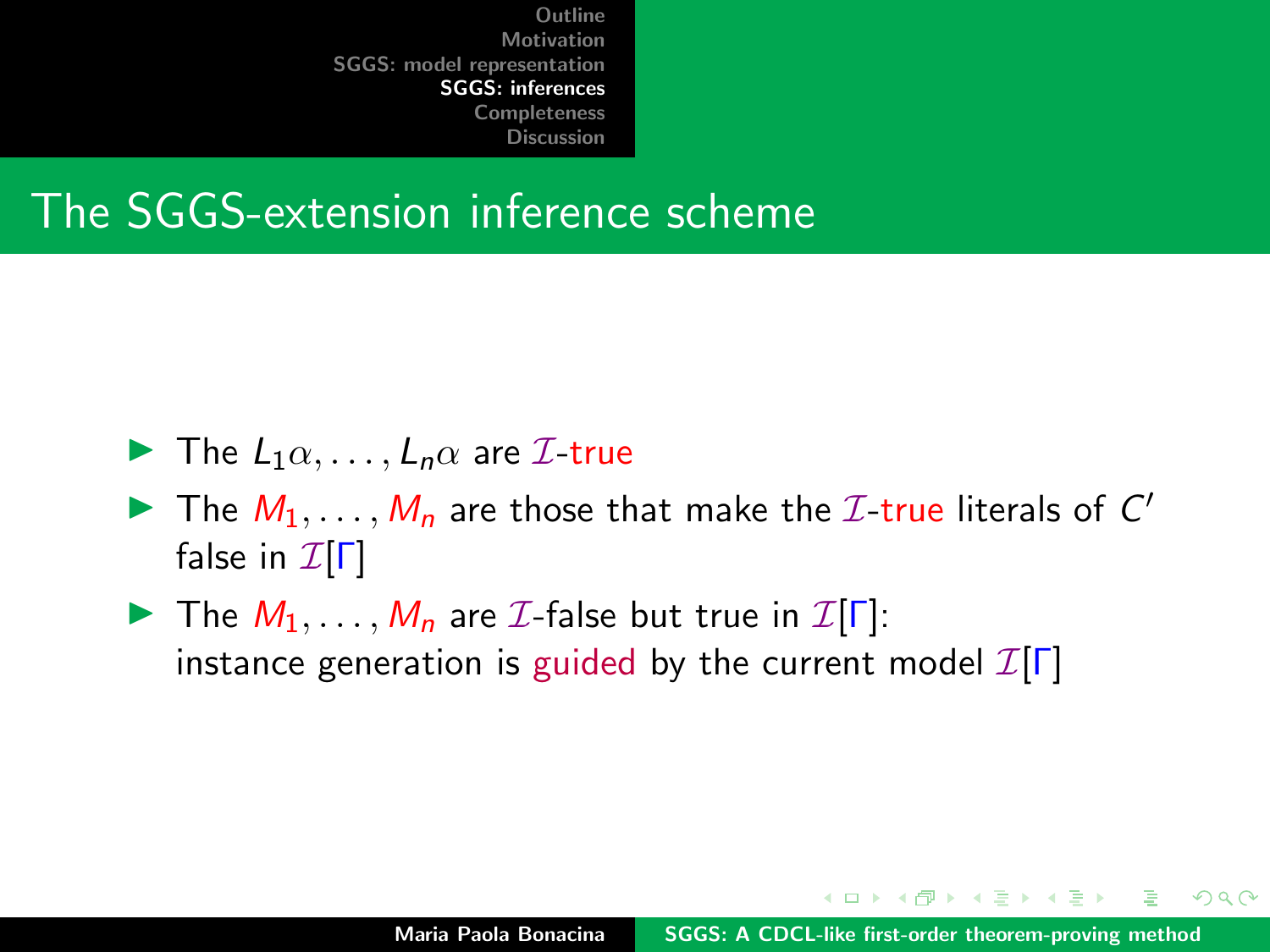#### The SGGS-extension inference scheme

- $\blacktriangleright$  The  $L_1 \alpha, \ldots, L_n \alpha$  are  $\mathcal{I}$ -true
- The  $M_1, \ldots, M_n$  are those that make the *I*-true literals of  $C'$ false in  $\mathcal{I}[\Gamma]$
- **IF The**  $M_1, \ldots, M_n$  **are** *I***-false but true in**   $I[\Gamma]$ : instance generation is guided by the current model  $\mathcal{I}[\Gamma]$

マランマ ミンマミ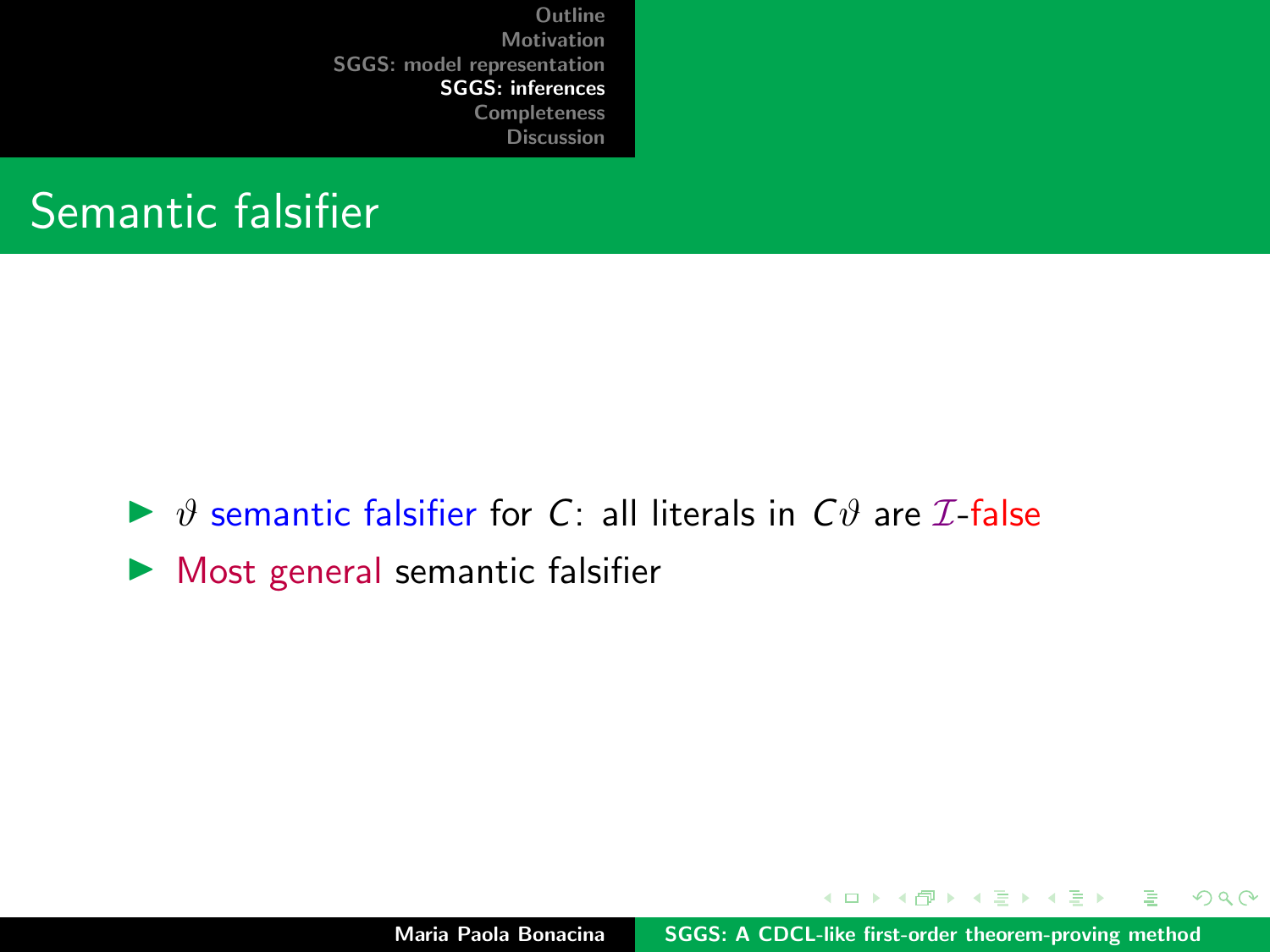

- $\triangleright$   $\vartheta$  semantic falsifier for C: all literals in  $C\vartheta$  are *I*-false
- $\blacktriangleright$  Most general semantic falsifier

メロト メタト メミト メミト

 $2Q$ 

∍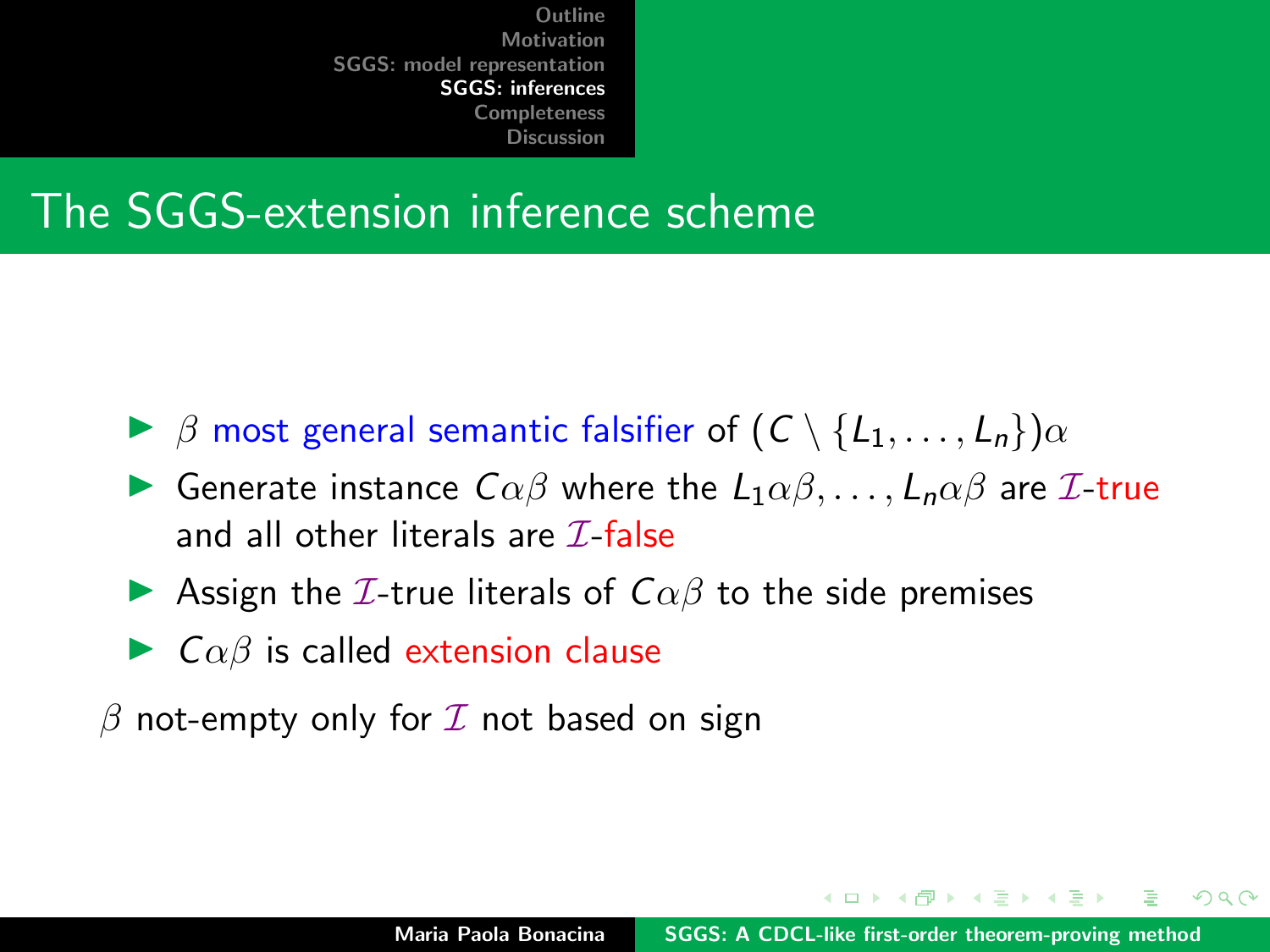#### The SGGS-extension inference scheme

- $\triangleright$   $\beta$  most general semantic falsifier of  $(C \setminus \{L_1, \ldots, L_n\})$  $\alpha$
- **I** Generate instance  $C\alpha\beta$  where the  $L_1\alpha\beta,\ldots,L_n\alpha\beta$  are *I*-true and all other literals are  $\mathcal{I}\text{-false}$
- Assign the *I*-true literals of  $C\alpha\beta$  to the side premises
- $\triangleright$   $C\alpha\beta$  is called extension clause

 $\beta$  not-empty only for  $\mathcal I$  not based on sign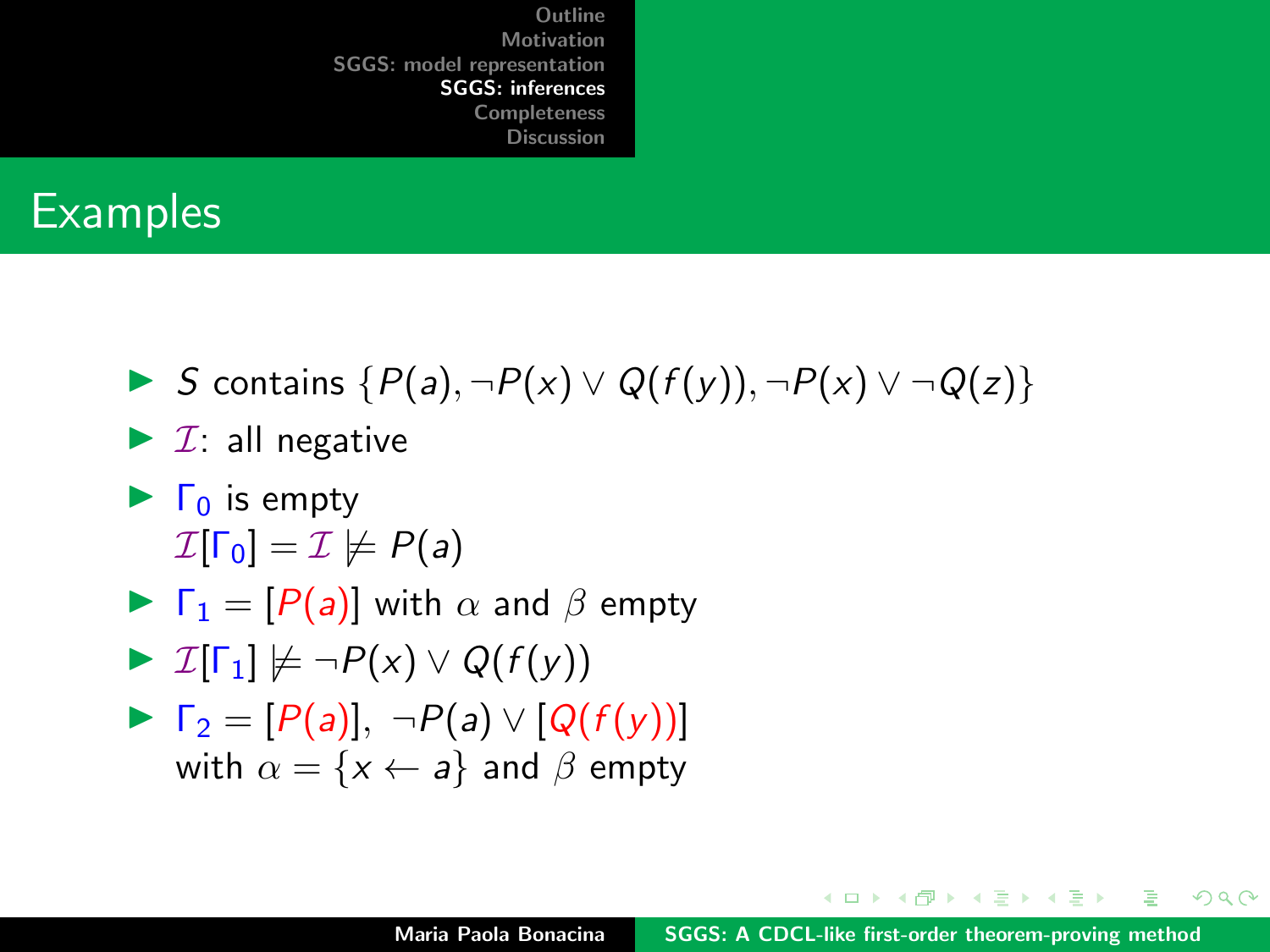#### **Examples**

- In S contains  $\{P(a), \neg P(x) \lor Q(f(y)), \neg P(x) \lor \neg Q(z)\}$
- $\blacktriangleright$  *I*: all negative
- $\blacktriangleright$   $\Gamma_0$  is empty  $\mathcal{I}[\Gamma_0] = \mathcal{I} \not\models P(a)$

$$
\blacktriangleright \ \Gamma_1 = [P(a)] \text{ with } \alpha \text{ and } \beta \text{ empty}
$$

$$
\blacktriangleright \mathcal{I}[\Gamma_1] \not\models \neg P(x) \vee Q(f(y))
$$

$$
\triangleright \Gamma_2 = [P(a)], \neg P(a) \vee [Q(f(y))]
$$
  
with  $\alpha = \{x \leftarrow a\}$  and  $\beta$  empty

メロトメ 倒 トメ ミトメ ミト

 $298$ 

遥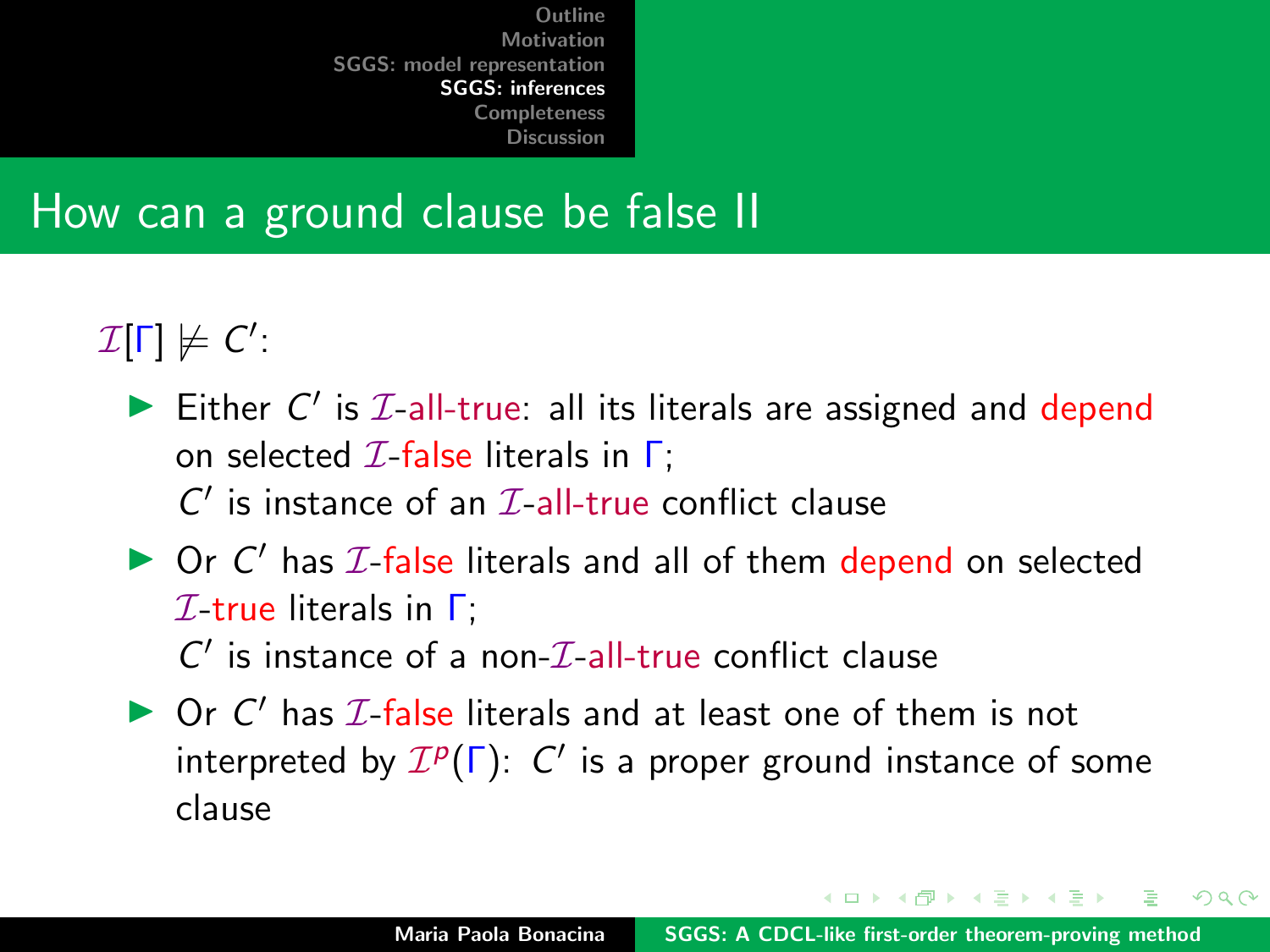#### How can a ground clause be false II

 $\mathcal{I}[\Gamma] \not\models C'.$ 

- Either  $C'$  is  $I$ -all-true: all its literals are assigned and depend on selected  $I$ -false literals in  $\Gamma$ ;
	- $C'$  is instance of an  $\mathcal{I}\text{-all-true}$  conflict clause
- $\triangleright$  Or C' has  $I$ -false literals and all of them depend on selected  $I$ -true literals in  $\Gamma$ ;  $C'$  is instance of a non- $\mathcal{I}\text{-}\mathrm{all}\text{-}\mathrm{true}$  conflict clause
- $\triangleright$  Or C' has  $I$ -false literals and at least one of them is not interpreted by  $\mathcal{I}^p(\Gamma)$ : C' is a proper ground instance of some clause

イロメ イ押 トイラト イラトー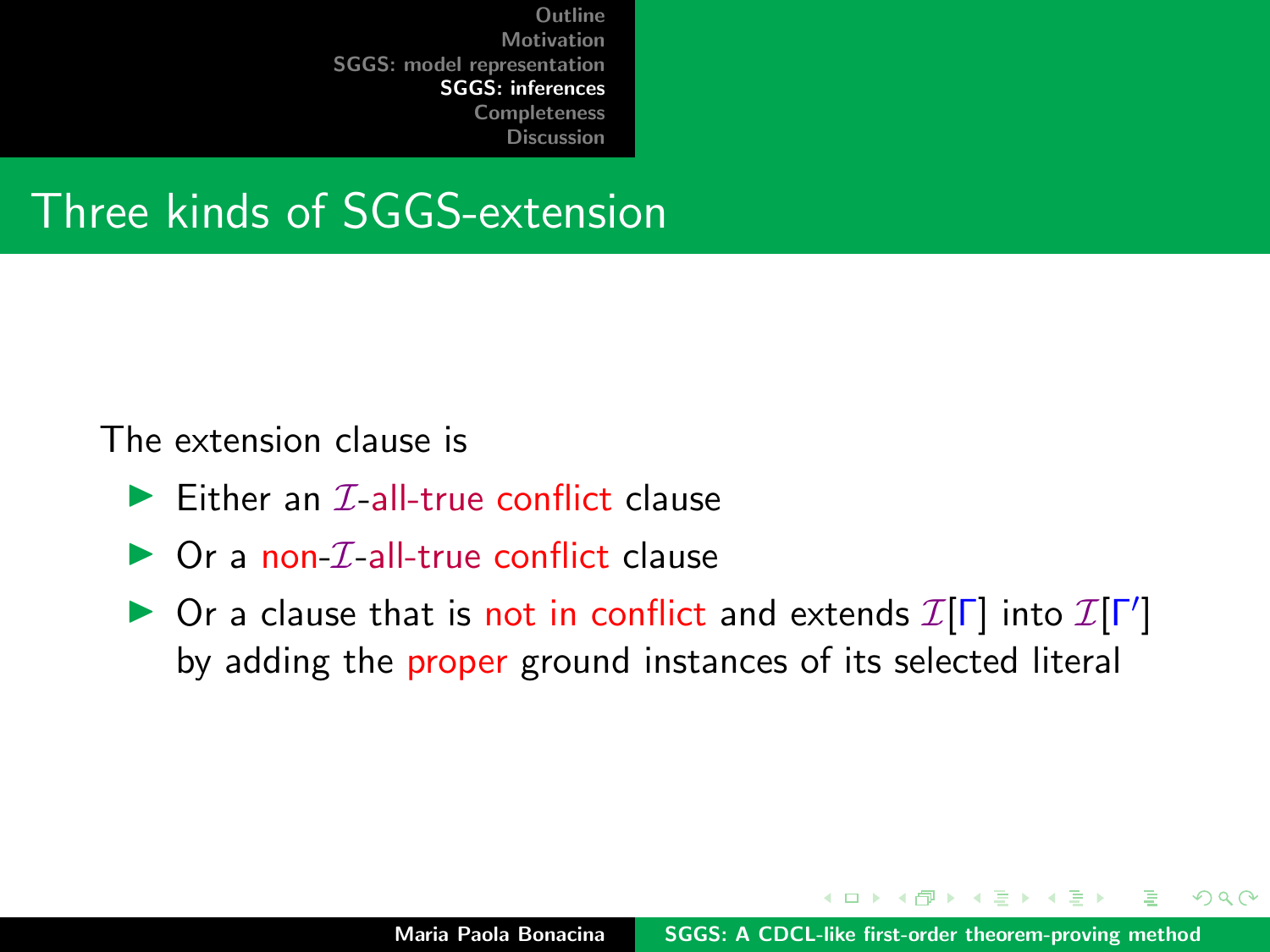#### Three kinds of SGGS-extension

The extension clause is

- $\blacktriangleright$  Either an  $\mathcal{I}$ -all-true conflict clause
- $\triangleright$  Or a non-*I*-all-true conflict clause
- ▶ Or a clause that is not in conflict and extends  $\mathcal{I}[\Gamma]$  into  $\mathcal{I}[\Gamma']$ by adding the proper ground instances of its selected literal

 $\mathcal{A}$   $\overline{\mathcal{B}}$   $\mathcal{B}$   $\mathcal{A}$   $\mathcal{B}$   $\mathcal{B}$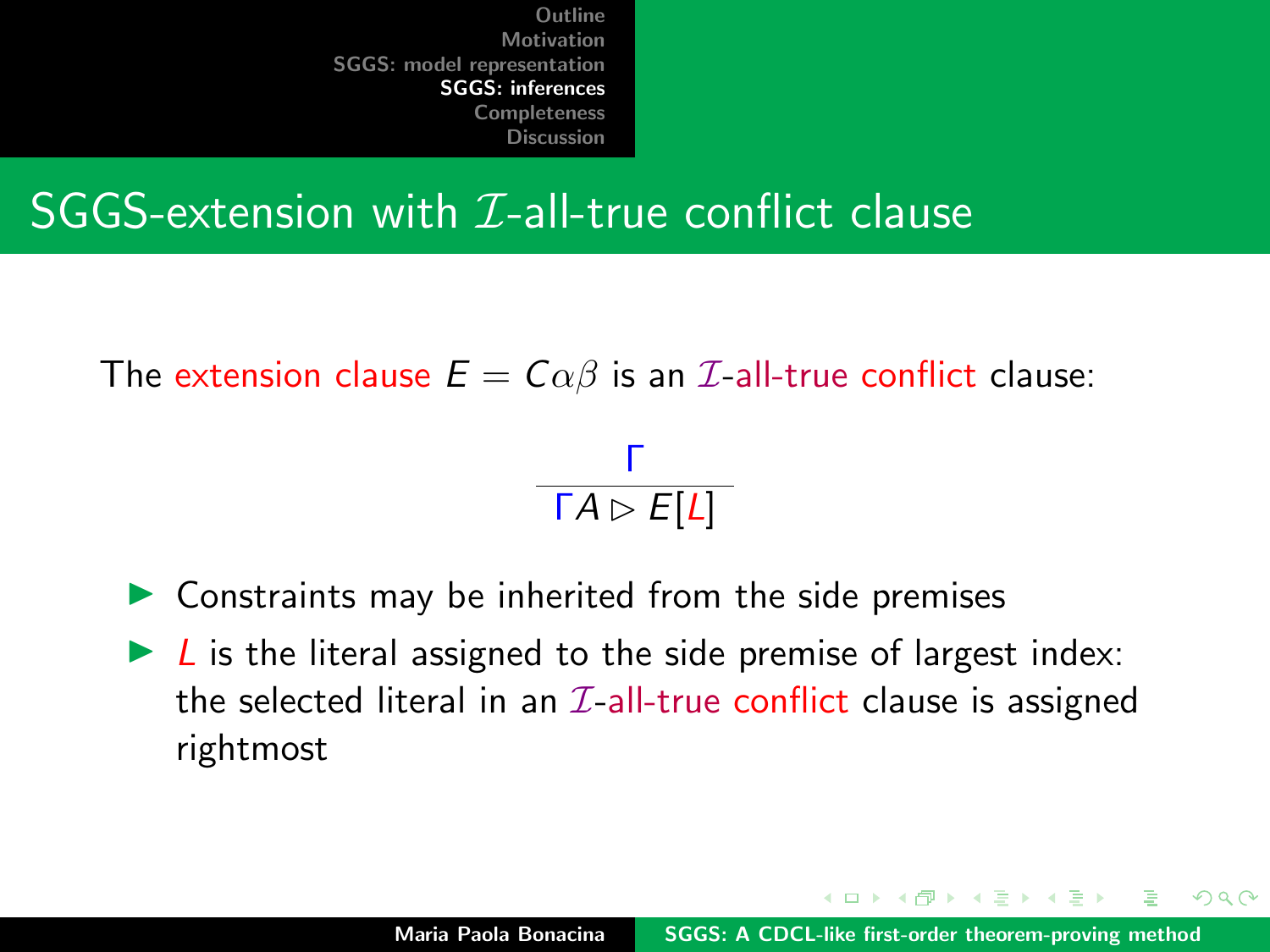#### SGGS-extension with  $I$ -all-true conflict clause

The extension clause  $E = C \alpha \beta$  is an *L*-all-true conflict clause:

Γ  $\mathsf{\Gamma} A \rhd E[L]$ 

- $\triangleright$  Constraints may be inherited from the side premises
- $\triangleright$  L is the literal assigned to the side premise of largest index: the selected literal in an  $\mathcal{I}\text{-all-true conflict}$  clause is assigned rightmost

イロト イタト イミト イミト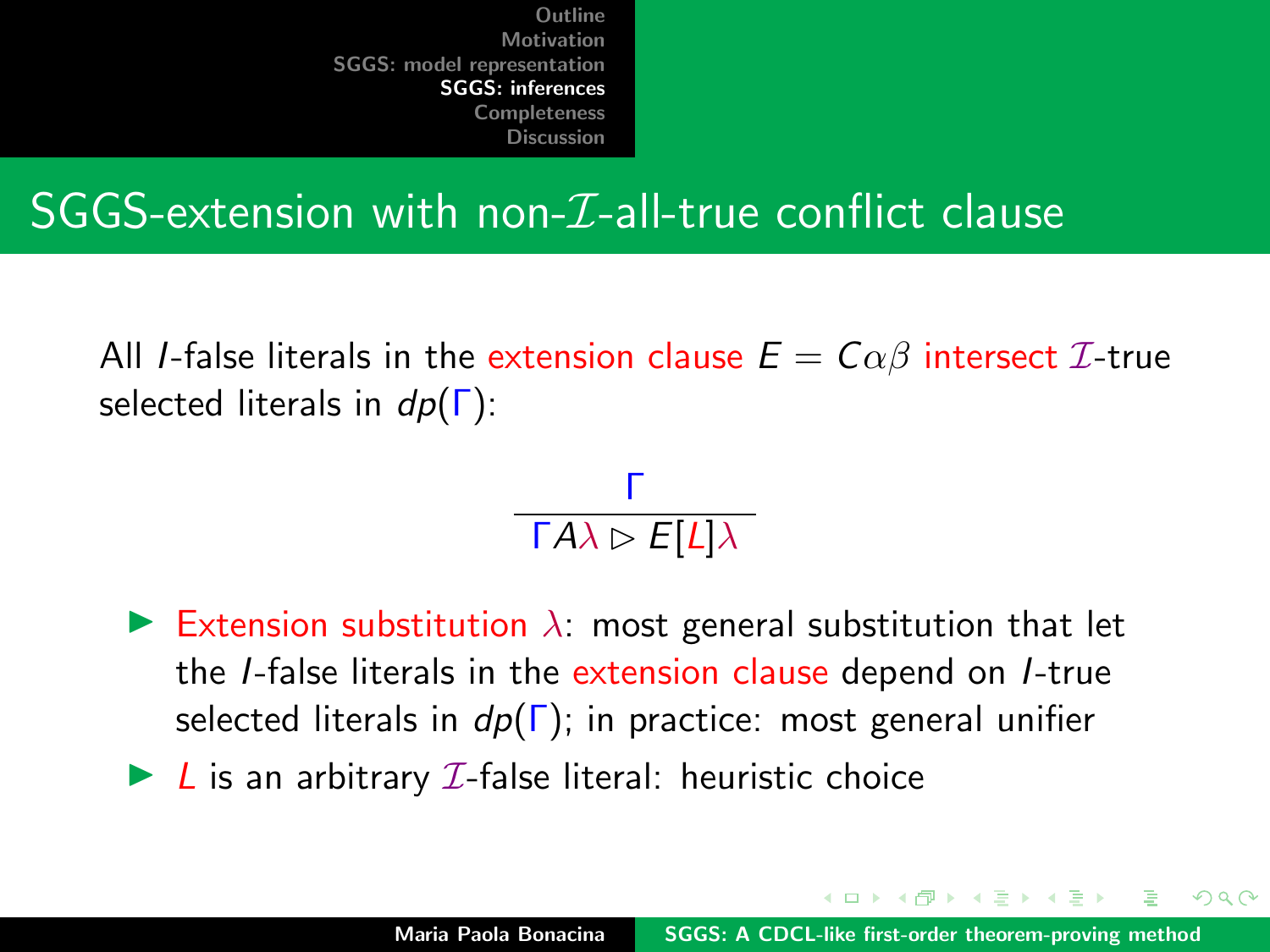#### SGGS-extension with non- $I$ -all-true conflict clause

All *I*-false literals in the extension clause  $E = C \alpha \beta$  intersect  $\mathcal{I}$ -true selected literals in  $dp(\Gamma)$ :

> Γ  $\mathsf{\Gamma} A\lambda \rhd F[L]\lambda$

- Extension substitution  $\lambda$ : most general substitution that let the I-false literals in the extension clause depend on I-true selected literals in  $dp(\Gamma)$ ; in practice: most general unifier
- $\blacktriangleright$  L is an arbitrary  $\mathcal I$ -false literal: heuristic choice

イロメ マ桐 トマ ヨ トマ ヨメ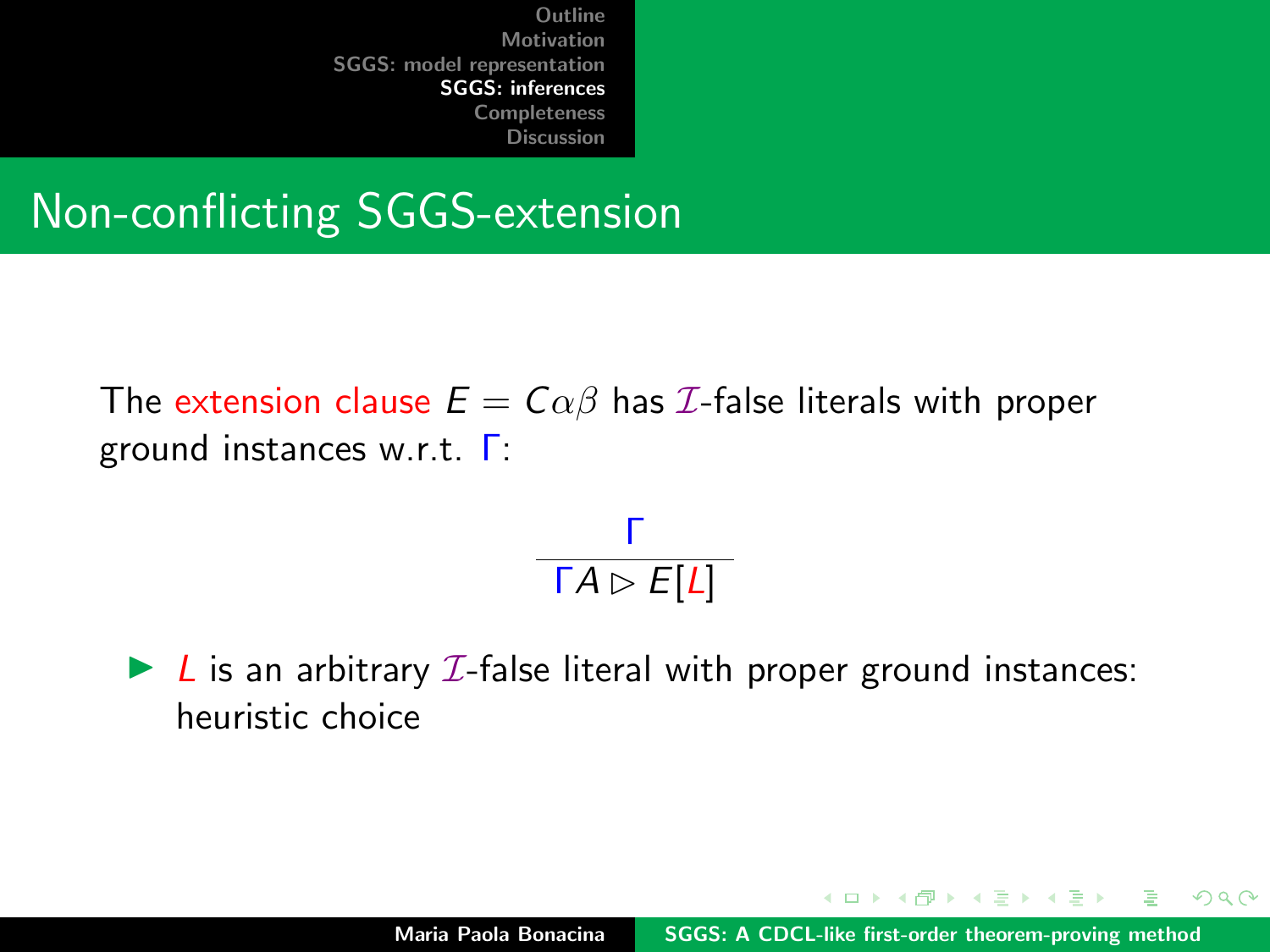Non-conflicting SGGS-extension

The extension clause  $E = C \alpha \beta$  has *I*-false literals with proper ground instances w.r.t. Γ:



 $\blacktriangleright$  L is an arbitrary *I*-false literal with proper ground instances: heuristic choice

K ロ ⊁ K 倒 ≯ K ミ ⊁ K ミ ≯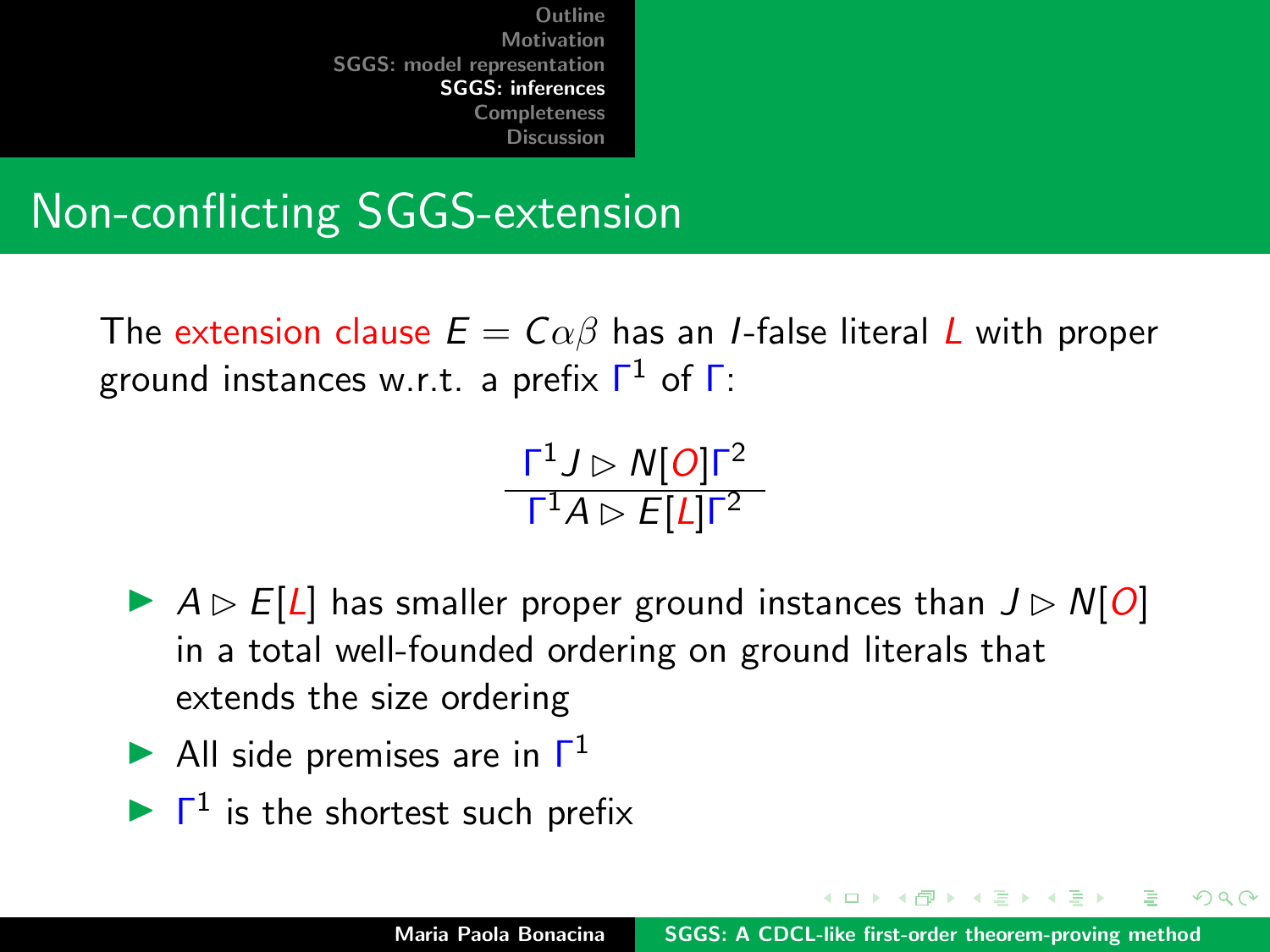## Non-conflicting SGGS-extension

The extension clause  $E = C \alpha \beta$  has an *I*-false literal L with proper ground instances w.r.t. a prefix  $\mathsf{\Gamma}^1$  of  $\mathsf{\Gamma}$ :

> $\mathsf{\Gamma}^1 J \rhd \mathsf{N}[\mathcal{O}] \mathsf{\Gamma}^2$  $\mathsf{\Gamma}^1 A \rhd E[L] \mathsf{\Gamma}^2$

- $\triangleright$   $A \triangleright E[L]$  has smaller proper ground instances than  $J \triangleright N[Q]$ in a total well-founded ordering on ground literals that extends the size ordering
- All side premises are in  $\Gamma^1$
- $\blacktriangleright$   $\Gamma^1$  is the shortest such prefix

イロト イ母 トイモト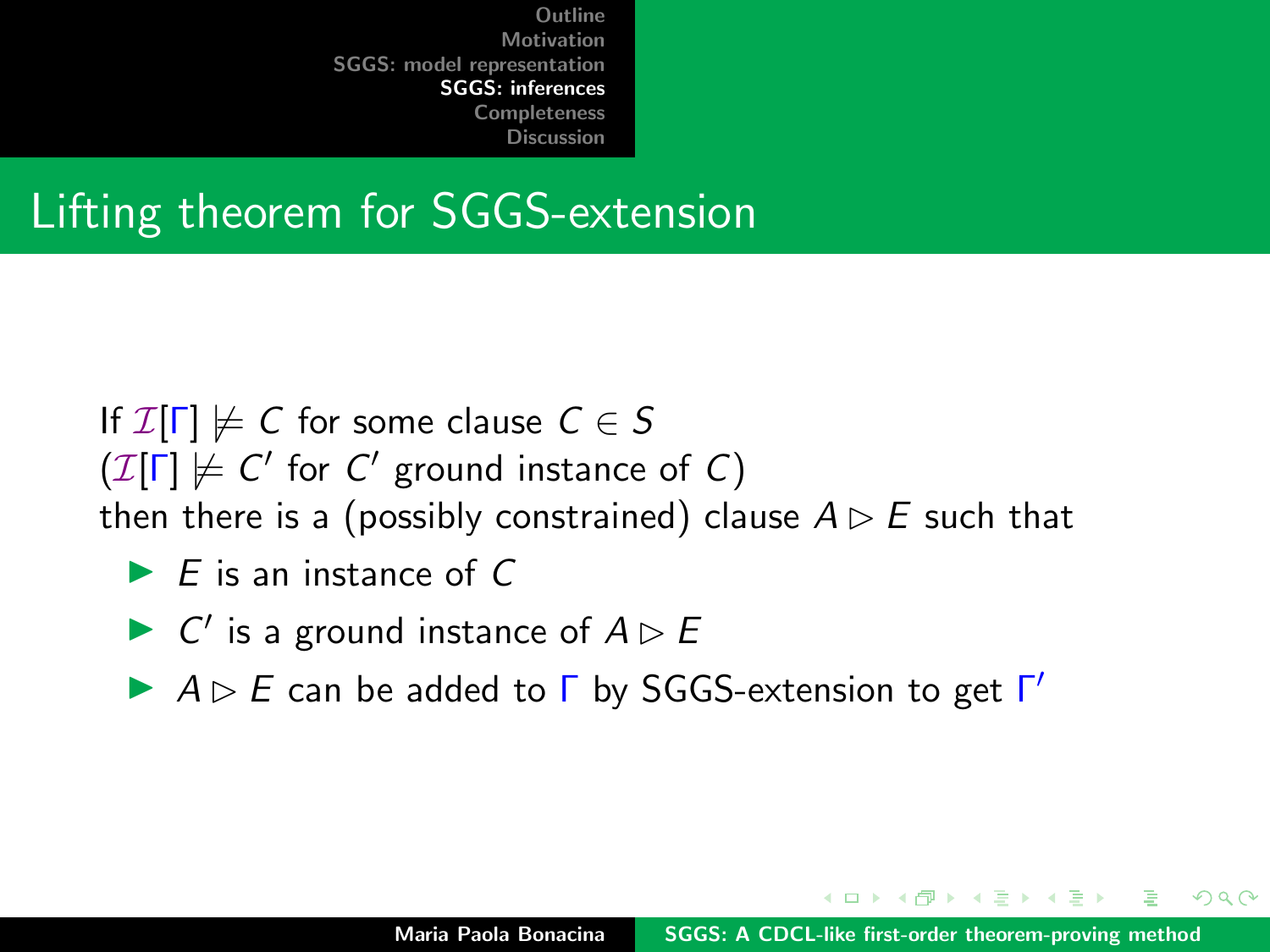## Lifting theorem for SGGS-extension

- If  $\mathcal{I}[\Gamma] \not\models C$  for some clause  $C \in S$
- $(\mathcal{I}[\Gamma] \not\models C'$  for  $C'$  ground instance of C)

then there is a (possibly constrained) clause  $A \triangleright E$  such that

- $\blacktriangleright$  F is an instance of C
- $\triangleright$  C' is a ground instance of  $A \triangleright B$
- $\blacktriangleright$   $A \triangleright E$  can be added to  $\Gamma$  by SGGS-extension to get  $\Gamma'$

 $\mathcal{A}$  and  $\mathcal{A}$  . The set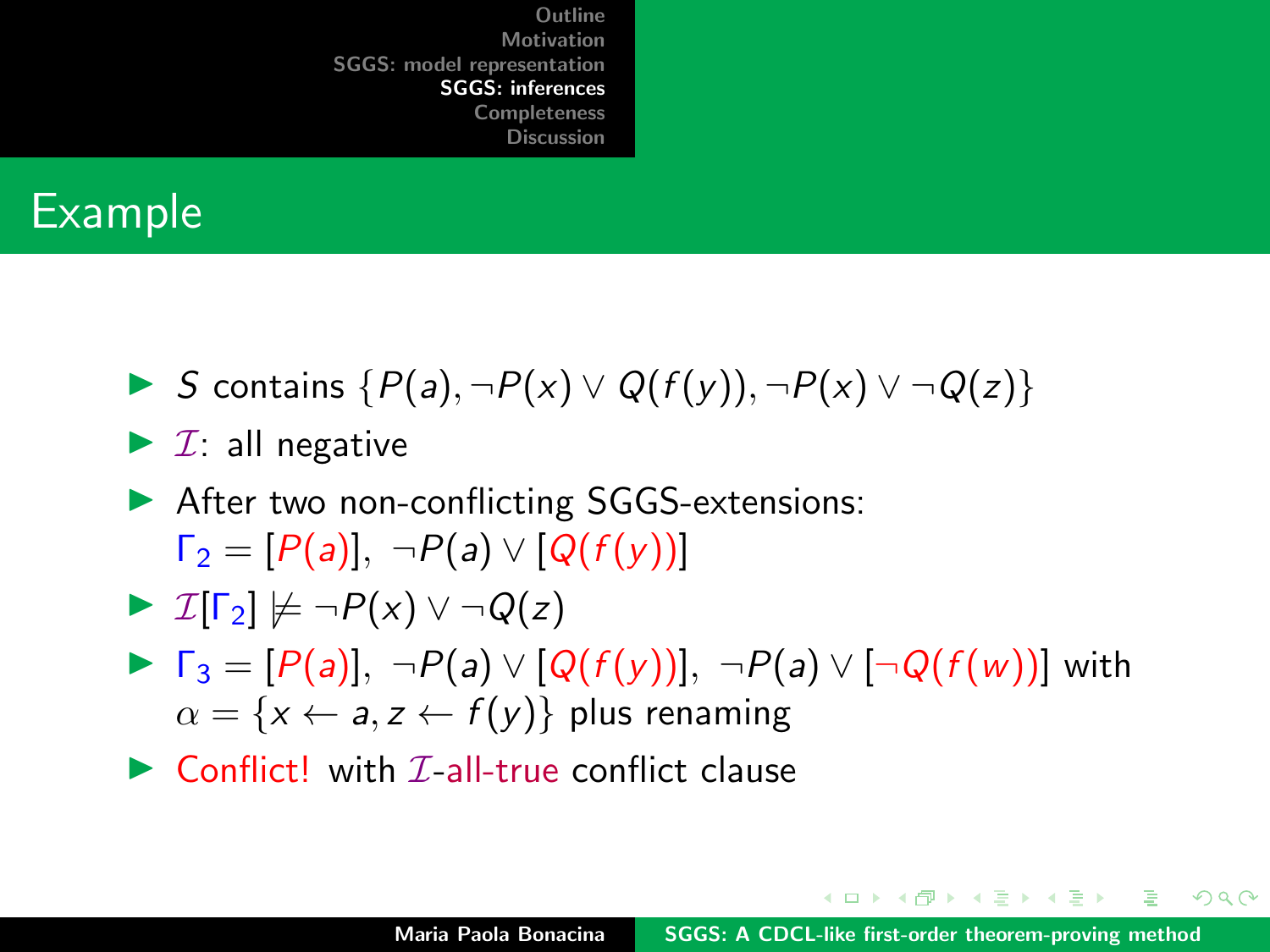#### Example

- In S contains  $\{P(a), \neg P(x) \lor Q(f(y)), \neg P(x) \lor \neg Q(z)\}$
- $\blacktriangleright$  *I*: all negative
- ▶ After two non-conflicting SGGS-extensions:  $\Gamma_2 = [P(a)], \neg P(a) \vee [Q(f(y))]$

$$
\blacktriangleright \mathcal{I}[\Gamma_2] \not\models \neg P(x) \vee \neg Q(z)
$$

- $\blacktriangleright \ \Gamma_3 = [P(a)], \ \neg P(a) \vee [Q(f(y))], \ \neg P(a) \vee [\neg Q(f(w))]$  with  $\alpha = \{x \leftarrow a, z \leftarrow f(y)\}\$  plus renaming
- $\triangleright$  Conflict! with T-all-true conflict clause

イロメ イ押 トイラ トイラトー

 $\Omega$ 

G.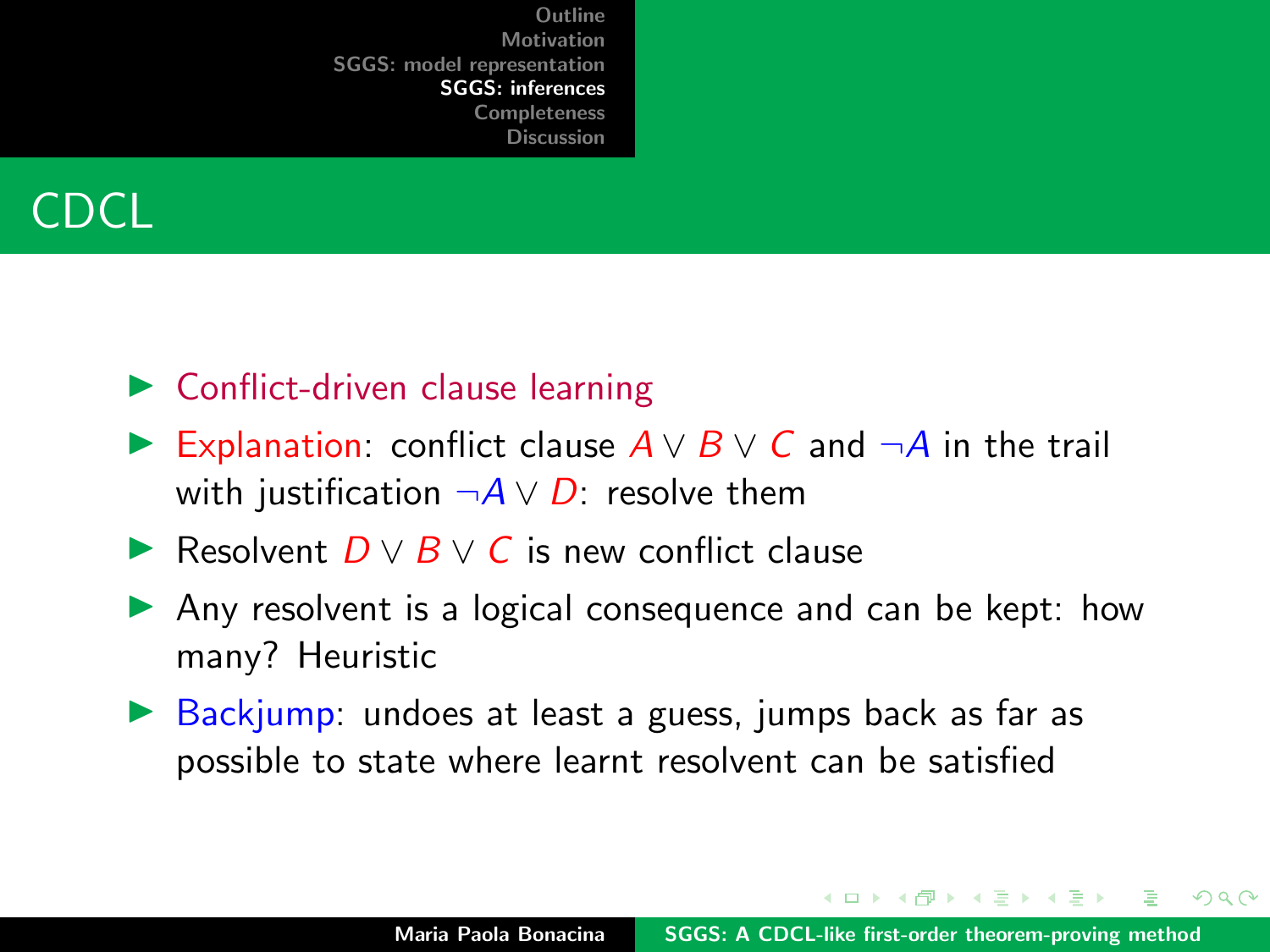

- $\triangleright$  Conflict-driven clause learning
- **Explanation:** conflict clause  $A \vee B \vee C$  and  $\neg A$  in the trail with justification  $\neg A \lor D$ : resolve them
- **► Resolvent**  $D \vee B \vee C$  **is new conflict clause**
- $\blacktriangleright$  Any resolvent is a logical consequence and can be kept: how many? Heuristic
- $\triangleright$  Backjump: undoes at least a guess, jumps back as far as possible to state where learnt resolvent can be satisfied

イロメ イ押 トラ ミトラ ミト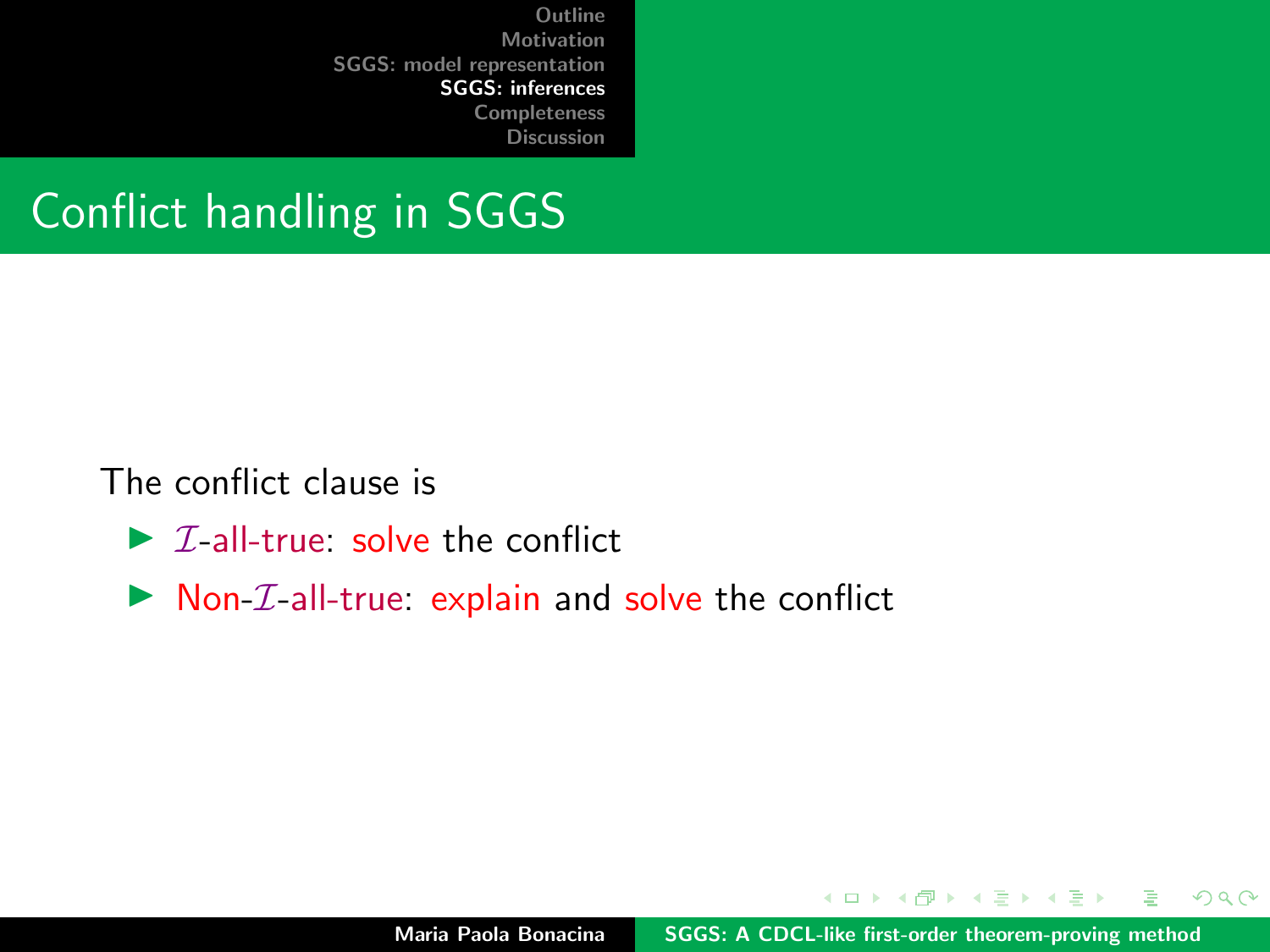### Conflict handling in SGGS

The conflict clause is

- $\triangleright$  *T*-all-true: solve the conflict
- $\triangleright$  Non-*T*-all-true: explain and solve the conflict

イロト イ押ト イミト イミト

 $298$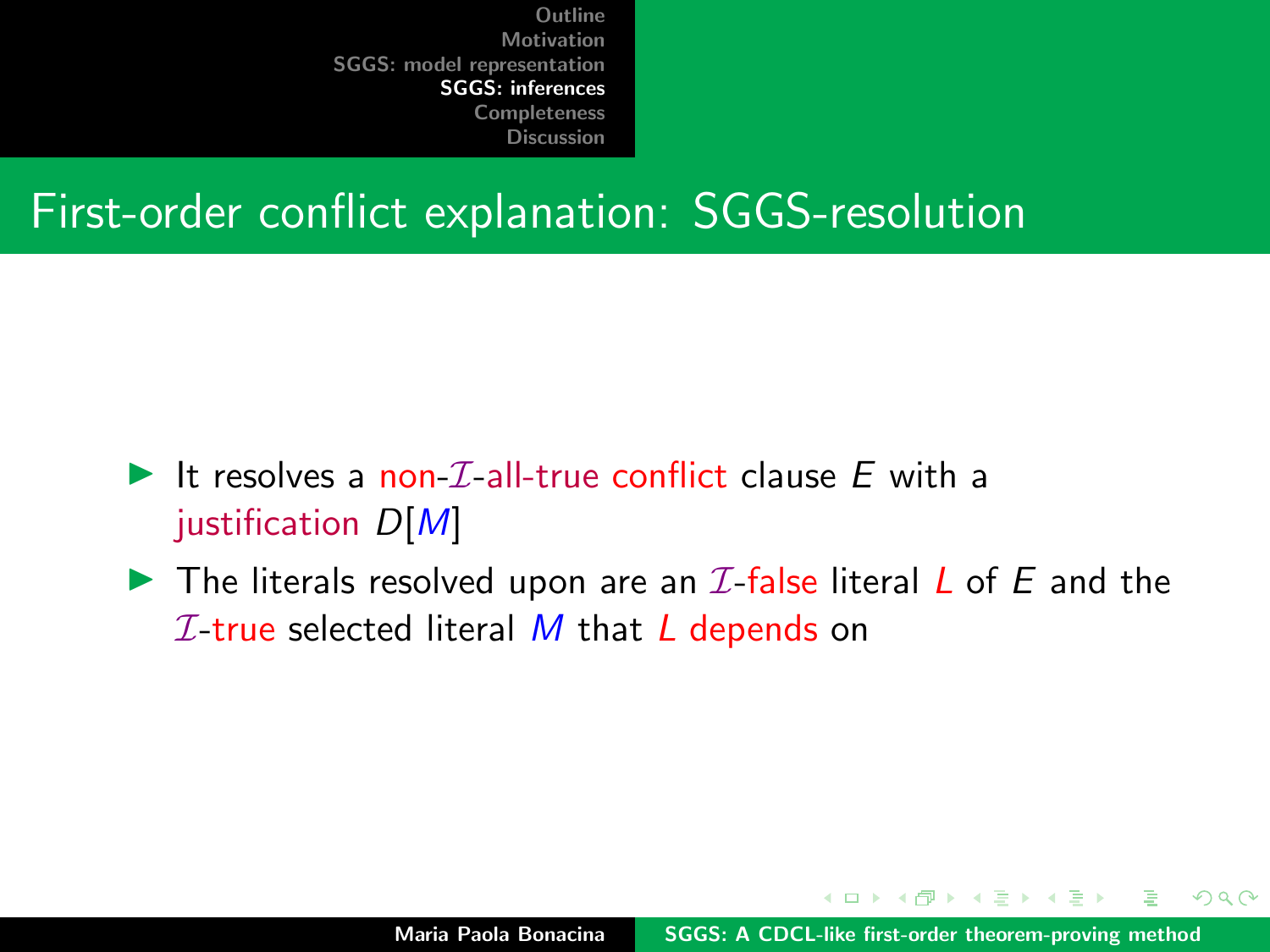#### First-order conflict explanation: SGGS-resolution

- It resolves a non- $\mathcal{I}$ -all-true conflict clause E with a justification  $D[M]$
- $\blacktriangleright$  The literals resolved upon are an  $\mathcal I$ -false literal L of E and the  $I$ -true selected literal M that L depends on

イロメ イ押メ イモメイモ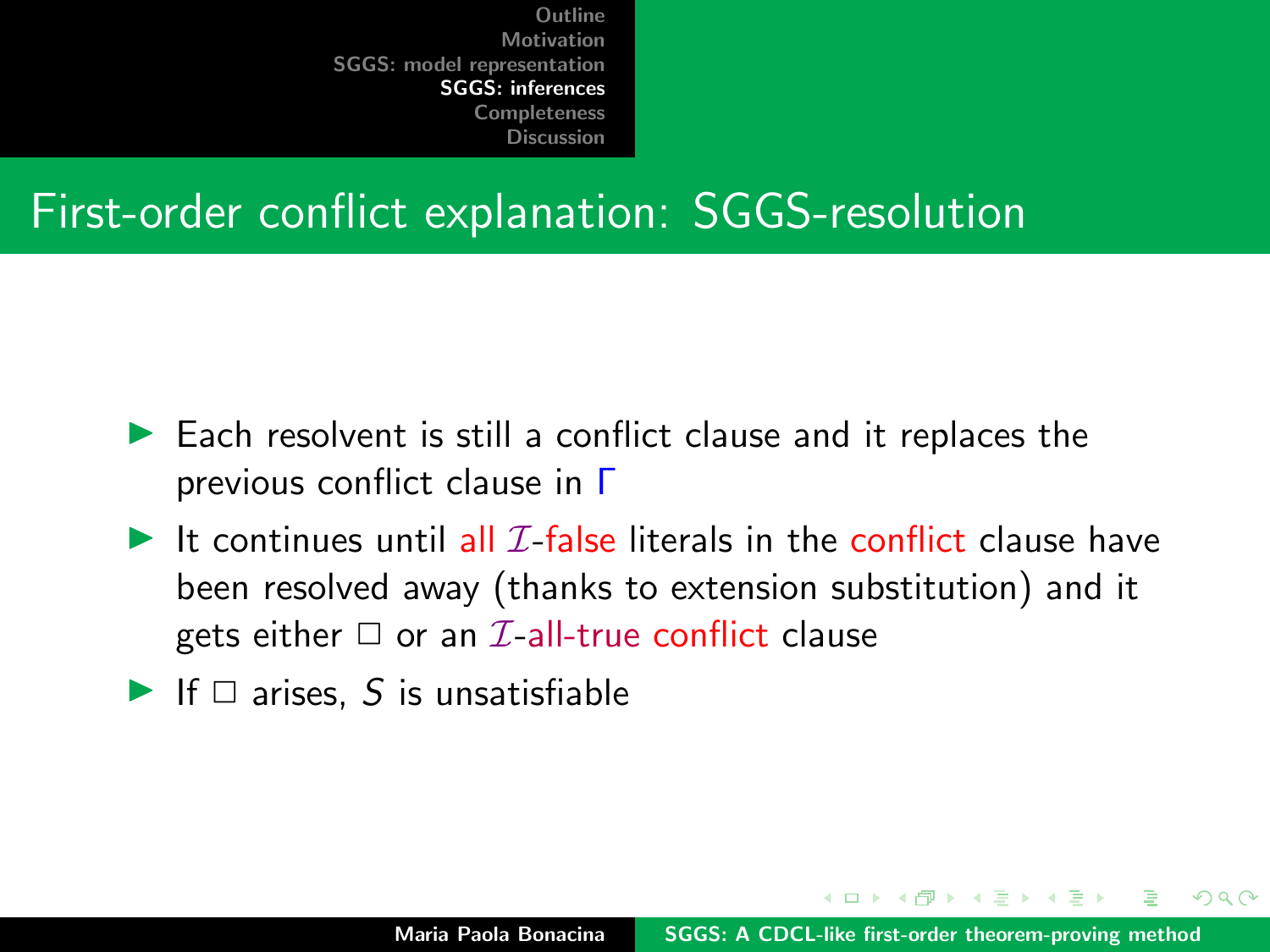#### First-order conflict explanation: SGGS-resolution

- $\blacktriangleright$  Each resolvent is still a conflict clause and it replaces the previous conflict clause in Γ
- If continues until all  $I$ -false literals in the conflict clause have been resolved away (thanks to extension substitution) and it gets either  $\Box$  or an *I*-all-true conflict clause
- If  $\Box$  arises, S is unsatisfiable

マーティ ミューマ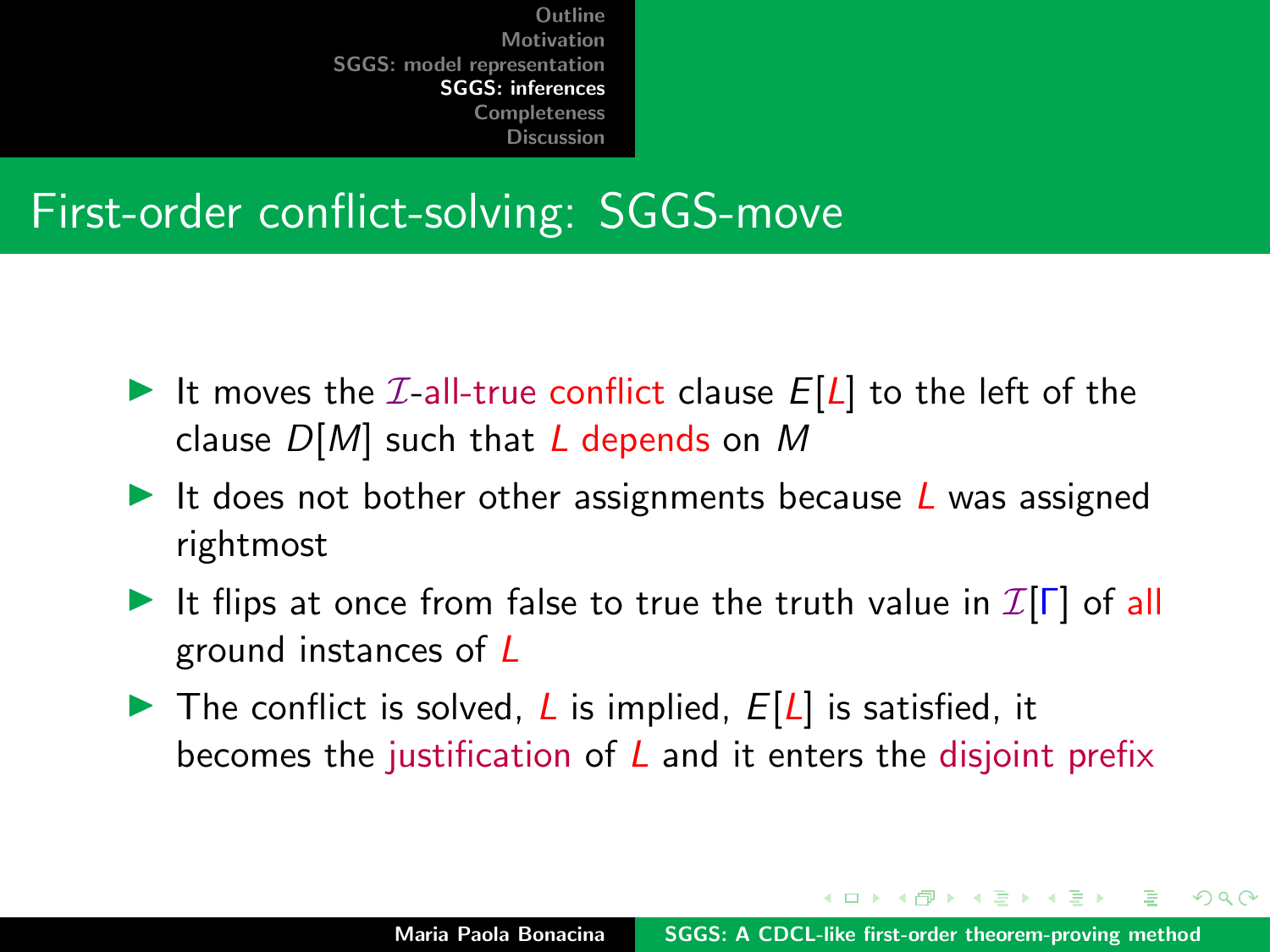#### First-order conflict-solving: SGGS-move

- It moves the  $I$ -all-true conflict clause  $E[L]$  to the left of the clause  $D[M]$  such that L depends on M
- It does not bother other assignments because  *was assigned* rightmost
- It flips at once from false to true the truth value in  $\mathcal{I}[\Gamma]$  of all ground instances of L
- $\triangleright$  The conflict is solved, L is implied,  $E[L]$  is satisfied, it becomes the justification of  *and it enters the disjoint prefix*

 $4.013.4.013.4.013.4.013.4.01$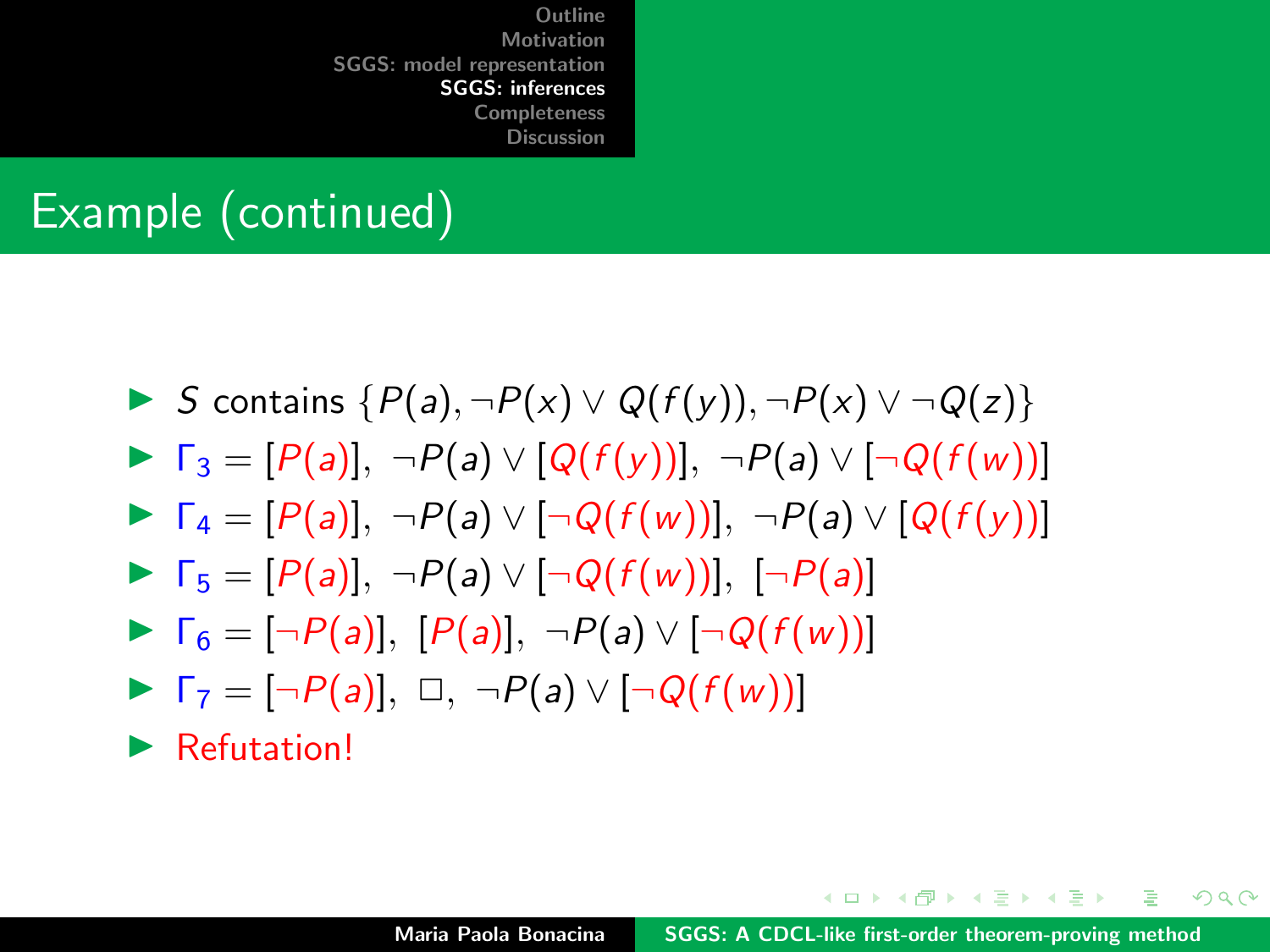#### Example (continued)



イロト イ押 トイラト イラト・ラー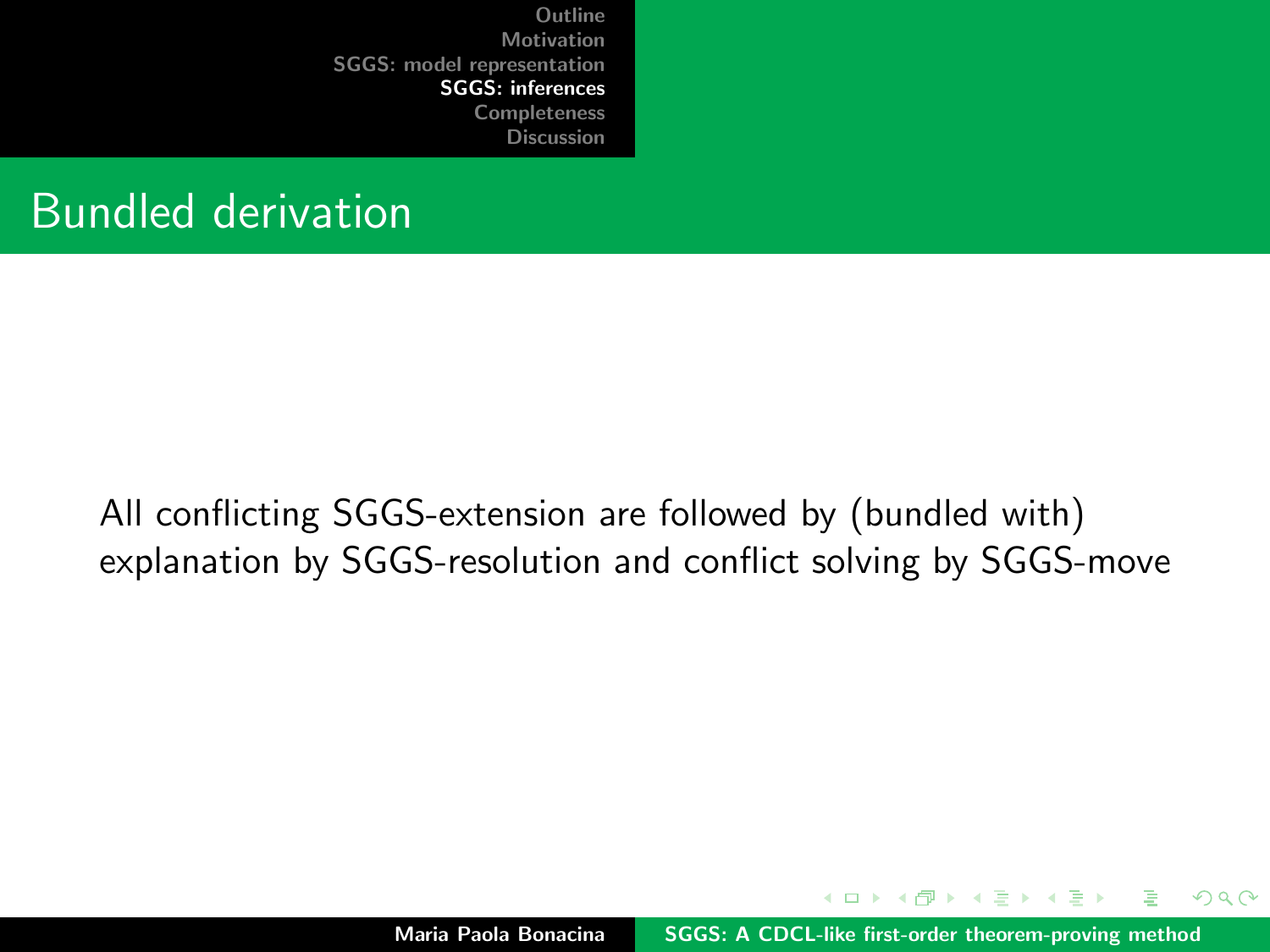#### Bundled derivation

All conflicting SGGS-extension are followed by (bundled with) explanation by SGGS-resolution and conflict solving by SGGS-move

Maria Paola Bonacina [SGGS: A CDCL-like first-order theorem-proving method](#page-0-0)

 $A \cap B$   $A \cap B$   $B \cap A$   $B$ 

 $2Q$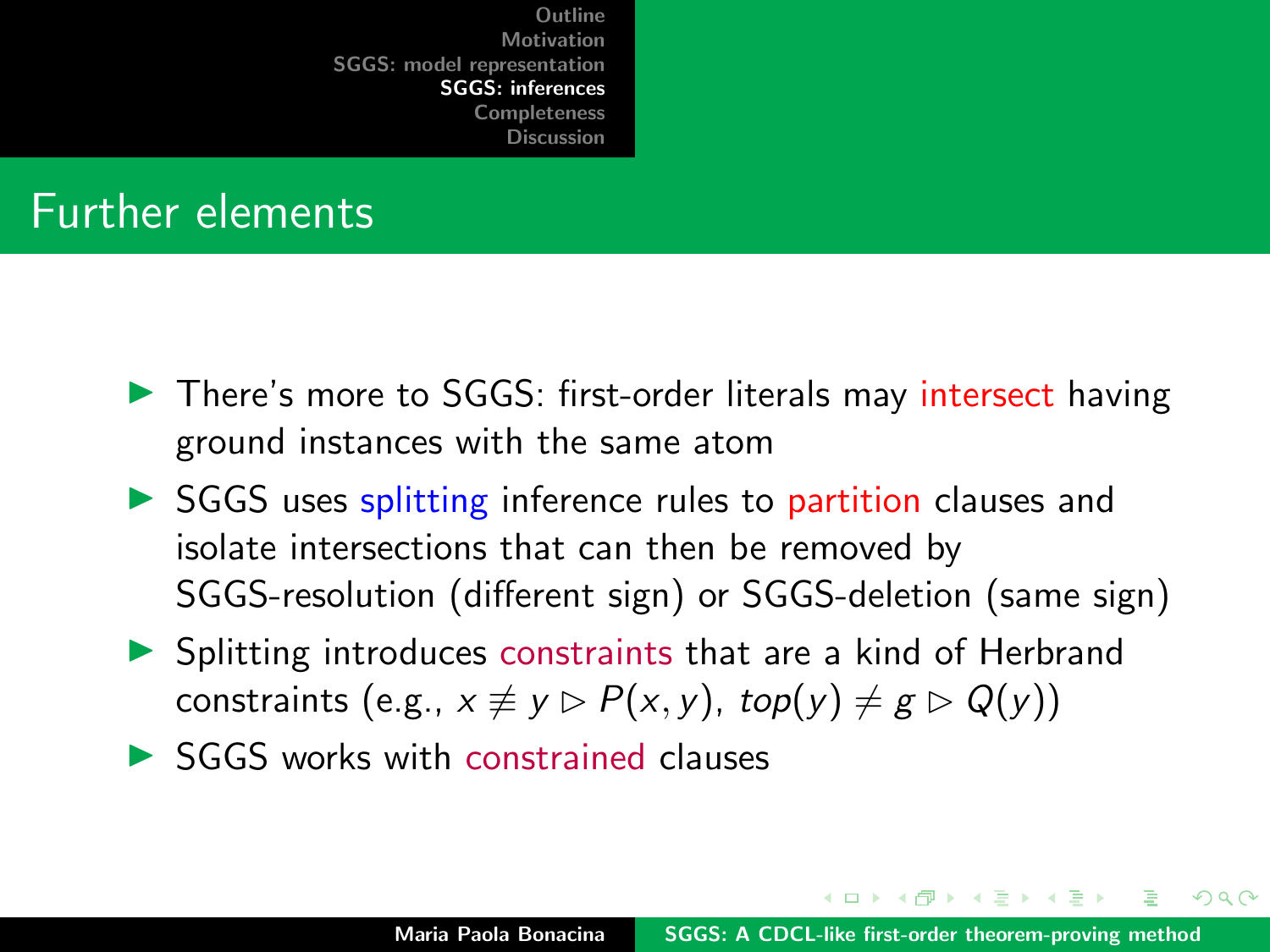#### Further elements

- Intere's more to SGGS: first-order literals may intersect having ground instances with the same atom
- $\triangleright$  SGGS uses splitting inference rules to partition clauses and isolate intersections that can then be removed by SGGS-resolution (different sign) or SGGS-deletion (same sign)
- $\triangleright$  Splitting introduces constraints that are a kind of Herbrand constraints (e.g.,  $x \neq y \triangleright P(x, y)$ , top(y)  $\neq g \triangleright Q(y)$ )
- $\triangleright$  SGGS works with constrained clauses

イロメ イ押 トラ ミトラ ミト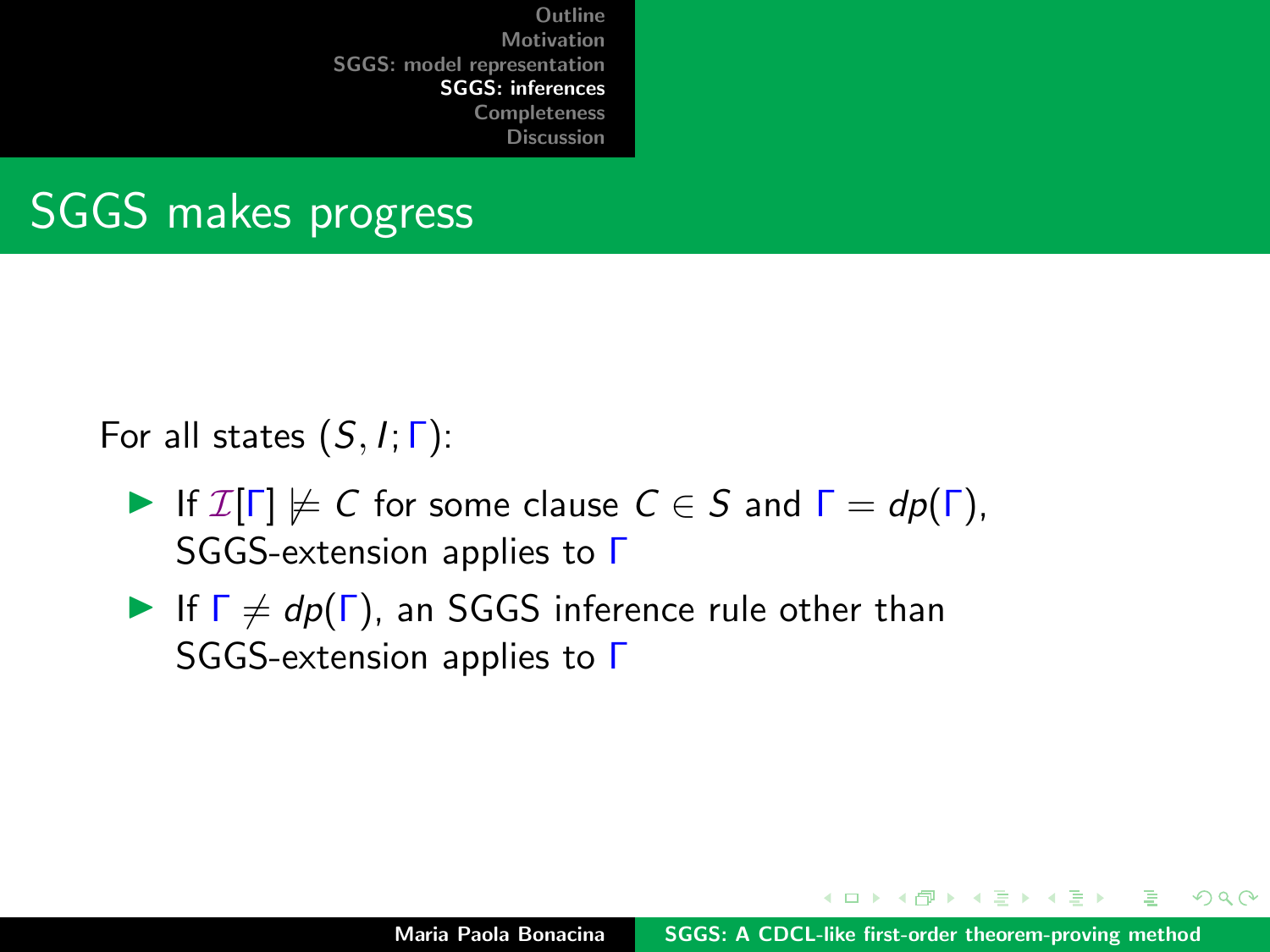## SGGS makes progress

For all states  $(S, I; \Gamma)$ :

- If  $\mathcal{I}[\Gamma] \not\models C$  for some clause  $C \in S$  and  $\Gamma = dp(\Gamma)$ , SGGS-extension applies to Γ
- If  $\Gamma \neq dp(\Gamma)$ , an SGGS inference rule other than SGGS-extension applies to Γ

イロメ イ押 トラ ミトラ ミント

 $2Q$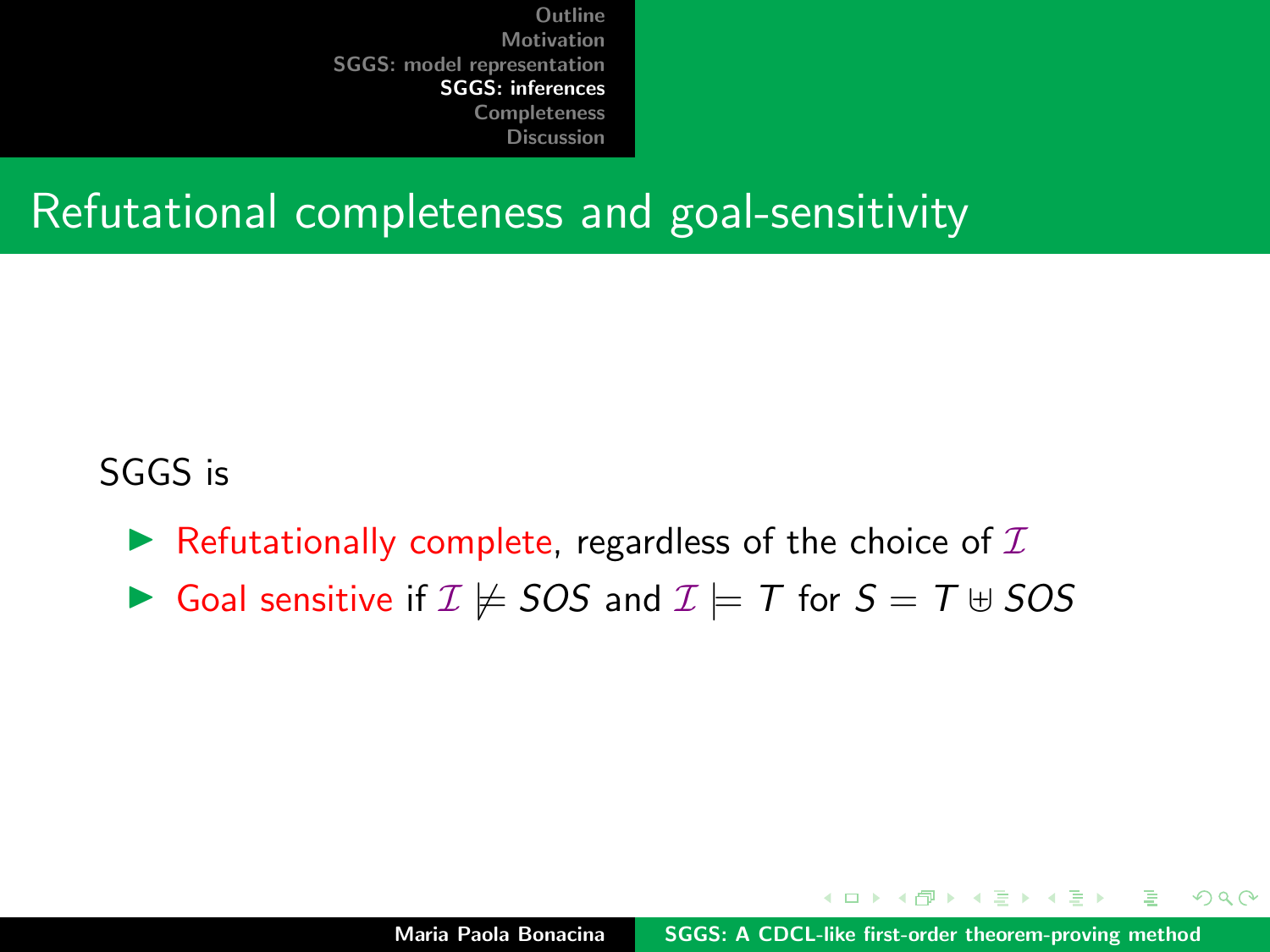#### Refutational completeness and goal-sensitivity

#### SGGS is

- $\blacktriangleright$  Refutationally complete, regardless of the choice of  $\mathcal I$
- Goal sensitive if  $\mathcal{I} \not\models SOS$  and  $\mathcal{I} \models T$  for  $S = T \cup SOS$

 $\mathcal{A}$  and  $\mathcal{A}$  . The set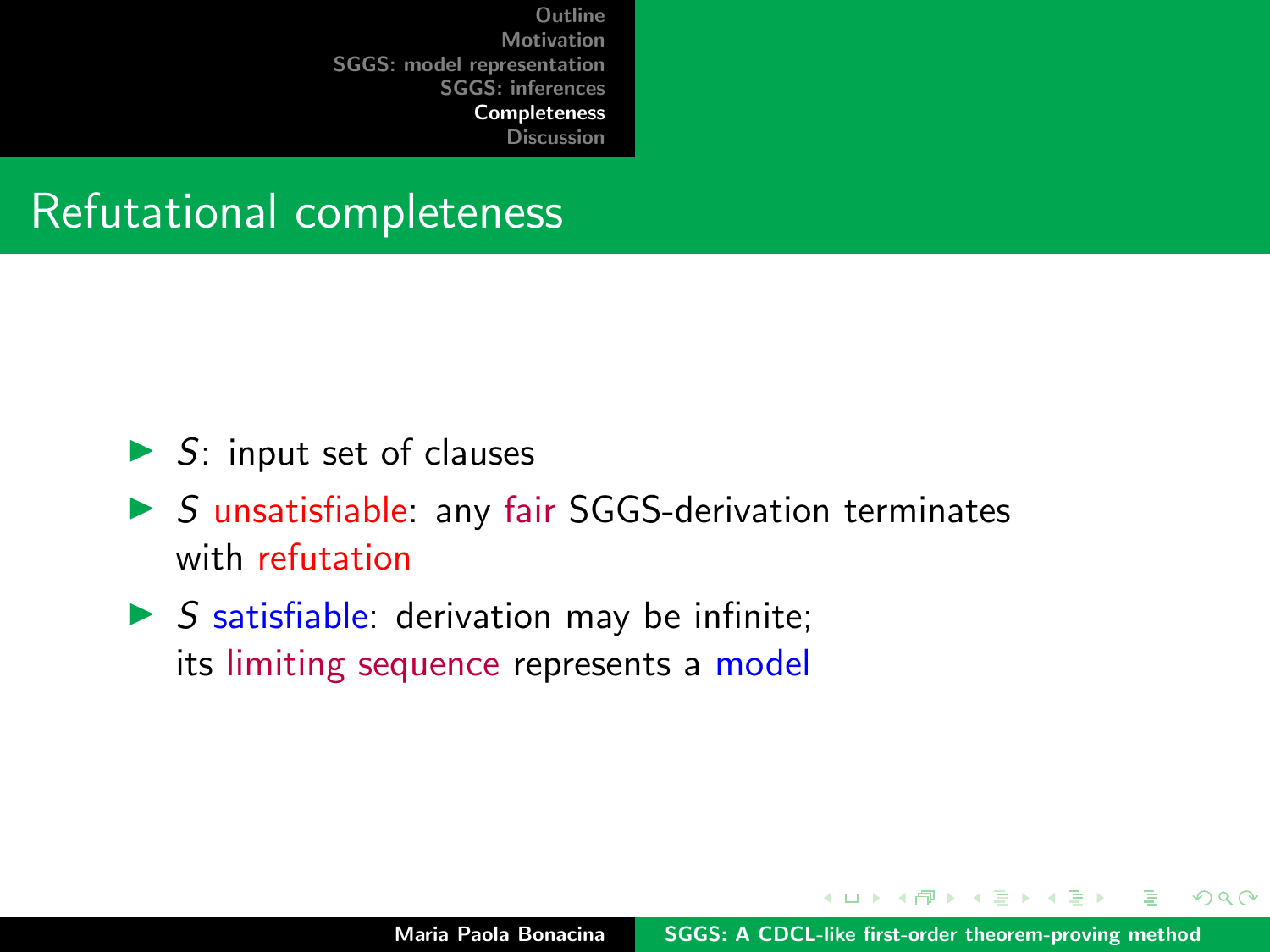[Discussion](#page-61-0)

#### <span id="page-52-0"></span>Refutational completeness

- $\triangleright$  S: input set of clauses
- $\triangleright$  S unsatisfiable: any fair SGGS-derivation terminates with refutation
- $\triangleright$  S satisfiable: derivation may be infinite; its limiting sequence represents a model

マーター マーティング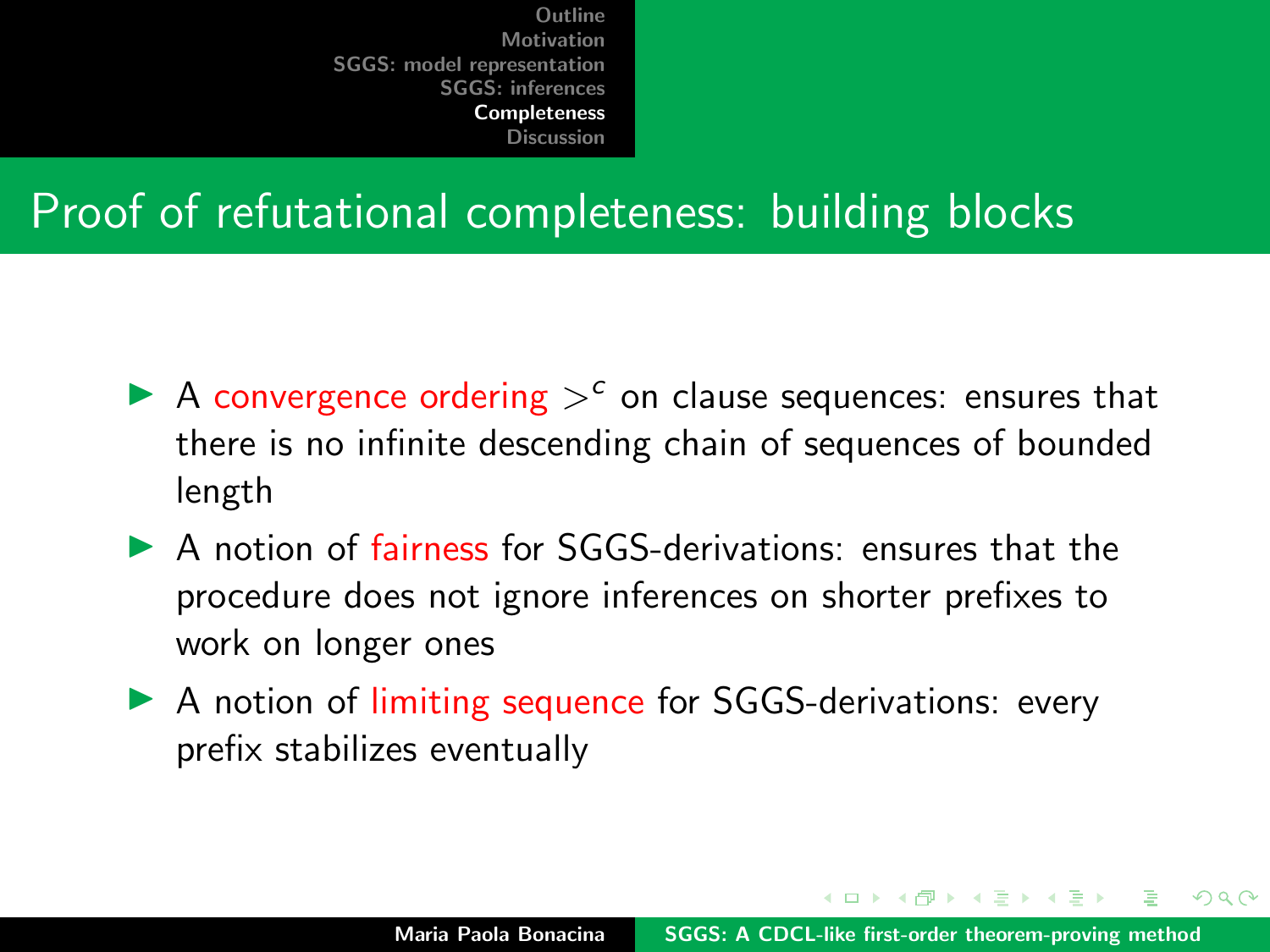[Discussion](#page-61-0)

#### Proof of refutational completeness: building blocks

- A convergence ordering  $>^c$  on clause sequences: ensures that there is no infinite descending chain of sequences of bounded length
- $\triangleright$  A notion of fairness for SGGS-derivations: ensures that the procedure does not ignore inferences on shorter prefixes to work on longer ones
- ▶ A notion of limiting sequence for SGGS-derivations: every prefix stabilizes eventually

 $\mathcal{A}$   $\mathcal{A}$   $\mathcal{B}$   $\mathcal{A}$   $\mathcal{B}$   $\mathcal{B}$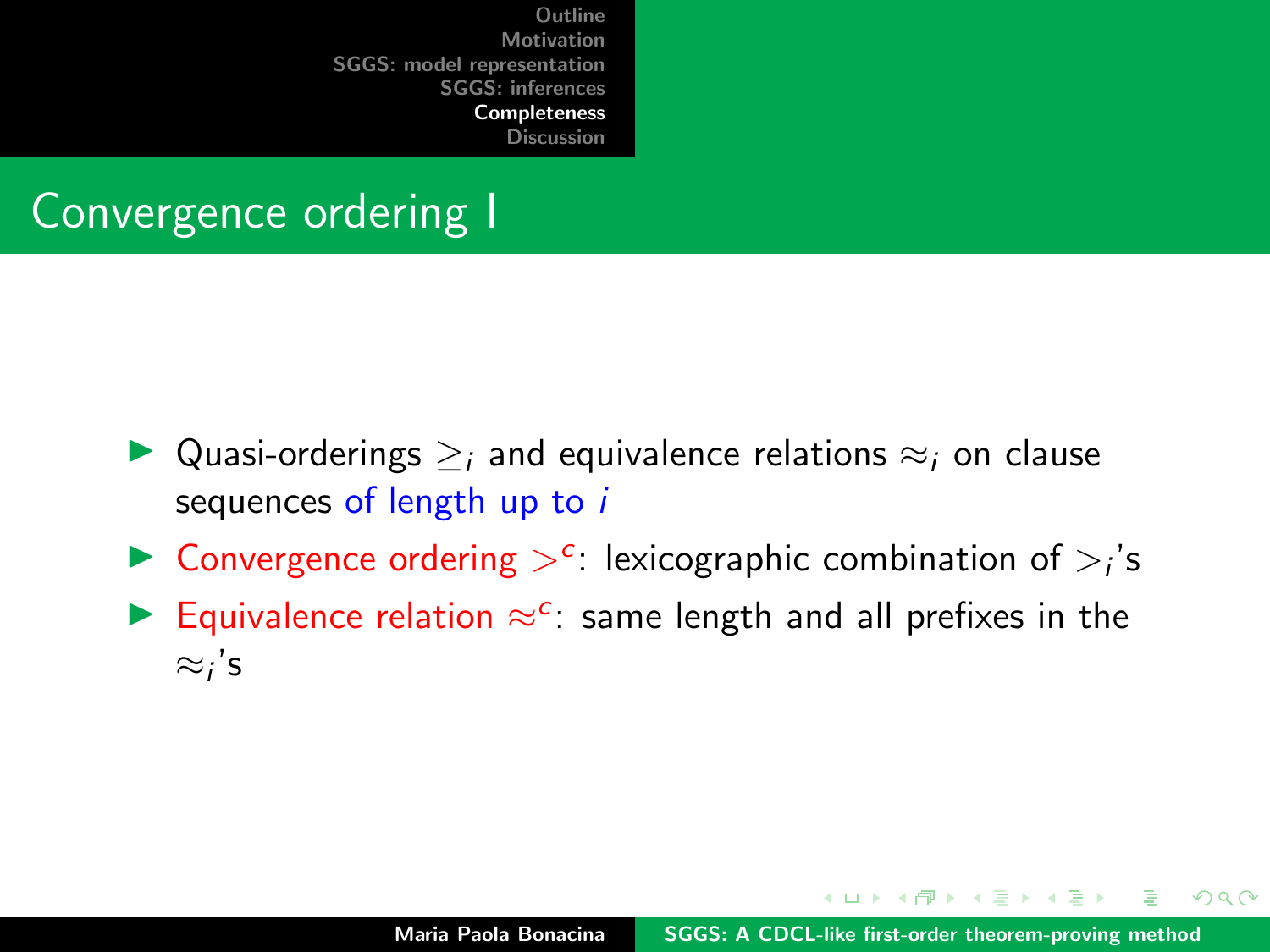[Discussion](#page-61-0)

## Convergence ordering I

- $\triangleright$  Quasi-orderings  $\geq$  and equivalence relations  $\approx$  on clause sequences of length up to i
- ▶ Convergence ordering  $>^c$ : lexicographic combination of  $>^i$ 's
- Equivalence relation  $\approx$ <sup>c</sup>: same length and all prefixes in the  $\approx_i$ 's

イロメ イ押 トラ ミトラ ミント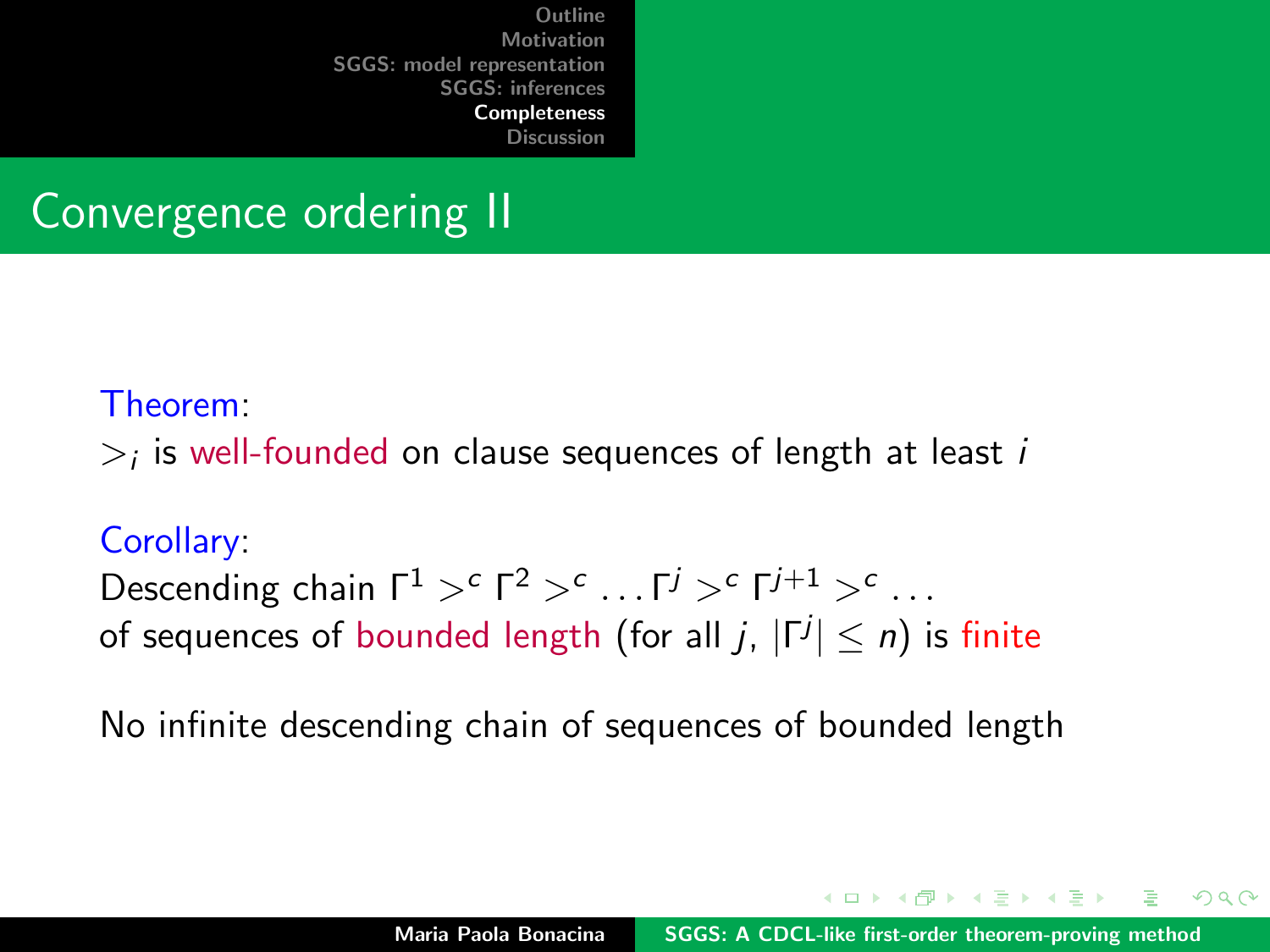[Discussion](#page-61-0)

## Convergence ordering II

#### Theorem:

 $>_i$  is well-founded on clause sequences of length at least  $i$ 

#### Corollary:

Descending chain  $\Gamma^1 >^c \Gamma^2 >^c \ldots \Gamma^j >^c \Gamma^{j+1} >^c \ldots$ of sequences of bounded length (for all  $j,$   $|\mathsf{\Gamma}^{j}|\leq n)$  is finite

No infinite descending chain of sequences of bounded length

イロメ マ桐 トマ ヨ トマ ヨメ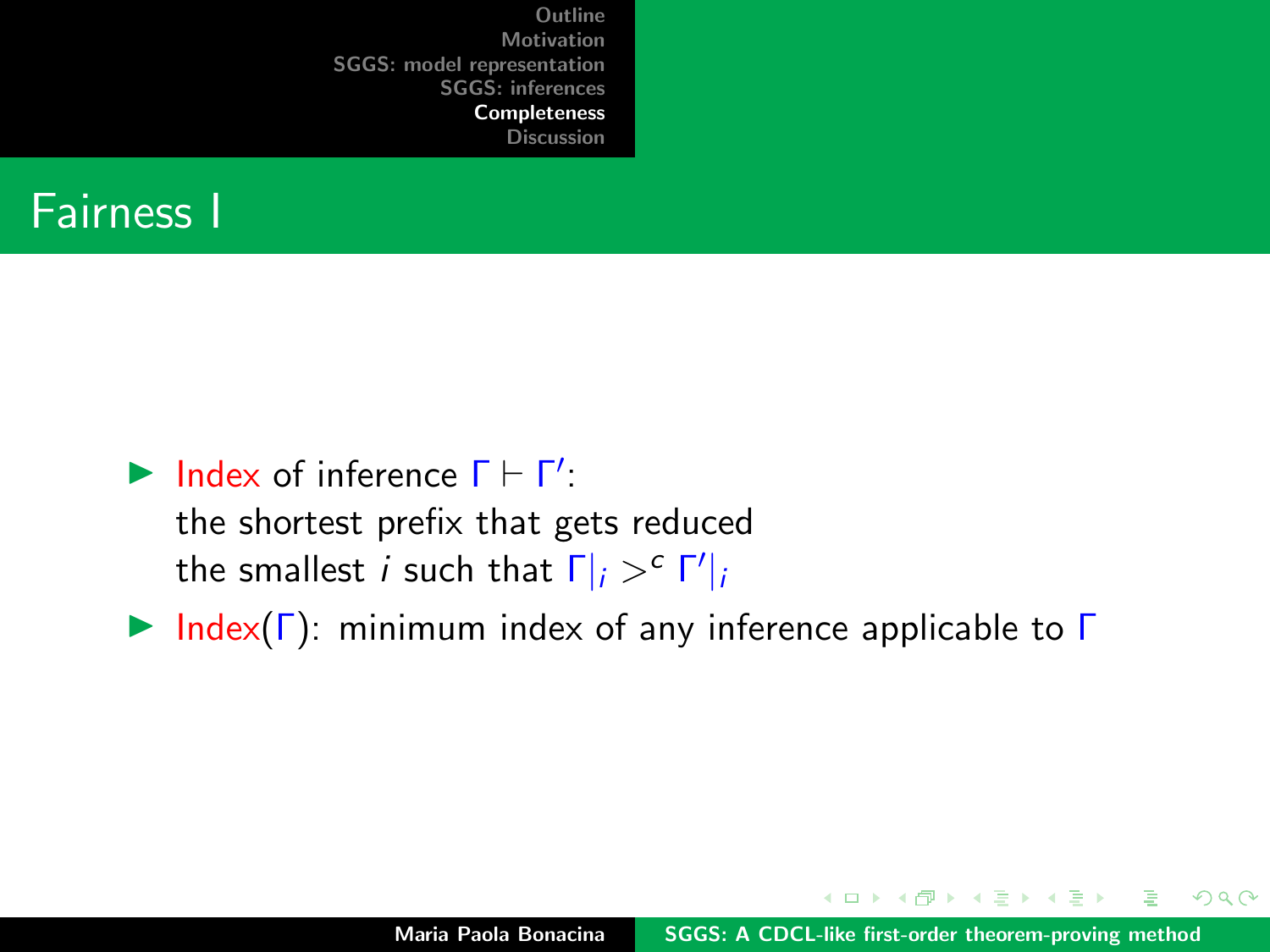

```
\blacktriangleright Index of inference \Gamma \vdash \Gamma':
```
the shortest prefix that gets reduced the smallest *i* such that  $\Gamma|_i >^c \Gamma'|_i$ 

 $\triangleright$  Index(Γ): minimum index of any inference applicable to Γ

イロメ イ押 トラ ミトラ ミント

 $2Q$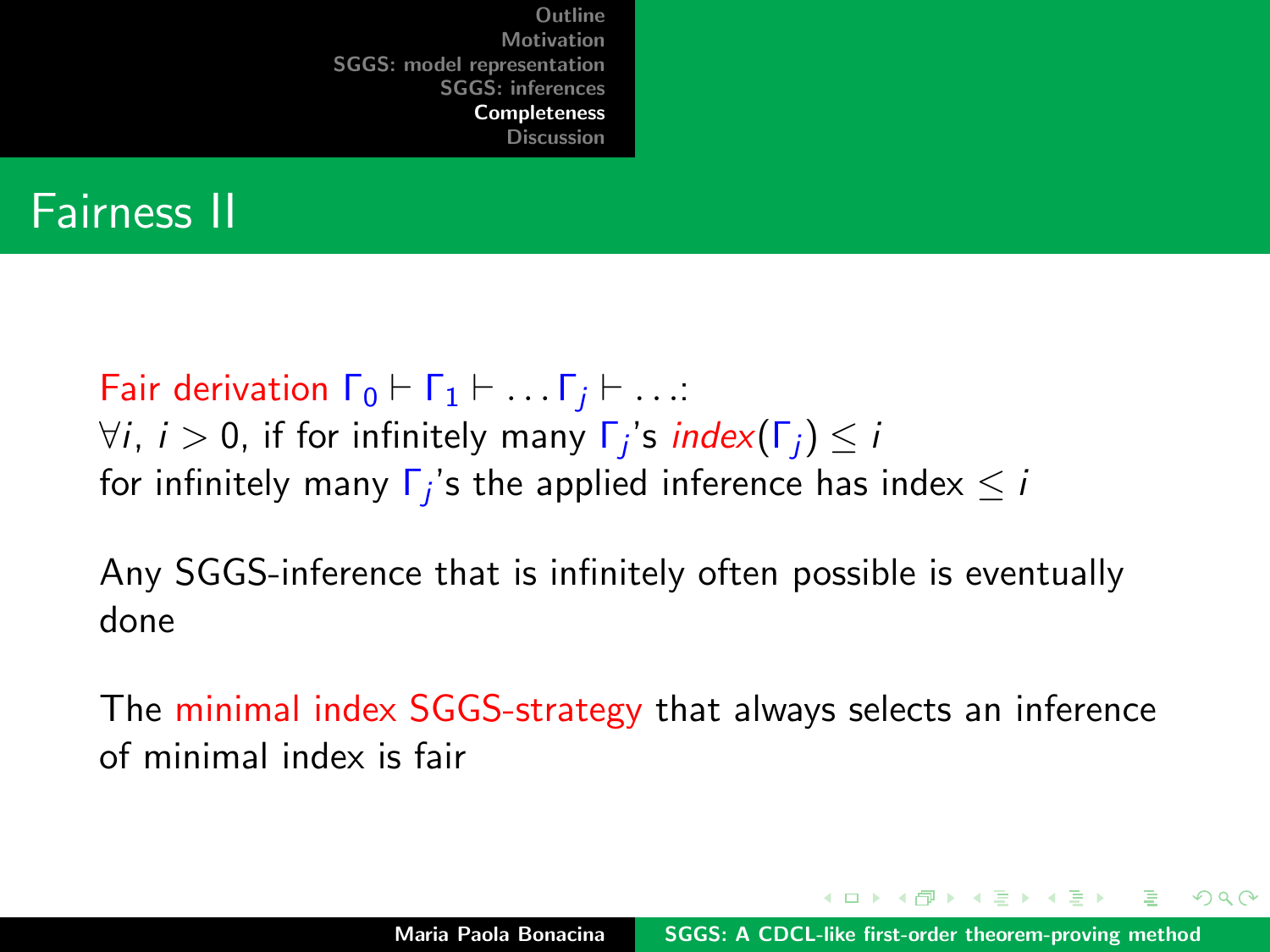### Fairness II

Fair derivation  $\Gamma_0 \vdash \Gamma_1 \vdash \ldots \Gamma_i \vdash \ldots$ :  $\forall i, \ i > 0,$  if for infinitely many  $\mathsf{\Gamma}_j$ 's  $\mathsf{index}(\mathsf{\Gamma}_j) \leq i$ for infinitely many  $\mathsf{\Gamma}_j$ 's the applied inference has index  $\leq i$ 

Any SGGS-inference that is infinitely often possible is eventually done

The minimal index SGGS-strategy that always selects an inference of minimal index is fair

イロメ マ桐 トマ ヨ トマ ヨメ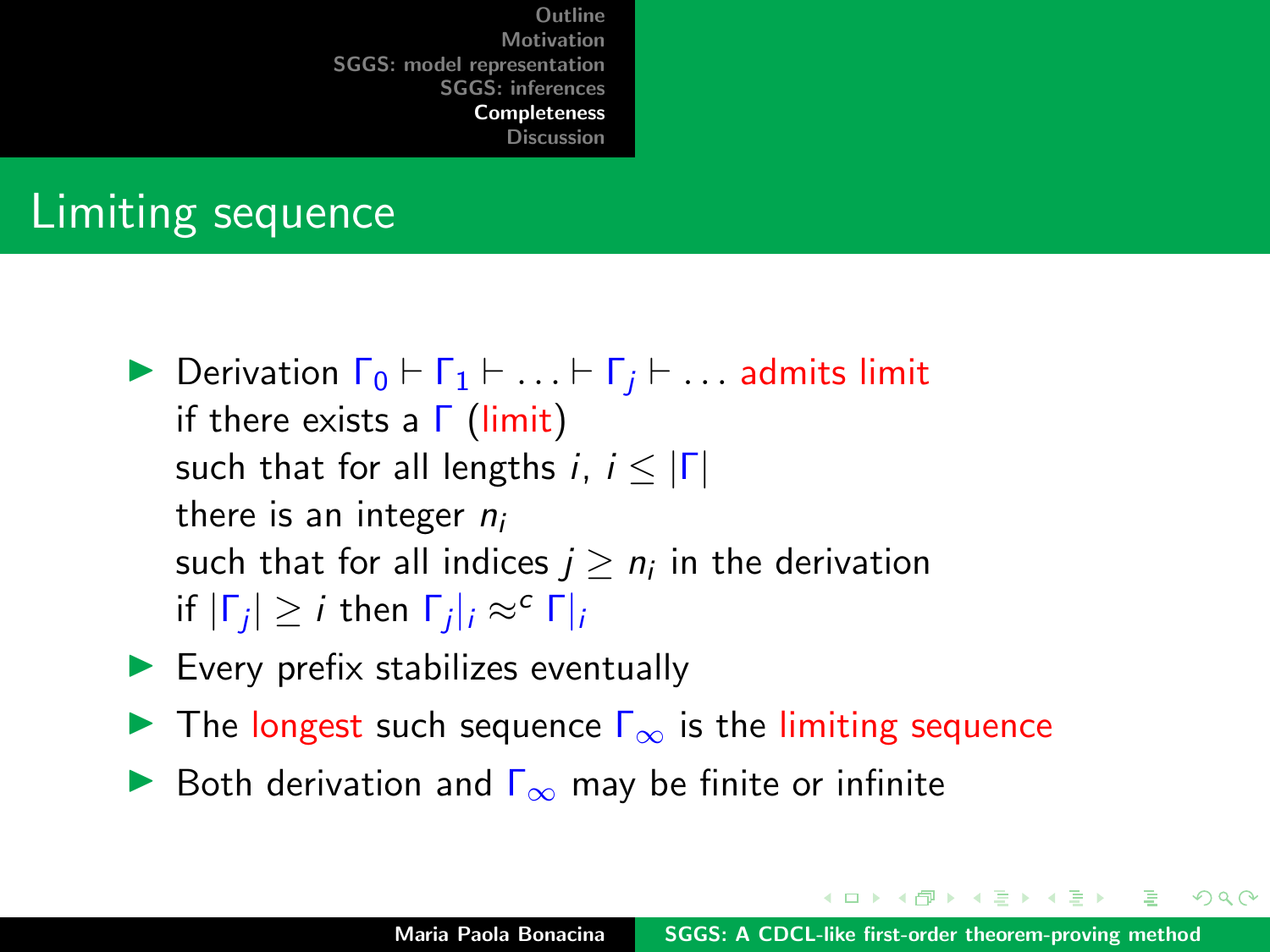[Discussion](#page-61-0)

## Limiting sequence

- **Derivation**  $\Gamma_0 \vdash \Gamma_1 \vdash \ldots \vdash \Gamma_i \vdash \ldots$  admits limit if there exists a  $Γ$  (limit) such that for all lengths i,  $i < |\Gamma|$ there is an integer  $n_i$ such that for all indices  $j\ge n_i$  in the derivation if  $|\Gamma_j|$  ≥ *i* then  $\Gamma_j|_i$  ≈<sup>c</sup>  $\Gamma|_i$
- $\blacktriangleright$  Every prefix stabilizes eventually
- **IF** The longest such sequence  $\Gamma_{\infty}$  is the limiting sequence
- **►** Both derivation and  $\Gamma_{\infty}$  may be finite or infinite

 $4.013.4.013.4.013.4.013.4.01$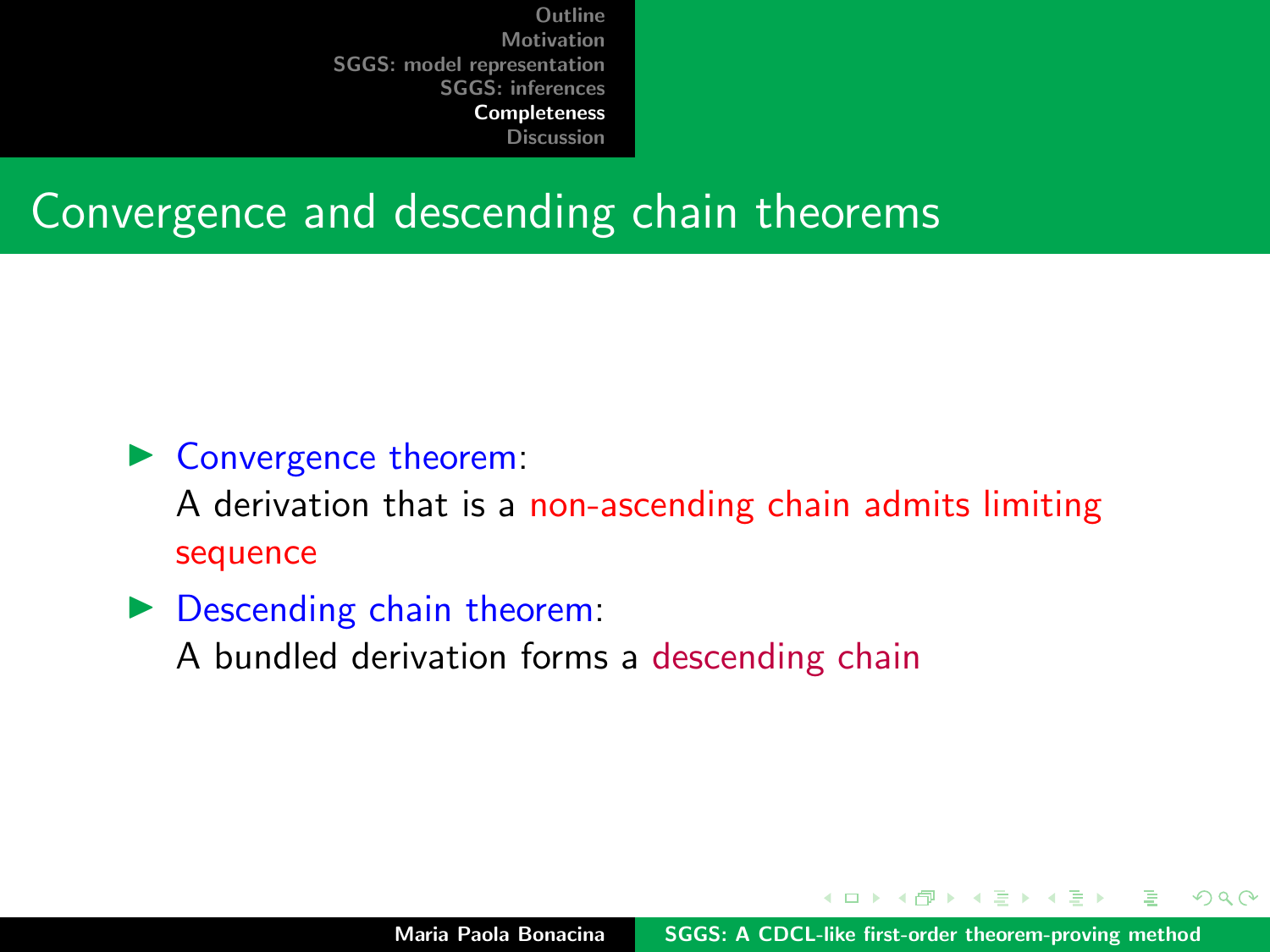[Discussion](#page-61-0)

#### Convergence and descending chain theorems

- $\triangleright$  Convergence theorem: A derivation that is a non-ascending chain admits limiting sequence
- $\triangleright$  Descending chain theorem: A bundled derivation forms a descending chain

イロメ マ桐 トマ ヨ トマ ヨメ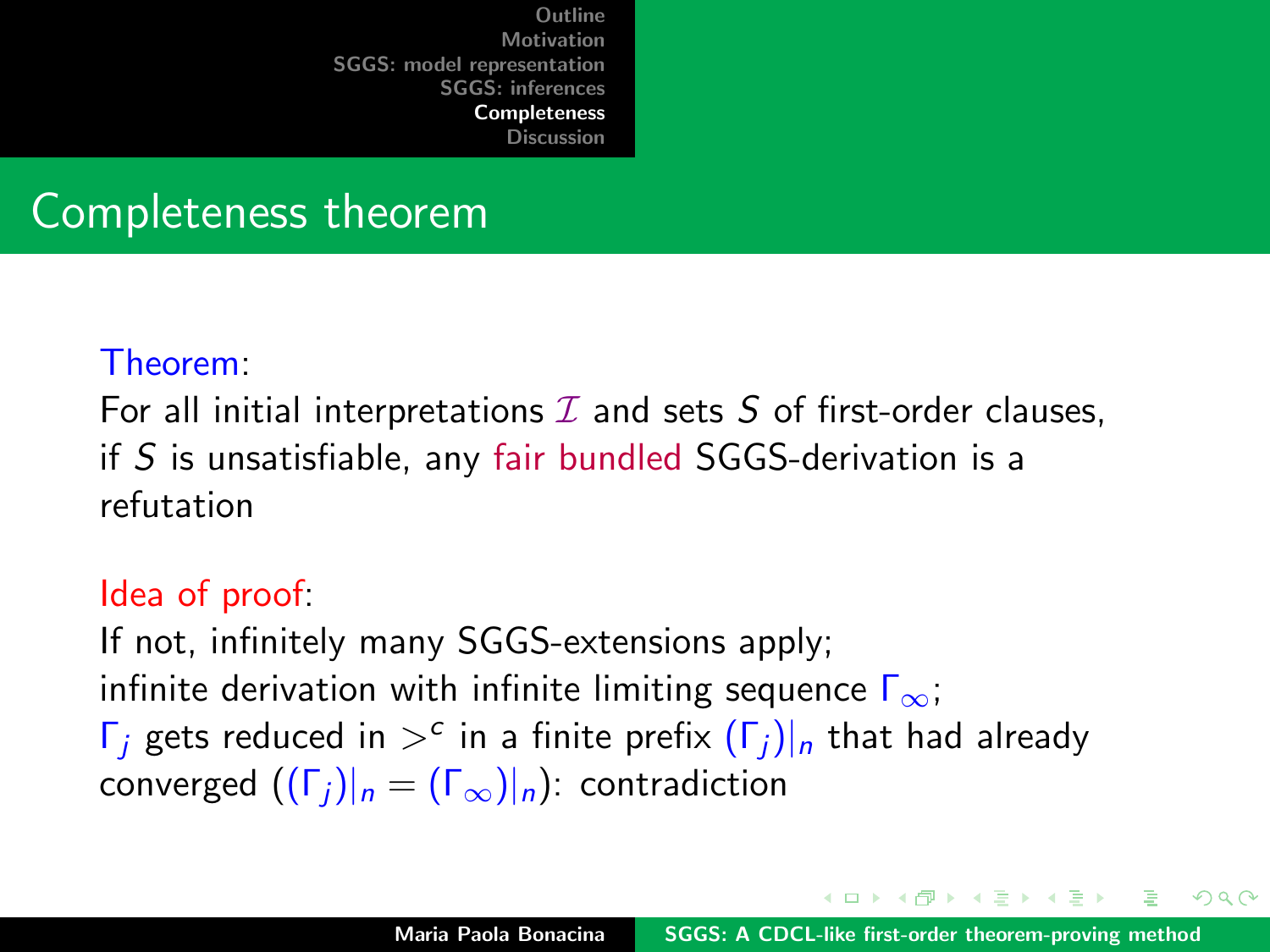[Outline](#page-1-0) **[Motivation](#page-2-0)** [SGGS: model representation](#page-6-0)<br>SGGS: inferences [SGGS: inferences](#page-26-0) [Completeness](#page-52-0)

#### [Discussion](#page-61-0)

### Completeness theorem

#### Theorem:

For all initial interpretations  $I$  and sets  $S$  of first-order clauses, if S is unsatisfiable, any fair bundled SGGS-derivation is a refutation

#### Idea of proof:

If not, infinitely many SGGS-extensions apply; infinite derivation with infinite limiting sequence  $\Gamma_{\infty}$ ; Γ<sub>j</sub> gets reduced in  $>^c$  in a finite prefix  $(Γ_j)|_n$  that had already converged  $((\Gamma_i)|_n = (\Gamma_{\infty})|_n)$ : contradiction

イロメ マ桐 トマ ヨ トマ ヨメ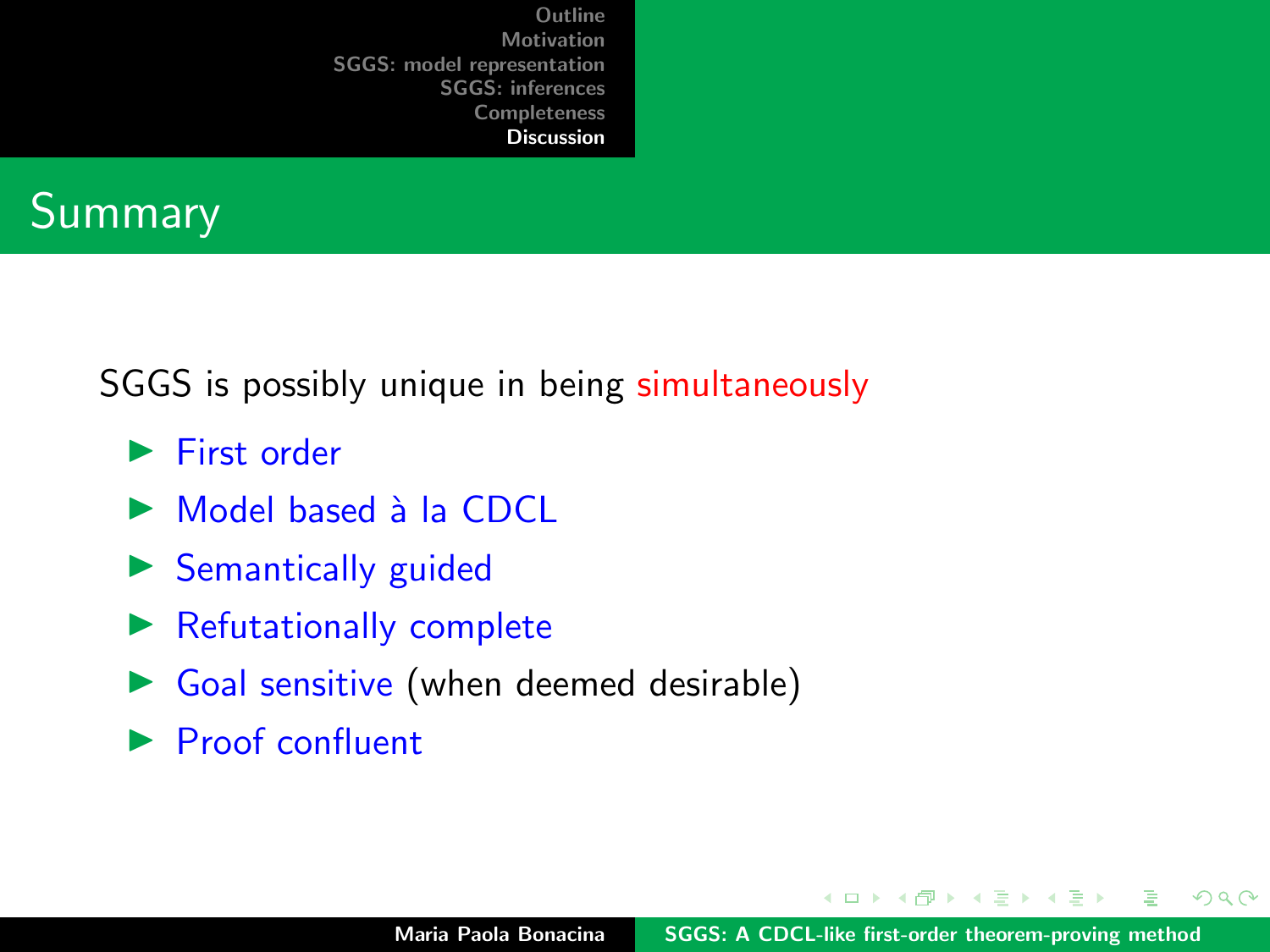<span id="page-61-0"></span>

SGGS is possibly unique in being simultaneously

- $\blacktriangleright$  First order
- $\triangleright$  Model based à la CDCL
- $\triangleright$  Semantically guided
- $\blacktriangleright$  Refutationally complete
- $\triangleright$  Goal sensitive (when deemed desirable)
- $\blacktriangleright$  Proof confluent

4 0 1

 $\mathcal{A}$   $\mathcal{A}$   $\mathcal{B}$   $\mathcal{A}$   $\mathcal{B}$   $\mathcal{B}$ 

 $\rightarrow$   $\equiv$ 

 $2Q$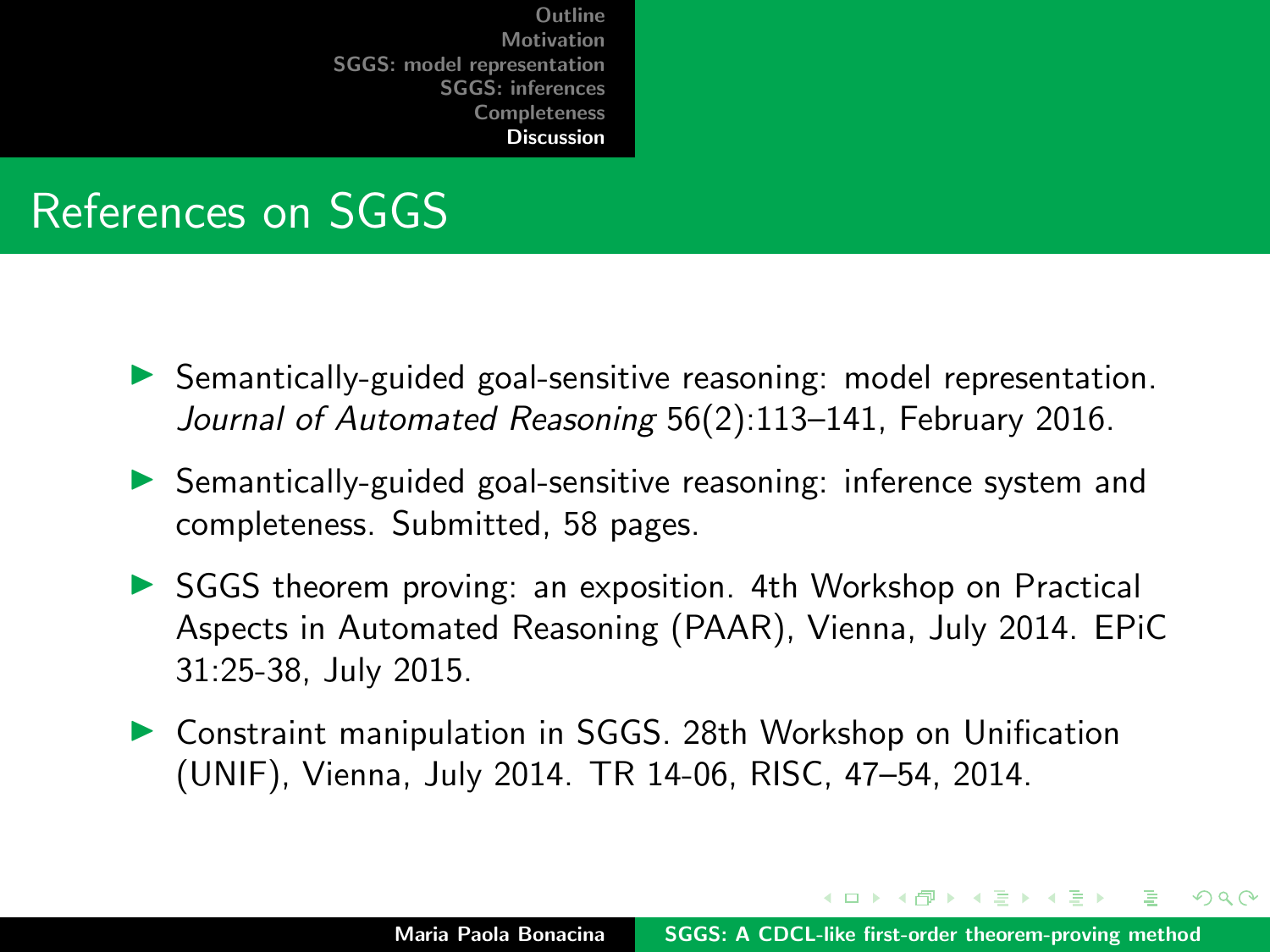## References on SGGS

- $\triangleright$  Semantically-guided goal-sensitive reasoning: model representation. Journal of Automated Reasoning 56(2):113–141, February 2016.
- **In Semantically-guided goal-sensitive reasoning: inference system and** completeness. Submitted, 58 pages.
- ▶ SGGS theorem proving: an exposition. 4th Workshop on Practical Aspects in Automated Reasoning (PAAR), Vienna, July 2014. EPiC 31:25-38, July 2015.
- ▶ Constraint manipulation in SGGS. 28th Workshop on Unification (UNIF), Vienna, July 2014. TR 14-06, RISC, 47–54, 2014.

イロメ イ押 トラ ミトラ ミト